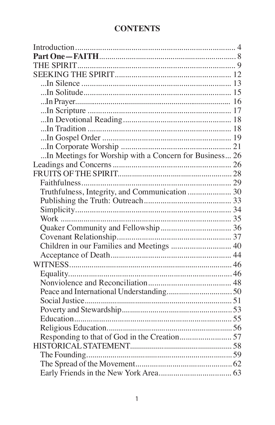# **CONTENTS**

| In Meetings for Worship with a Concern for Business 26 |  |
|--------------------------------------------------------|--|
|                                                        |  |
|                                                        |  |
|                                                        |  |
| Truthfulness, Integrity, and Communication  30         |  |
|                                                        |  |
|                                                        |  |
|                                                        |  |
|                                                        |  |
|                                                        |  |
| Children in our Families and Meetings  40              |  |
|                                                        |  |
|                                                        |  |
|                                                        |  |
|                                                        |  |
|                                                        |  |
|                                                        |  |
|                                                        |  |
|                                                        |  |
|                                                        |  |
|                                                        |  |
|                                                        |  |
|                                                        |  |
|                                                        |  |
|                                                        |  |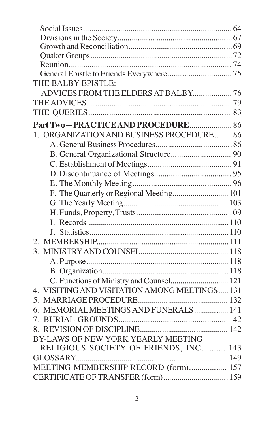| THE BALBY EPISTLE:                            |  |
|-----------------------------------------------|--|
| ADVICES FROM THE ELDERS AT BALBY 76           |  |
|                                               |  |
|                                               |  |
| Part Two-PRACTICE AND PROCEDURE 86            |  |
| 1. ORGANIZATION AND BUSINESS PROCEDURE 86     |  |
|                                               |  |
|                                               |  |
|                                               |  |
|                                               |  |
|                                               |  |
| F. The Quarterly or Regional Meeting 101      |  |
|                                               |  |
|                                               |  |
|                                               |  |
|                                               |  |
|                                               |  |
|                                               |  |
|                                               |  |
|                                               |  |
| C. Functions of Ministry and Counsel 121      |  |
| 4. VISITING AND VISITATION AMONG MEETINGS 131 |  |
|                                               |  |
| 6. MEMORIAL MEETINGS AND FUNERALS 141         |  |
|                                               |  |
|                                               |  |
| BY-LAWS OF NEW YORK YEARLY MEETING            |  |
| RELIGIOUS SOCIETY OF FRIENDS, INC.  143       |  |
|                                               |  |
| MEETING MEMBERSHIP RECORD (form) 157          |  |
| CERTIFICATE OF TRANSFER (form) 159            |  |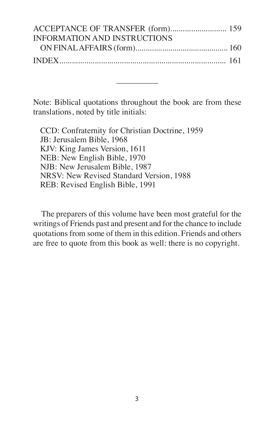| ACCEPTANCE OF TRANSFER (form) 159   |  |
|-------------------------------------|--|
| <b>INFORMATION AND INSTRUCTIONS</b> |  |
|                                     |  |
|                                     |  |

Note: Biblical quotations throughout the book are from these translations, noted by title initials:

––––––––––

CCD: Confraternity for Christian Doctrine, 1959 JB: Jerusalem Bible, 1968 KJV: King James Version, 1611 NEB: New English Bible, 1970 NJB: New Jerusalem Bible, 1987 NRSV: New Revised Standard Version, 1988 REB: Revised English Bible, 1991

The preparers of this volume have been most grateful for the writings of Friends past and present and for the chance to include quotationsfrom some of them in this edition. Friends and others are free to quote from this book as well: there is no copyright.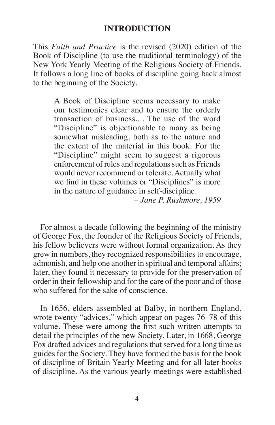#### **INTRODUCTION**

This *Faith and Practice* is the revised (2020) edition of the Book of Discipline (to use the traditional terminology) of the New York Yearly Meeting of the Religious Society of Friends. It follows a long line of books of discipline going back almost to the beginning of the Society.

A Book of Discipline seems necessary to make our testimonies clear and to ensure the orderly transaction of business.... The use of the word "Discipline" is objectionable to many as being somewhat misleading, both as to the nature and the extent of the material in this book. For the "Discipline" might seem to suggest a rigorous enforcement of rules and regulations such as Friends would never recommend or tolerate.Actually what we find in these volumes or "Disciplines" is more in the nature of guidance in self-discipline.

*– Jane P. Rushmore, 1959*

For almost a decade following the beginning of the ministry of George Fox, the founder of the Religious Society of Friends, his fellow believers were without formal organization. As they grew in numbers, they recognized responsibilitiesto encourage, admonish, and help one another in spiritual and temporal affairs; later, they found it necessary to provide for the preservation of order in their fellowship and for the care of the poor and of those who suffered for the sake of conscience.

In 1656, elders assembled at Balby, in northern England, wrote twenty "advices," which appear on pages 76–78 of this volume. These were among the first such written attempts to detail the principles of the new Society. Later, in 1668, George Fox drafted advices and regulations that served for a long time as guides for the Society. They have formed the basis for the book of discipline of Britain Yearly Meeting and for all later books of discipline. As the various yearly meetings were established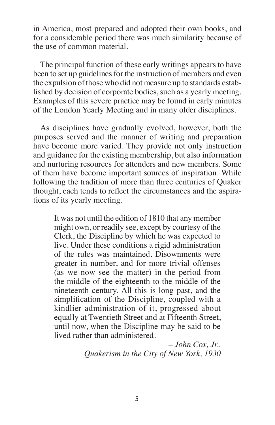in America, most prepared and adopted their own books, and for a considerable period there was much similarity because of the use of common material.

The principal function of these early writings appears to have been to set up guidelines for the instruction of members and even the expulsion of those who did not measure up to standards established by decision of corporate bodies, such as a yearly meeting. Examples of this severe practice may be found in early minutes of the London Yearly Meeting and in many older disciplines.

As disciplines have gradually evolved, however, both the purposes served and the manner of writing and preparation have become more varied. They provide not only instruction and guidance for the existing membership, but also information and nurturing resources for attenders and new members. Some of them have become important sources of inspiration. While following the tradition of more than three centuries of Quaker thought, each tends to reflect the circumstances and the aspirations of its yearly meeting.

It was not until the edition of 1810 that any member might own, or readily see, except by courtesy of the Clerk, the Discipline by which he was expected to live. Under these conditions a rigid administration of the rules was maintained. Disownments were greater in number, and for more trivial offenses (as we now see the matter) in the period from the middle of the eighteenth to the middle of the nineteenth century. All this is long past, and the simplification of the Discipline, coupled with a kindlier administration of it, progressed about equally at Twentieth Street and at Fifteenth Street, until now, when the Discipline may be said to be lived rather than administered.

> *– John Cox, Jr., Quakerism in the City of New York, 1930*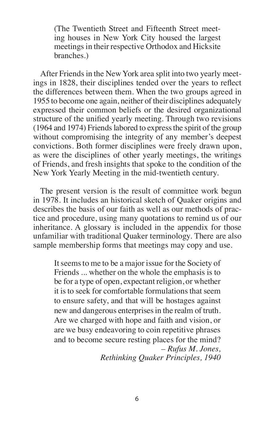(The Twentieth Street and Fifteenth Street meeting houses in New York City housed the largest meetings in their respective Orthodox and Hicksite branches.)

After Friends in the New York area split into two yearly meetings in 1828, their disciplines tended over the years to reflect the differences between them. When the two groups agreed in 1955 to become one again, neither of their disciplines adequately expressed their common beliefs or the desired organizational structure of the unified yearly meeting. Through two revisions (1964 and 1974) Friendslabored to expressthe spirit of the group without compromising the integrity of any member's deepest convictions. Both former disciplines were freely drawn upon, as were the disciplines of other yearly meetings, the writings of Friends, and fresh insights that spoke to the condition of the New York Yearly Meeting in the mid-twentieth century.

The present version is the result of committee work begun in 1978. It includes an historical sketch of Quaker origins and describes the basis of our faith as well as our methods of practice and procedure, using many quotations to remind us of our inheritance. A glossary is included in the appendix for those unfamiliar with traditional Quaker terminology. There are also sample membership forms that meetings may copy and use.

It seems to me to be a major issue for the Society of Friends ... whether on the whole the emphasis is to be for a type of open, expectant religion, or whether it is to seek for comfortable formulationsthat seem to ensure safety, and that will be hostages against new and dangerous enterprises in the realm of truth. Are we charged with hope and faith and vision, or are we busy endeavoring to coin repetitive phrases and to become secure resting places for the mind? *– Rufus M. Jones, Rethinking Quaker Principles, 1940*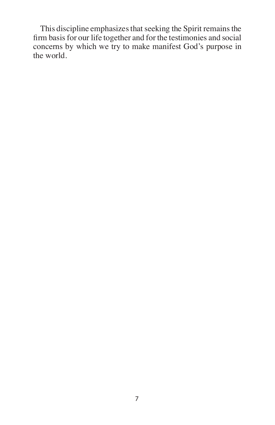This discipline emphasizes that seeking the Spirit remains the firm basis for our life together and for the testimonies and social concerns by which we try to make manifest God's purpose in the world.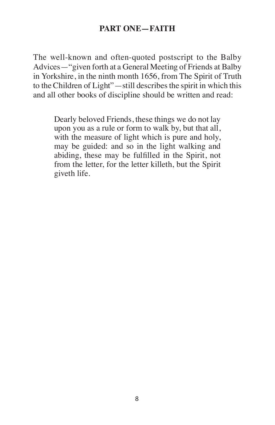## **PART ONE—FAITH**

The well-known and often-quoted postscript to the Balby Advices—"given forth at a General Meeting of Friends at Balby in Yorkshire, in the ninth month 1656, from The Spirit of Truth to the Children of Light"—still describes the spirit in which this and all other books of discipline should be written and read:

Dearly beloved Friends, these things we do not lay upon you as a rule or form to walk by, but that all, with the measure of light which is pure and holy, may be guided: and so in the light walking and abiding, these may be fulfilled in the Spirit, not from the letter, for the letter killeth, but the Spirit giveth life.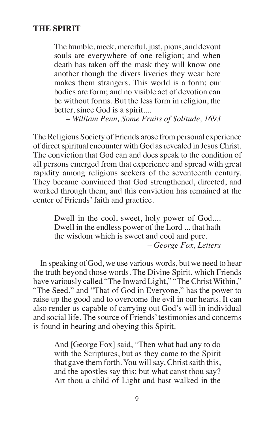#### **THE SPIRIT**

The humble, meek, merciful, just, pious, and devout souls are everywhere of one religion; and when death has taken off the mask they will know one another though the divers liveries they wear here makes them strangers. This world is a form; our bodies are form; and no visible act of devotion can be without forms. But the less form in religion, the better, since God is a spirit....

*– William Penn, Some Fruits of Solitude, 1693*

The Religious Society of Friends arose from personal experience of direct spiritual encounter with God as revealed in Jesus Christ. The conviction that God can and does speak to the condition of all persons emerged from that experience and spread with great rapidity among religious seekers of the seventeenth century. They became convinced that God strengthened, directed, and worked through them, and this conviction has remained at the center of Friends' faith and practice.

Dwell in the cool, sweet, holy power of God.... Dwell in the endless power of the Lord ... that hath the wisdom which is sweet and cool and pure. *– George Fox, Letters*

In speaking of God, we use various words, but we need to hear the truth beyond those words. The Divine Spirit, which Friends have variously called "The Inward Light," "The Christ Within," "The Seed," and "That of God in Everyone," has the power to raise up the good and to overcome the evil in our hearts. It can also render us capable of carrying out God's will in individual and social life. The source of Friends'testimonies and concerns is found in hearing and obeying this Spirit.

And [George Fox] said, "Then what had any to do with the Scriptures, but as they came to the Spirit that gave them forth. You will say, Christ saith this, and the apostles say this; but what canst thou say? Art thou a child of Light and hast walked in the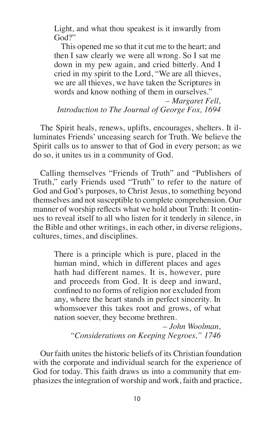Light, and what thou speakest is it inwardly from God?"

This opened me so that it cut me to the heart; and then I saw clearly we were all wrong. So I sat me down in my pew again, and cried bitterly. And I cried in my spirit to the Lord, "We are all thieves, we are all thieves, we have taken the Scriptures in words and know nothing of them in ourselves."

*– Margaret Fell, Introduction to The Journal of George Fox, 1694*

The Spirit heals, renews, uplifts, encourages, shelters. It illuminates Friends' unceasing search for Truth. We believe the Spirit calls us to answer to that of God in every person; as we do so, it unites us in a community of God.

Calling themselves "Friends of Truth" and "Publishers of Truth," early Friends used "Truth" to refer to the nature of God and God's purposes, to Christ Jesus, to something beyond themselves and not susceptible to complete comprehension. Our manner of worship reflects what we hold about Truth: It continues to reveal itself to all who listen for it tenderly in silence, in the Bible and other writings, in each other, in diverse religions, cultures, times, and disciplines.

There is a principle which is pure, placed in the human mind, which in different places and ages hath had different names. It is, however, pure and proceeds from God. It is deep and inward, confined to no forms of religion nor excluded from any, where the heart stands in perfect sincerity. In whomsoever this takes root and grows, of what nation soever, they become brethren.

*– John Woolman, "Considerations on Keeping Negroes," 1746*

Our faith unites the historic beliefs of its Christian foundation with the corporate and individual search for the experience of God for today. This faith draws us into a community that emphasizes the integration of worship and work, faith and practice,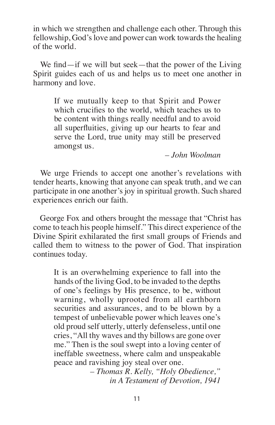in which we strengthen and challenge each other. Through this fellowship, God's love and power can work towards the healing of the world.

We find—if we will but seek—that the power of the Living Spirit guides each of us and helps us to meet one another in harmony and love.

If we mutually keep to that Spirit and Power which crucifies to the world, which teaches us to be content with things really needful and to avoid all superfluities, giving up our hearts to fear and serve the Lord, true unity may still be preserved amongst us.

*– John Woolman*

We urge Friends to accept one another's revelations with tender hearts, knowing that anyone can speak truth, and we can participate in one another's joy in spiritual growth. Such shared experiences enrich our faith.

George Fox and others brought the message that "Christ has come to teach his people himself." This direct experience of the Divine Spirit exhilarated the first small groups of Friends and called them to witness to the power of God. That inspiration continues today.

It is an overwhelming experience to fall into the hands of the living God, to be invaded to the depths of one's feelings by His presence, to be, without warning, wholly uprooted from all earthborn securities and assurances, and to be blown by a tempest of unbelievable power which leaves one's old proud self utterly, utterly defenseless, until one cries, "All thy waves and thy billows are gone over me." Then is the soul swept into a loving center of ineffable sweetness, where calm and unspeakable peace and ravishing joy steal over one.

> *– Thomas R. Kelly, "Holy Obedience," in A Testament of Devotion, 1941*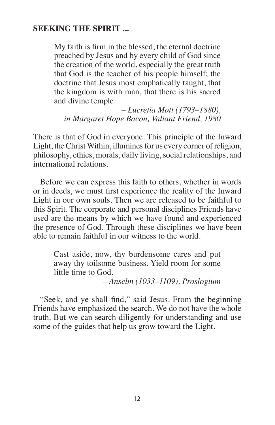### **SEEKING THE SPIRIT ...**

My faith is firm in the blessed, the eternal doctrine preached by Jesus and by every child of God since the creation of the world, especially the great truth that God is the teacher of his people himself; the doctrine that Jesus most emphatically taught, that the kingdom is with man, that there is his sacred and divine temple.

*– Lucretia Mott (1793–1880), in Margaret Hope Bacon, Valiant Friend, 1980*

There is that of God in everyone. This principle of the Inward Light, the Christ Within, illumines for us every corner of religion, philosophy, ethics, morals, daily living, social relationships, and international relations.

Before we can express this faith to others, whether in words or in deeds, we must first experience the reality of the Inward Light in our own souls. Then we are released to be faithful to this Spirit. The corporate and personal disciplines Friends have used are the means by which we have found and experienced the presence of God. Through these disciplines we have been able to remain faithful in our witness to the world.

Cast aside, now, thy burdensome cares and put away thy toilsome business. Yield room for some little time to God.

*– Anselm (1033–1109), Proslogium*

"Seek, and ye shall find," said Jesus. From the beginning Friends have emphasized the search. We do not have the whole truth. But we can search diligently for understanding and use some of the guides that help us grow toward the Light.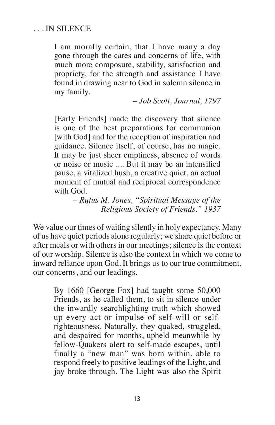### . . . IN SILENCE

I am morally certain, that I have many a day gone through the cares and concerns of life, with much more composure, stability, satisfaction and propriety, for the strength and assistance I have found in drawing near to God in solemn silence in my family.

*– Job Scott, Journal, 1797*

[Early Friends] made the discovery that silence is one of the best preparations for communion [with God] and for the reception of inspiration and guidance. Silence itself, of course, has no magic. It may be just sheer emptiness, absence of words or noise or music .... But it may be an intensified pause, a vitalized hush, a creative quiet, an actual moment of mutual and reciprocal correspondence with God.

> *– Rufus M. Jones, "Spiritual Message of the Religious Society of Friends," 1937*

We value our times of waiting silently in holy expectancy. Many of us have quiet periods alone regularly; we share quiet before or after meals or with others in our meetings; silence is the context of our worship. Silence is also the context in which we come to inward reliance upon God. It brings us to our true commitment, our concerns, and our leadings.

By 1660 [George Fox] had taught some 50,000 Friends, as he called them, to sit in silence under the inwardly searchlighting truth which showed up every act or impulse of self-will or selfrighteousness. Naturally, they quaked, struggled, and despaired for months, upheld meanwhile by fellow-Quakers alert to self-made escapes, until finally a "new man" was born within, able to respond freely to positive leadings of the Light, and joy broke through. The Light was also the Spirit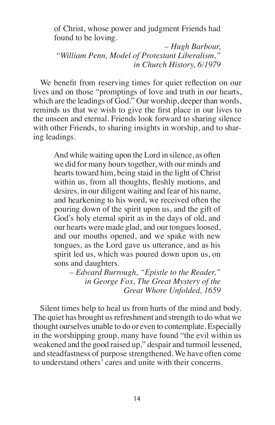of Christ, whose power and judgment Friends had found to be loving.

*– Hugh Barbour, "William Penn, Model of Protestant Liberalism," in Church History, 6/1979*

We benefit from reserving times for quiet reflection on our lives and on those "promptings of love and truth in our hearts, which are the leadings of God." Our worship, deeper than words, reminds us that we wish to give the first place in our lives to the unseen and eternal. Friends look forward to sharing silence with other Friends, to sharing insights in worship, and to sharing leadings.

And while waiting upon the Lord in silence, as often we did for many hours together, with our minds and hearts toward him, being staid in the light of Christ within us, from all thoughts, fleshly motions, and desires, in our diligent waiting and fear of his name, and hearkening to his word, we received often the pouring down of the spirit upon us, and the gift of God's holy eternal spirit as in the days of old, and our hearts were made glad, and our tongues loosed, and our mouths opened, and we spake with new tongues, as the Lord gave us utterance, and as his spirit led us, which was poured down upon us, on sons and daughters.

*– Edward Burrough, "Epistle to the Reader," in George Fox, The Great Mystery of the Great Whore Unfolded, 1659*

Silent times help to heal us from hurts of the mind and body. The quiet has brought us refreshment and strength to do what we thought ourselves unable to do or even to contemplate. Especially in the worshipping group, many have found "the evil within us weakened and the good raised up," despair and turmoil lessened, and steadfastness of purpose strengthened. We have often come to understand others' cares and unite with their concerns.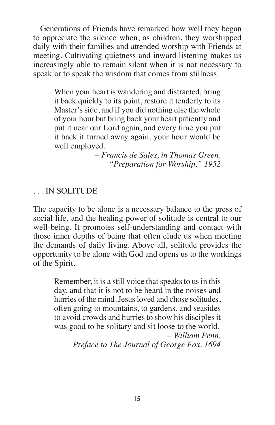Generations of Friends have remarked how well they began to appreciate the silence when, as children, they worshipped daily with their families and attended worship with Friends at meeting. Cultivating quietness and inward listening makes us increasingly able to remain silent when it is not necessary to speak or to speak the wisdom that comes from stillness.

When your heart is wandering and distracted, bring it back quickly to its point, restore it tenderly to its Master's side, and if you did nothing else the whole of your hour but bring back your heart patiently and put it near our Lord again, and every time you put it back it turned away again, your hour would be well employed.

> *– Francis de Sales, in Thomas Green, "Preparation for Worship," 1952*

## . . . IN SOLITUDE

The capacity to be alone is a necessary balance to the press of social life, and the healing power of solitude is central to our well-being. It promotes self-understanding and contact with those inner depths of being that often elude us when meeting the demands of daily living. Above all, solitude provides the opportunity to be alone with God and opens us to the workings of the Spirit.

Remember, it is a still voice that speaks to us in this day, and that it is not to be heard in the noises and hurries of the mind. Jesus loved and chose solitudes, often going to mountains, to gardens, and seasides to avoid crowds and hurries to show his disciples it was good to be solitary and sit loose to the world. *– William Penn,* 

Preface to The Journal of George Fox, 1694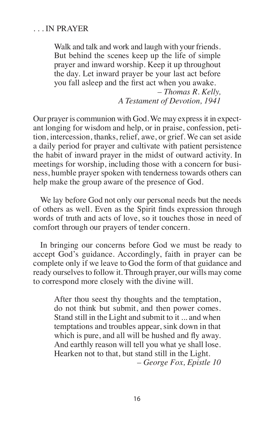### . . . IN PRAYER

Walk and talk and work and laugh with your friends. But behind the scenes keep up the life of simple prayer and inward worship. Keep it up throughout the day. Let inward prayer be your last act before you fall asleep and the first act when you awake. *– Thomas R. Kelly, A Testament of Devotion, 1941*

Our prayer is communion with God.We may expressit in expectant longing for wisdom and help, or in praise, confession, petition, intercession, thanks, relief, awe, or grief. We can set aside a daily period for prayer and cultivate with patient persistence the habit of inward prayer in the midst of outward activity. In meetings for worship, including those with a concern for business, humble prayer spoken with tenderness towards others can help make the group aware of the presence of God.

We lay before God not only our personal needs but the needs of others as well. Even as the Spirit finds expression through words of truth and acts of love, so it touches those in need of comfort through our prayers of tender concern.

In bringing our concerns before God we must be ready to accept God's guidance. Accordingly, faith in prayer can be complete only if we leave to God the form of that guidance and ready ourselves to follow it. Through prayer, our wills may come to correspond more closely with the divine will.

After thou seest thy thoughts and the temptation, do not think but submit, and then power comes. Stand still in the Light and submit to it ... and when temptations and troubles appear, sink down in that which is pure, and all will be hushed and fly away. And earthly reason will tell you what ye shall lose. Hearken not to that, but stand still in the Light. *– George Fox, Epistle 10*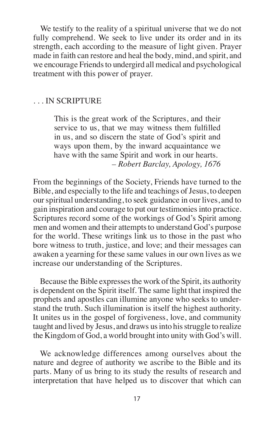We testify to the reality of a spiritual universe that we do not fully comprehend. We seek to live under its order and in its strength, each according to the measure of light given. Prayer made in faith can restore and heal the body, mind, and spirit, and we encourage Friends to undergird all medical and psychological treatment with this power of prayer.

#### . . . IN SCRIPTURE

This is the great work of the Scriptures, and their service to us, that we may witness them fulfilled in us, and so discern the state of God's spirit and ways upon them, by the inward acquaintance we have with the same Spirit and work in our hearts. *– Robert Barclay, Apology, 1676*

From the beginnings of the Society, Friends have turned to the Bible, and especially to the life and teachings of Jesus, to deepen ourspiritual understanding, to seek guidance in our lives, and to gain inspiration and courage to put our testimoniesinto practice. Scriptures record some of the workings of God's Spirit among men and women and their attempts to understand God's purpose for the world. These writings link us to those in the past who bore witness to truth, justice, and love; and their messages can awaken a yearning for these same values in our own lives as we increase our understanding of the Scriptures.

Because the Bible expresses the work of the Spirit, its authority is dependent on the Spirit itself. The same light that inspired the prophets and apostles can illumine anyone who seeks to understand the truth. Such illumination is itself the highest authority. It unites us in the gospel of forgiveness, love, and community taught and lived by Jesus, and draws us into his struggle to realize the Kingdom of God, a world brought into unity with God's will.

We acknowledge differences among ourselves about the nature and degree of authority we ascribe to the Bible and its parts. Many of us bring to its study the results of research and interpretation that have helped us to discover that which can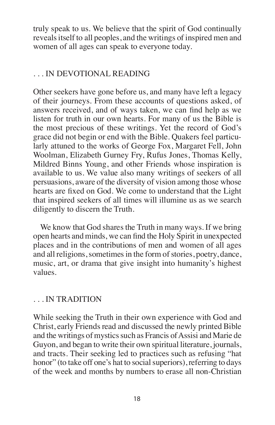truly speak to us. We believe that the spirit of God continually reveals itself to all peoples, and the writings of inspired men and women of all ages can speak to everyone today.

## . . . IN DEVOTIONAL READING

Other seekers have gone before us, and many have left a legacy of their journeys. From these accounts of questions asked, of answers received, and of ways taken, we can find help as we listen for truth in our own hearts. For many of us the Bible is the most precious of these writings. Yet the record of God's grace did not begin or end with the Bible. Quakers feel particularly attuned to the works of George Fox, Margaret Fell, John Woolman, Elizabeth Gurney Fry, Rufus Jones, Thomas Kelly, Mildred Binns Young, and other Friends whose inspiration is available to us. We value also many writings of seekers of all persuasions, aware of the diversity of vision among those whose hearts are fixed on God. We come to understand that the Light that inspired seekers of all times will illumine us as we search diligently to discern the Truth.

We know that God shares the Truth in many ways. If we bring open hearts and minds, we can find the Holy Spirit in unexpected places and in the contributions of men and women of all ages and all religions, sometimes in the form of stories, poetry, dance, music, art, or drama that give insight into humanity's highest values.

## . . . IN TRADITION

While seeking the Truth in their own experience with God and Christ, early Friends read and discussed the newly printed Bible and the writings of mystics such as Francis of Assisi and Marie de Guyon, and began to write their own spiritual literature, journals, and tracts. Their seeking led to practices such as refusing "hat honor" (to take off one's hat to social superiors), referring to days of the week and months by numbers to erase all non-Christian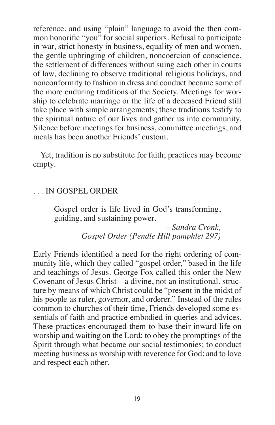reference, and using "plain" language to avoid the then common honorific "you" for social superiors. Refusal to participate in war, strict honesty in business, equality of men and women, the gentle upbringing of children, noncoercion of conscience, the settlement of differences without suing each other in courts of law, declining to observe traditional religious holidays, and nonconformity to fashion in dress and conduct became some of the more enduring traditions of the Society. Meetings for worship to celebrate marriage or the life of a deceased Friend still take place with simple arrangements; these traditions testify to the spiritual nature of our lives and gather us into community. Silence before meetings for business, committee meetings, and meals has been another Friends' custom.

Yet, tradition is no substitute for faith; practices may become empty.

### . . . IN GOSPEL ORDER

Gospel order is life lived in God's transforming, guiding, and sustaining power.

> *– Sandra Cronk, Gospel Order (Pendle Hill pamphlet 297)*

Early Friends identified a need for the right ordering of community life, which they called "gospel order," based in the life and teachings of Jesus. George Fox called this order the New Covenant of Jesus Christ—a divine, not an institutional, structure by means of which Christ could be "present in the midst of his people as ruler, governor, and orderer." Instead of the rules common to churches of their time, Friends developed some essentials of faith and practice embodied in queries and advices. These practices encouraged them to base their inward life on worship and waiting on the Lord; to obey the promptings of the Spirit through what became our social testimonies; to conduct meeting business as worship with reverence for God; and to love and respect each other.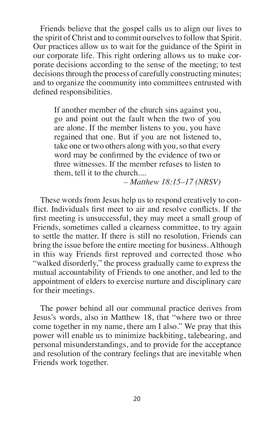Friends believe that the gospel calls us to align our lives to the spirit of Christ and to commit ourselves to follow that Spirit. Our practices allow us to wait for the guidance of the Spirit in our corporate life. This right ordering allows us to make corporate decisions according to the sense of the meeting; to test decisions through the process of carefully constructing minutes; and to organize the community into committees entrusted with defined responsibilities.

If another member of the church sins against you, go and point out the fault when the two of you are alone. If the member listens to you, you have regained that one. But if you are not listened to, take one or two others along with you,so that every word may be confirmed by the evidence of two or three witnesses. If the member refuses to listen to them, tell it to the church....

*– Matthew 18:15–17 (NRSV)*

These words from Jesus help us to respond creatively to conflict. Individuals first meet to air and resolve conflicts. If the first meeting is unsuccessful, they may meet a small group of Friends, sometimes called a clearness committee, to try again to settle the matter. If there is still no resolution, Friends can bring the issue before the entire meeting for business. Although in this way Friends first reproved and corrected those who "walked disorderly," the process gradually came to express the mutual accountability of Friends to one another, and led to the appointment of elders to exercise nurture and disciplinary care for their meetings.

The power behind all our communal practice derives from Jesus's words, also in Matthew 18, that "where two or three come together in my name, there am I also." We pray that this power will enable us to minimize backbiting, talebearing, and personal misunderstandings, and to provide for the acceptance and resolution of the contrary feelings that are inevitable when Friends work together.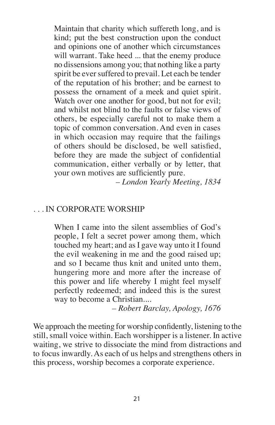Maintain that charity which suffereth long, and is kind; put the best construction upon the conduct and opinions one of another which circumstances will warrant. Take heed ... that the enemy produce no dissensions among you; that nothing like a party spirit be ever suffered to prevail. Let each be tender of the reputation of his brother; and be earnest to possess the ornament of a meek and quiet spirit. Watch over one another for good, but not for evil; and whilst not blind to the faults or false views of others, be especially careful not to make them a topic of common conversation. And even in cases in which occasion may require that the failings of others should be disclosed, be well satisfied, before they are made the subject of confidential communication, either verbally or by letter, that your own motives are sufficiently pure.

*– London Yearly Meeting, 1834*

#### . . . IN CORPORATE WORSHIP

When I came into the silent assemblies of God's people, I felt a secret power among them, which touched my heart; and as I gave way unto it I found the evil weakening in me and the good raised up; and so I became thus knit and united unto them, hungering more and more after the increase of this power and life whereby I might feel myself perfectly redeemed; and indeed this is the surest way to become a Christian....

*– Robert Barclay, Apology, 1676*

We approach the meeting for worship confidently, listening to the still, small voice within. Each worshipper is a listener. In active waiting, we strive to dissociate the mind from distractions and to focus inwardly. As each of us helps and strengthens others in this process, worship becomes a corporate experience.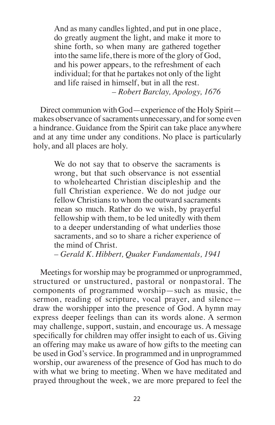And as many candles lighted, and put in one place, do greatly augment the light, and make it more to shine forth, so when many are gathered together into the same life, there is more of the glory of God, and his power appears, to the refreshment of each individual; for that he partakes not only of the light and life raised in himself, but in all the rest. *– Robert Barclay, Apology, 1676*

Direct communion with God—experience of the Holy Spirit makes observance of sacraments unnecessary, and for some even a hindrance. Guidance from the Spirit can take place anywhere and at any time under any conditions. No place is particularly holy, and all places are holy.

We do not say that to observe the sacraments is wrong, but that such observance is not essential to wholehearted Christian discipleship and the full Christian experience. We do not judge our fellow Christians to whom the outward sacraments mean so much. Rather do we wish, by prayerful fellowship with them, to be led unitedly with them to a deeper understanding of what underlies those sacraments, and so to share a richer experience of the mind of Christ.

*– Gerald K. Hibbert, Quaker Fundamentals, 1941*

Meetings for worship may be programmed or unprogrammed, structured or unstructured, pastoral or nonpastoral. The components of programmed worship—such as music, the sermon, reading of scripture, vocal prayer, and silence draw the worshipper into the presence of God. A hymn may express deeper feelings than can its words alone. A sermon may challenge, support, sustain, and encourage us. A message specifically for children may offer insight to each of us. Giving an offering may make us aware of how gifts to the meeting can be used in God's service. In programmed and in unprogrammed worship, our awareness of the presence of God has much to do with what we bring to meeting. When we have meditated and prayed throughout the week, we are more prepared to feel the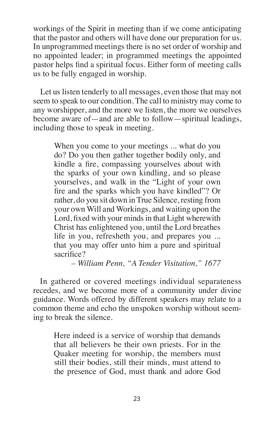workings of the Spirit in meeting than if we come anticipating that the pastor and others will have done our preparation for us. In unprogrammed meetings there is no set order of worship and no appointed leader; in programmed meetings the appointed pastor helps find a spiritual focus. Either form of meeting calls us to be fully engaged in worship.

Let us listen tenderly to all messages, even those that may not seem to speak to our condition. The call to ministry may come to any worshipper, and the more we listen, the more we ourselves become aware of—and are able to follow—spiritual leadings, including those to speak in meeting.

When you come to your meetings ... what do you do? Do you then gather together bodily only, and kindle a fire, compassing yourselves about with the sparks of your own kindling, and so please yourselves, and walk in the "Light of your own fire and the sparks which you have kindled"? Or rather, do you sit down in True Silence, resting from your own Will and Workings, and waiting upon the Lord, fixed with your minds in that Light wherewith Christ has enlightened you, until the Lord breathes life in you, refresheth you, and prepares you ... that you may offer unto him a pure and spiritual sacrifice?

*– William Penn, "A Tender Visitation," 1677*

In gathered or covered meetings individual separateness recedes, and we become more of a community under divine guidance. Words offered by different speakers may relate to a common theme and echo the unspoken worship without seeming to break the silence.

Here indeed is a service of worship that demands that all believers be their own priests. For in the Quaker meeting for worship, the members must still their bodies, still their minds, must attend to the presence of God, must thank and adore God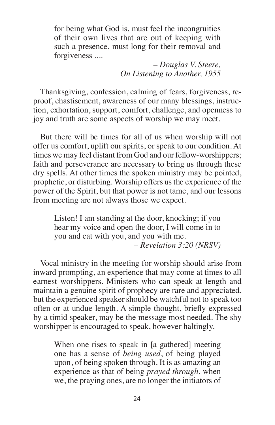for being what God is, must feel the incongruities of their own lives that are out of keeping with such a presence, must long for their removal and forgiveness ....

> *– Douglas V. Steere, On Listening to Another, 1955*

Thanksgiving, confession, calming of fears, forgiveness, reproof, chastisement, awareness of our many blessings, instruction, exhortation, support, comfort, challenge, and openness to joy and truth are some aspects of worship we may meet.

But there will be times for all of us when worship will not offer us comfort, uplift our spirits, or speak to our condition. At times we may feel distant from God and our fellow-worshippers; faith and perseverance are necessary to bring us through these dry spells. At other times the spoken ministry may be pointed, prophetic, or disturbing. Worship offers usthe experience of the power of the Spirit, but that power is not tame, and our lessons from meeting are not always those we expect.

Listen! I am standing at the door, knocking; if you hear my voice and open the door, I will come in to you and eat with you, and you with me. *– Revelation 3:20 (NRSV)*

Vocal ministry in the meeting for worship should arise from inward prompting, an experience that may come at times to all earnest worshippers. Ministers who can speak at length and maintain a genuine spirit of prophecy are rare and appreciated, but the experienced speaker should be watchful not to speak too often or at undue length. A simple thought, briefly expressed by a timid speaker, may be the message most needed. The shy worshipper is encouraged to speak, however haltingly.

When one rises to speak in [a gathered] meeting one has a sense of *being used*, of being played upon, of being spoken through. It is as amazing an experience as that of being *prayed through*, when we, the praying ones, are no longer the initiators of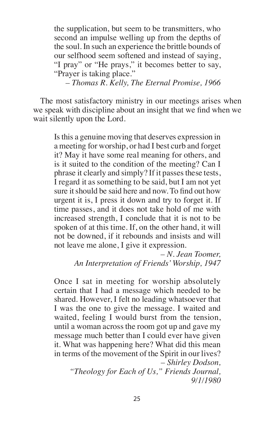the supplication, but seem to be transmitters, who second an impulse welling up from the depths of the soul. In such an experience the brittle bounds of our selfhood seem softened and instead of saying, "I pray" or "He prays," it becomes better to say, "Prayer is taking place."

*– Thomas R. Kelly, The Eternal Promise, 1966*

The most satisfactory ministry in our meetings arises when we speak with discipline about an insight that we find when we wait silently upon the Lord.

Isthis a genuine moving that deserves expression in a meeting for worship, or had I best curb and forget it? May it have some real meaning for others, and is it suited to the condition of the meeting? Can I phrase it clearly and simply? If it passes these tests, I regard it as something to be said, but I am not yet sure it should be said here and now. To find out how urgent it is, I press it down and try to forget it. If time passes, and it does not take hold of me with increased strength, I conclude that it is not to be spoken of at this time. If, on the other hand, it will not be downed, if it rebounds and insists and will not leave me alone, I give it expression.

*– N. Jean Toomer, An Interpretation of Friends' Worship, 1947*

Once I sat in meeting for worship absolutely certain that I had a message which needed to be shared. However, I felt no leading whatsoever that I was the one to give the message. I waited and waited, feeling I would burst from the tension, until a woman across the room got up and gave my message much better than I could ever have given it. What was happening here? What did this mean in terms of the movement of the Spirit in our lives? *– Shirley Dodson,*

*"Theology for Each of Us," Friends Journal, 9/1/1980*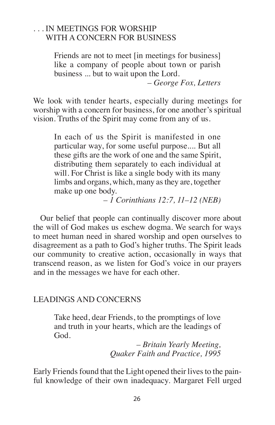### . . . IN MEETINGS FOR WORSHIP WITH A CONCERN FOR BUSINESS

Friends are not to meet [in meetings for business] like a company of people about town or parish business ... but to wait upon the Lord.

*– George Fox, Letters*

We look with tender hearts, especially during meetings for worship with a concern for business, for one another's spiritual vision. Truths of the Spirit may come from any of us.

In each of us the Spirit is manifested in one particular way, for some useful purpose.... But all these gifts are the work of one and the same Spirit, distributing them separately to each individual at will. For Christ is like a single body with its many limbs and organs, which, many asthey are, together make up one body.

*– 1 Corinthians 12:7, 11–12 (NEB)*

Our belief that people can continually discover more about the will of God makes us eschew dogma. We search for ways to meet human need in shared worship and open ourselves to disagreement as a path to God's higher truths. The Spirit leads our community to creative action, occasionally in ways that transcend reason, as we listen for God's voice in our prayers and in the messages we have for each other.

#### LEADINGS AND CONCERNS

Take heed, dear Friends, to the promptings of love and truth in your hearts, which are the leadings of God.

> *– Britain Yearly Meeting, Quaker Faith and Practice, 1995*

Early Friends found that the Light opened their lives to the painful knowledge of their own inadequacy. Margaret Fell urged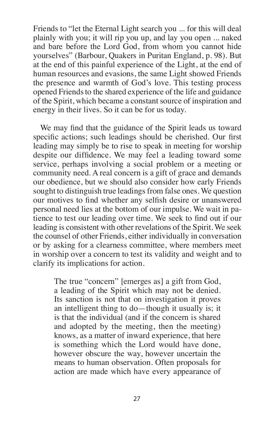Friends to "let the Eternal Light search you ... for this will deal plainly with you; it will rip you up, and lay you open ... naked and bare before the Lord God, from whom you cannot hide yourselves" (Barbour, Quakers in Puritan England, p. 98). But at the end of this painful experience of the Light, at the end of human resources and evasions, the same Light showed Friends the presence and warmth of God's love. This testing process opened Friends to the shared experience of the life and guidance of the Spirit, which became a constant source of inspiration and energy in their lives. So it can be for us today.

We may find that the guidance of the Spirit leads us toward specific actions; such leadings should be cherished. Our first leading may simply be to rise to speak in meeting for worship despite our diffidence. We may feel a leading toward some service, perhaps involving a social problem or a meeting or community need. A real concern is a gift of grace and demands our obedience, but we should also consider how early Friends sought to distinguish true leadings from false ones. We question our motives to find whether any selfish desire or unanswered personal need lies at the bottom of our impulse. We wait in patience to test our leading over time. We seek to find out if our leading is consistent with other revelations of the Spirit. We seek the counsel of other Friends, either individually in conversation or by asking for a clearness committee, where members meet in worship over a concern to test its validity and weight and to clarify its implications for action.

The true "concern" [emerges as] a gift from God, a leading of the Spirit which may not be denied. Its sanction is not that on investigation it proves an intelligent thing to do—though it usually is; it is that the individual (and if the concern is shared and adopted by the meeting, then the meeting) knows, as a matter of inward experience, that here is something which the Lord would have done, however obscure the way, however uncertain the means to human observation. Often proposals for action are made which have every appearance of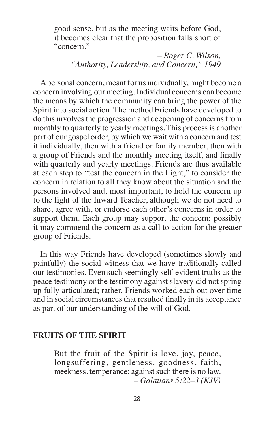good sense, but as the meeting waits before God, it becomes clear that the proposition falls short of "concern."

> *– Roger C. Wilson, "Authority, Leadership, and Concern," 1949*

Apersonal concern, meant for usindividually, might become a concern involving our meeting. Individual concerns can become the means by which the community can bring the power of the Spirit into social action. The method Friends have developed to do this involves the progression and deepening of concerns from monthly to quarterly to yearly meetings. This process is another part of our gospel order, by which we wait with a concern and test it individually, then with a friend or family member, then with a group of Friends and the monthly meeting itself, and finally with quarterly and yearly meetings. Friends are thus available at each step to "test the concern in the Light," to consider the concern in relation to all they know about the situation and the persons involved and, most important, to hold the concern up to the light of the Inward Teacher, although we do not need to share, agree with, or endorse each other's concerns in order to support them. Each group may support the concern; possibly it may commend the concern as a call to action for the greater group of Friends.

In this way Friends have developed (sometimes slowly and painfully) the social witness that we have traditionally called our testimonies. Even such seemingly self-evident truths as the peace testimony or the testimony against slavery did not spring up fully articulated; rather, Friends worked each out over time and in social circumstances that resulted finally in its acceptance as part of our understanding of the will of God.

### **FRUITS OF THE SPIRIT**

But the fruit of the Spirit is love, joy, peace, longsuffering, gentleness, goodness, faith, meekness, temperance: against such there is no law. *– Galatians 5:22–3 (KJV)*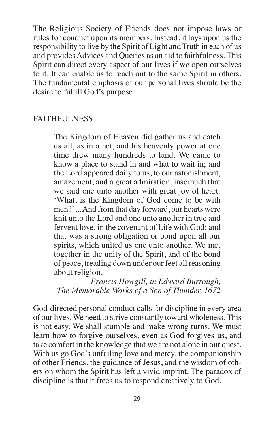The Religious Society of Friends does not impose laws or rules for conduct upon its members. Instead, it lays upon us the responsibility to live by the Spirit of Light and Truth in each of us and provides Advices and Queries as an aid to faithfulness. This Spirit can direct every aspect of our lives if we open ourselves to it. It can enable us to reach out to the same Spirit in others. The fundamental emphasis of our personal lives should be the desire to fulfill God's purpose.

### FAITHFULNESS

The Kingdom of Heaven did gather us and catch us all, as in a net, and his heavenly power at one time drew many hundreds to land. We came to know a place to stand in and what to wait in; and the Lord appeared daily to us, to our astonishment, amazement, and a great admiration, insomuch that we said one unto another with great joy of heart: 'What, is the Kingdom of God come to be with men?'...And from that day forward, our hearts were knit unto the Lord and one unto another in true and fervent love, in the covenant of Life with God; and that was a strong obligation or bond upon all our spirits, which united us one unto another. We met together in the unity of the Spirit, and of the bond of peace, treading down under our feet all reasoning about religion.

*– Francis Howgill, in Edward Burrough, The Memorable Works of a Son of Thunder, 1672*

God-directed personal conduct calls for discipline in every area of our lives.We need to strive constantly toward wholeness. This is not easy. We shall stumble and make wrong turns. We must learn how to forgive ourselves, even as God forgives us, and take comfort in the knowledge that we are not alone in our quest. With us go God's unfailing love and mercy, the companionship of other Friends, the guidance of Jesus, and the wisdom of others on whom the Spirit has left a vivid imprint. The paradox of discipline is that it frees us to respond creatively to God.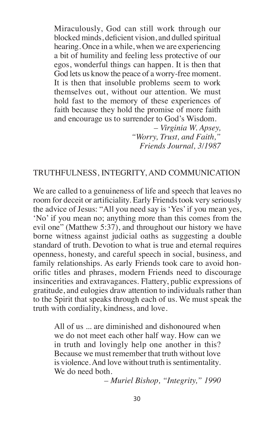Miraculously, God can still work through our blocked minds, deficient vision, and dulled spiritual hearing. Once in a while, when we are experiencing a bit of humility and feeling less protective of our egos, wonderful things can happen. It is then that God lets us know the peace of a worry-free moment. It is then that insoluble problems seem to work themselves out, without our attention. We must hold fast to the memory of these experiences of faith because they hold the promise of more faith and encourage us to surrender to God's Wisdom.

> *– Virginia W. Apsey, "Worry, Trust, and Faith," Friends Journal, 3/1987*

#### TRUTHFULNESS, INTEGRITY, AND COMMUNICATION

We are called to a genuineness of life and speech that leaves no room for deceit or artificiality. Early Friends took very seriously the advice of Jesus: "All you need say is 'Yes'if you mean yes, 'No' if you mean no; anything more than this comes from the evil one" (Matthew 5:37), and throughout our history we have borne witness against judicial oaths as suggesting a double standard of truth. Devotion to what is true and eternal requires openness, honesty, and careful speech in social, business, and family relationships. As early Friends took care to avoid honorific titles and phrases, modern Friends need to discourage insincerities and extravagances. Flattery, public expressions of gratitude, and eulogies draw attention to individuals rather than to the Spirit that speaks through each of us. We must speak the truth with cordiality, kindness, and love.

All of us ... are diminished and dishonoured when we do not meet each other half way. How can we in truth and lovingly help one another in this? Because we must remember that truth without love is violence. And love without truth is sentimentality. We do need both.

*– Muriel Bishop, "Integrity," 1990*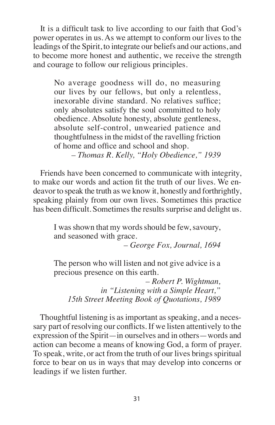It is a difficult task to live according to our faith that God's power operates in us. As we attempt to conform our lives to the leadings of the Spirit, to integrate our beliefs and our actions, and to become more honest and authentic, we receive the strength and courage to follow our religious principles.

No average goodness will do, no measuring our lives by our fellows, but only a relentless, inexorable divine standard. No relatives suffice; only absolutes satisfy the soul committed to holy obedience. Absolute honesty, absolute gentleness, absolute self-control, unwearied patience and thoughtfulnessin the midst of the ravelling friction of home and office and school and shop.

*– Thomas R. Kelly, "Holy Obedience," 1939*

Friends have been concerned to communicate with integrity, to make our words and action fit the truth of our lives. We endeavor to speak the truth as we know it, honestly and forthrightly, speaking plainly from our own lives. Sometimes this practice has been difficult. Sometimes the results surprise and delight us.

I was shown that my words should be few, savoury, and seasoned with grace.

*– George Fox, Journal, 1694*

The person who will listen and not give advice is a precious presence on this earth.

*– Robert P. Wightman, in "Listening with a Simple Heart," 15th Street Meeting Book of Quotations, 1989*

Thoughtful listening is as important as speaking, and a necessary part of resolving our conflicts. If we listen attentively to the expression of the Spirit—in ourselves and in others—words and action can become a means of knowing God, a form of prayer. To speak, write, or act from the truth of our lives brings spiritual force to bear on us in ways that may develop into concerns or leadings if we listen further.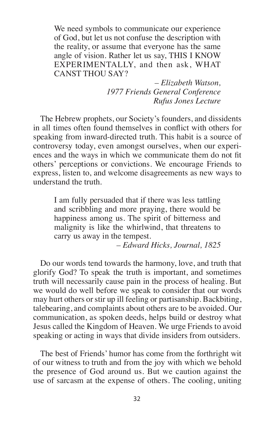We need symbols to communicate our experience of God, but let us not confuse the description with the reality, or assume that everyone has the same angle of vision. Rather let us say, THIS I KNOW EXPERIMENTALLY, and then ask, WHAT CANST THOU SAY?

> *– Elizabeth Watson, 1977 Friends General Conference Rufus Jones Lecture*

The Hebrew prophets, our Society's founders, and dissidents in all times often found themselves in conflict with others for speaking from inward-directed truth. This habit is a source of controversy today, even amongst ourselves, when our experiences and the ways in which we communicate them do not fit others' perceptions or convictions. We encourage Friends to express, listen to, and welcome disagreements as new ways to understand the truth.

I am fully persuaded that if there was less tattling and scribbling and more praying, there would be happiness among us. The spirit of bitterness and malignity is like the whirlwind, that threatens to carry us away in the tempest.

*– Edward Hicks, Journal, 1825*

Do our words tend towards the harmony, love, and truth that glorify God? To speak the truth is important, and sometimes truth will necessarily cause pain in the process of healing. But we would do well before we speak to consider that our words may hurt others or stir up ill feeling or partisanship. Backbiting, talebearing, and complaints about others are to be avoided. Our communication, as spoken deeds, helps build or destroy what Jesus called the Kingdom of Heaven. We urge Friends to avoid speaking or acting in ways that divide insiders from outsiders.

The best of Friends' humor has come from the forthright wit of our witness to truth and from the joy with which we behold the presence of God around us. But we caution against the use of sarcasm at the expense of others. The cooling, uniting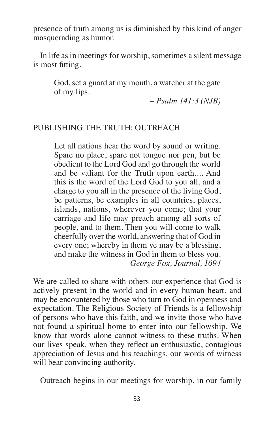presence of truth among us is diminished by this kind of anger masquerading as humor.

In life as in meetings for worship, sometimes a silent message is most fitting.

God, set a guard at my mouth, a watcher at the gate of my lips.

*– Psalm 141:3 (NJB)*

## PUBLISHING THE TRUTH: OUTREACH

Let all nations hear the word by sound or writing. Spare no place, spare not tongue nor pen, but be obedient to the Lord God and go through the world and be valiant for the Truth upon earth.... And this is the word of the Lord God to you all, and a charge to you all in the presence of the living God, be patterns, be examples in all countries, places, islands, nations, wherever you come; that your carriage and life may preach among all sorts of people, and to them. Then you will come to walk cheerfully over the world, answering that of God in every one; whereby in them ye may be a blessing, and make the witness in God in them to bless you. *– George Fox, Journal, 1694*

We are called to share with others our experience that God is actively present in the world and in every human heart, and may be encountered by those who turn to God in openness and expectation. The Religious Society of Friends is a fellowship of persons who have this faith, and we invite those who have not found a spiritual home to enter into our fellowship. We know that words alone cannot witness to these truths. When our lives speak, when they reflect an enthusiastic, contagious appreciation of Jesus and his teachings, our words of witness will bear convincing authority.

Outreach begins in our meetings for worship, in our family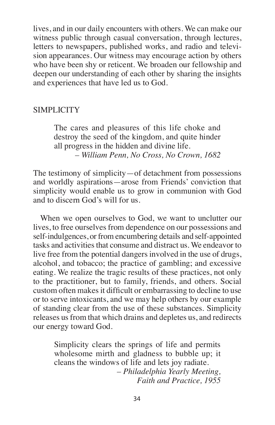lives, and in our daily encounters with others. We can make our witness public through casual conversation, through lectures, letters to newspapers, published works, and radio and television appearances. Our witness may encourage action by others who have been shy or reticent. We broaden our fellowship and deepen our understanding of each other by sharing the insights and experiences that have led us to God.

### SIMPLICITY

The cares and pleasures of this life choke and destroy the seed of the kingdom, and quite hinder all progress in the hidden and divine life. *– William Penn, No Cross, No Crown, 1682*

The testimony of simplicity—of detachment from possessions and worldly aspirations—arose from Friends' conviction that simplicity would enable us to grow in communion with God and to discern God's will for us.

When we open ourselves to God, we want to unclutter our lives, to free ourselves from dependence on our possessions and self-indulgences, or from encumbering details and self-appointed tasks and activities that consume and distract us. We endeavor to live free from the potential dangers involved in the use of drugs, alcohol, and tobacco; the practice of gambling; and excessive eating. We realize the tragic results of these practices, not only to the practitioner, but to family, friends, and others. Social custom often makesit difficult or embarrassing to decline to use or to serve intoxicants, and we may help others by our example of standing clear from the use of these substances. Simplicity releases usfrom that which drains and depletes us, and redirects our energy toward God.

Simplicity clears the springs of life and permits wholesome mirth and gladness to bubble up; it cleans the windows of life and lets joy radiate. *– Philadelphia Yearly Meeting, Faith and Practice, 1955*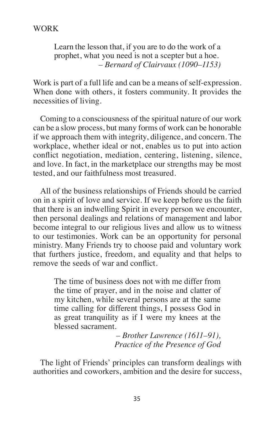Learn the lesson that, if you are to do the work of a prophet, what you need is not a scepter but a hoe. *– Bernard of Clairvaux (1090–1153)*

Work is part of a full life and can be a means of self-expression. When done with others, it fosters community. It provides the necessities of living.

Coming to a consciousness of the spiritual nature of our work can be a slow process, but many forms of work can be honorable if we approach them with integrity, diligence, and concern. The workplace, whether ideal or not, enables us to put into action conflict negotiation, mediation, centering, listening, silence, and love. In fact, in the marketplace our strengths may be most tested, and our faithfulness most treasured.

All of the business relationships of Friends should be carried on in a spirit of love and service. If we keep before us the faith that there is an indwelling Spirit in every person we encounter, then personal dealings and relations of management and labor become integral to our religious lives and allow us to witness to our testimonies. Work can be an opportunity for personal ministry. Many Friends try to choose paid and voluntary work that furthers justice, freedom, and equality and that helps to remove the seeds of war and conflict.

The time of business does not with me differ from the time of prayer, and in the noise and clatter of my kitchen, while several persons are at the same time calling for different things, I possess God in as great tranquility as if I were my knees at the blessed sacrament.

> *– Brother Lawrence (1611–91), Practice of the Presence of God*

The light of Friends' principles can transform dealings with authorities and coworkers, ambition and the desire for success,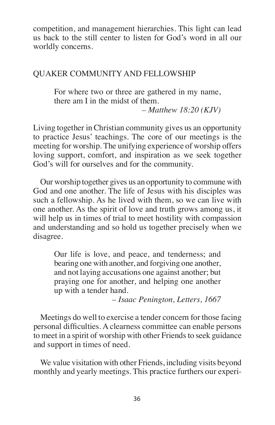competition, and management hierarchies. This light can lead us back to the still center to listen for God's word in all our worldly concerns.

## QUAKER COMMUNITY AND FELLOWSHIP

For where two or three are gathered in my name, there am I in the midst of them.

*– Matthew 18:20 (KJV)*

Living together in Christian community gives us an opportunity to practice Jesus' teachings. The core of our meetings is the meeting for worship. The unifying experience of worship offers loving support, comfort, and inspiration as we seek together God's will for ourselves and for the community.

Our worship together gives us an opportunity to commune with God and one another. The life of Jesus with his disciples was such a fellowship. As he lived with them, so we can live with one another. As the spirit of love and truth grows among us, it will help us in times of trial to meet hostility with compassion and understanding and so hold us together precisely when we disagree.

Our life is love, and peace, and tenderness; and bearing one with another, and forgiving one another, and not laying accusations one against another; but praying one for another, and helping one another up with a tender hand.

*– Isaac Penington, Letters, 1667*

Meetings do well to exercise a tender concern for those facing personal difficulties. A clearness committee can enable persons to meet in a spirit of worship with other Friends to seek guidance and support in times of need.

We value visitation with other Friends, including visits beyond monthly and yearly meetings. This practice furthers our experi-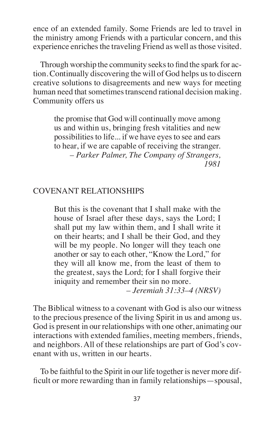ence of an extended family. Some Friends are led to travel in the ministry among Friends with a particular concern, and this experience enriches the traveling Friend as well as those visited.

Through worship the community seeks to find the spark for action. Continually discovering the will of God helps usto discern creative solutions to disagreements and new ways for meeting human need that sometimes transcend rational decision making. Community offers us

the promise that God will continually move among us and within us, bringing fresh vitalities and new possibilities to life... if we have eyes to see and ears to hear, if we are capable of receiving the stranger. *– Parker Palmer, The Company of Strangers, 1981*

# COVENANT RELATIONSHIPS

But this is the covenant that I shall make with the house of Israel after these days, says the Lord; I shall put my law within them, and I shall write it on their hearts; and I shall be their God, and they will be my people. No longer will they teach one another or say to each other, "Know the Lord," for they will all know me, from the least of them to the greatest, says the Lord; for I shall forgive their iniquity and remember their sin no more.

*– Jeremiah 31:33–4 (NRSV)*

The Biblical witness to a covenant with God is also our witness to the precious presence of the living Spirit in us and among us. God is present in our relationships with one other, animating our interactions with extended families, meeting members, friends, and neighbors. All of these relationships are part of God's covenant with us, written in our hearts.

To be faithful to the Spirit in our life together is never more difficult or more rewarding than in family relationships—spousal,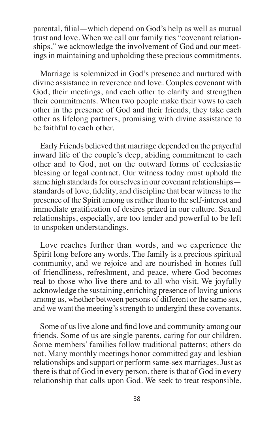parental, filial—which depend on God's help as well as mutual trust and love. When we call our family ties "covenant relationships," we acknowledge the involvement of God and our meetings in maintaining and upholding these precious commitments.

Marriage is solemnized in God's presence and nurtured with divine assistance in reverence and love. Couples covenant with God, their meetings, and each other to clarify and strengthen their commitments. When two people make their vows to each other in the presence of God and their friends, they take each other as lifelong partners, promising with divine assistance to be faithful to each other.

Early Friends believed that marriage depended on the prayerful inward life of the couple's deep, abiding commitment to each other and to God, not on the outward forms of ecclesiastic blessing or legal contract. Our witness today must uphold the same high standards for ourselves in our covenant relationships standards of love, fidelity, and discipline that bear witness to the presence of the Spirit among usrather than to the self-interest and immediate gratification of desires prized in our culture. Sexual relationships, especially, are too tender and powerful to be left to unspoken understandings.

Love reaches further than words, and we experience the Spirit long before any words. The family is a precious spiritual community, and we rejoice and are nourished in homes full of friendliness, refreshment, and peace, where God becomes real to those who live there and to all who visit. We joyfully acknowledge the sustaining, enriching presence of loving unions among us, whether between persons of different or the same sex, and we want the meeting's strength to undergird these covenants.

Some of us live alone and find love and community among our friends. Some of us are single parents, caring for our children. Some members' families follow traditional patterns; others do not. Many monthly meetings honor committed gay and lesbian relationships and support or perform same-sex marriages.Just as there is that of God in every person, there is that of God in every relationship that calls upon God. We seek to treat responsible,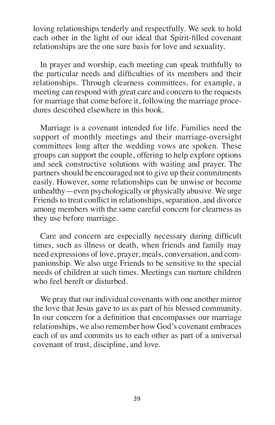loving relationships tenderly and respectfully. We seek to hold each other in the light of our ideal that Spirit-filled covenant relationships are the one sure basis for love and sexuality.

In prayer and worship, each meeting can speak truthfully to the particular needs and difficulties of its members and their relationships. Through clearness committees, for example, a meeting can respond with great care and concern to the requests for marriage that come before it, following the marriage procedures described elsewhere in this book.

Marriage is a covenant intended for life. Families need the support of monthly meetings and their marriage-oversight committees long after the wedding vows are spoken. These groups can support the couple, offering to help explore options and seek constructive solutions with waiting and prayer. The partners should be encouraged not to give up their commitments easily. However, some relationships can be unwise or become unhealthy—even psychologically or physically abusive.We urge Friends to treat conflict in relationships, separation, and divorce among members with the same careful concern for clearness as they use before marriage.

Care and concern are especially necessary during difficult times, such as illness or death, when friends and family may need expressions of love, prayer, meals, conversation, and companionship. We also urge Friends to be sensitive to the special needs of children at such times. Meetings can nurture children who feel bereft or disturbed.

We pray that our individual covenants with one another mirror the love that Jesus gave to us as part of his blessed community. In our concern for a definition that encompasses our marriage relationships, we also remember how God's covenant embraces each of us and commits us to each other as part of a universal covenant of trust, discipline, and love.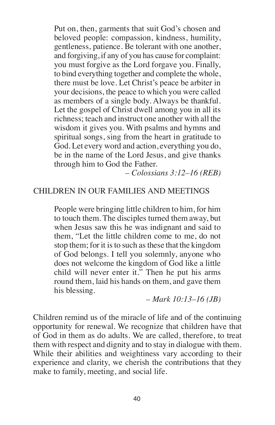Put on, then, garments that suit God's chosen and beloved people: compassion, kindness, humility, gentleness, patience. Be tolerant with one another, and forgiving, if any of you has cause for complaint: you must forgive as the Lord forgave you. Finally, to bind everything together and complete the whole, there must be love. Let Christ's peace be arbiter in your decisions, the peace to which you were called as members of a single body. Always be thankful. Let the gospel of Christ dwell among you in all its richness; teach and instruct one another with all the wisdom it gives you. With psalms and hymns and spiritual songs, sing from the heart in gratitude to God. Let every word and action, everything you do, be in the name of the Lord Jesus, and give thanks through him to God the Father.

*– Colossians 3:12–16 (REB)*

### CHILDREN IN OUR FAMILIES AND MEETINGS

People were bringing little children to him, for him to touch them. The disciples turned them away, but when Jesus saw this he was indignant and said to them, "Let the little children come to me, do not stop them; for it isto such asthese that the kingdom of God belongs. I tell you solemnly, anyone who does not welcome the kingdom of God like a little child will never enter it." Then he put his arms round them, laid his hands on them, and gave them his blessing.

*– Mark 10:13–16 (JB)*

Children remind us of the miracle of life and of the continuing opportunity for renewal. We recognize that children have that of God in them as do adults. We are called, therefore, to treat them with respect and dignity and to stay in dialogue with them. While their abilities and weightiness vary according to their experience and clarity, we cherish the contributions that they make to family, meeting, and social life.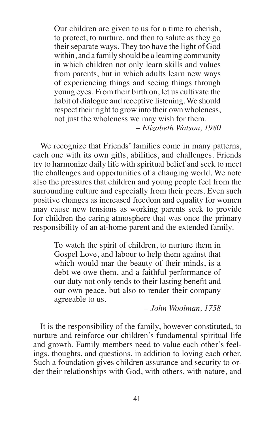Our children are given to us for a time to cherish, to protect, to nurture, and then to salute as they go their separate ways. They too have the light of God within, and a family should be a learning community in which children not only learn skills and values from parents, but in which adults learn new ways of experiencing things and seeing things through young eyes. From their birth on, let us cultivate the habit of dialogue and receptive listening.We should respect their right to grow into their own wholeness, not just the wholeness we may wish for them. *– Elizabeth Watson, 1980*

We recognize that Friends' families come in many patterns, each one with its own gifts, abilities, and challenges. Friends try to harmonize daily life with spiritual belief and seek to meet the challenges and opportunities of a changing world. We note also the pressures that children and young people feel from the surrounding culture and especially from their peers. Even such positive changes as increased freedom and equality for women may cause new tensions as working parents seek to provide for children the caring atmosphere that was once the primary responsibility of an at-home parent and the extended family.

To watch the spirit of children, to nurture them in Gospel Love, and labour to help them against that which would mar the beauty of their minds, is a debt we owe them, and a faithful performance of our duty not only tends to their lasting benefit and our own peace, but also to render their company agreeable to us.

*– John Woolman, 1758*

It is the responsibility of the family, however constituted, to nurture and reinforce our children's fundamental spiritual life and growth. Family members need to value each other's feelings, thoughts, and questions, in addition to loving each other. Such a foundation gives children assurance and security to order their relationships with God, with others, with nature, and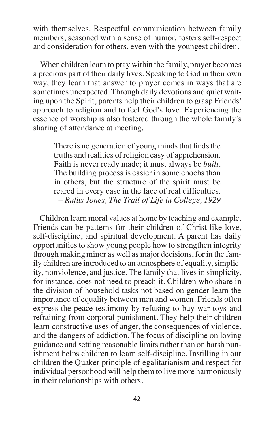with themselves. Respectful communication between family members, seasoned with a sense of humor, fosters self-respect and consideration for others, even with the youngest children.

When children learn to pray within the family, prayer becomes a precious part of their daily lives. Speaking to God in their own way, they learn that answer to prayer comes in ways that are sometimes unexpected. Through daily devotions and quiet waiting upon the Spirit, parents help their children to grasp Friends' approach to religion and to feel God's love. Experiencing the essence of worship is also fostered through the whole family's sharing of attendance at meeting.

There is no generation of young minds that finds the truths and realities of religion easy of apprehension. Faith is never ready made; it must always be *built.* The building process is easier in some epochs than in others, but the structure of the spirit must be reared in every case in the face of real difficulties. *– Rufus Jones, The Trail of Life in College, 1929*

Children learn moral values at home by teaching and example. Friends can be patterns for their children of Christ-like love, self-discipline, and spiritual development. A parent has daily opportunities to show young people how to strengthen integrity through making minor as well as major decisions, for in the family children are introduced to an atmosphere of equality, simplicity, nonviolence, and justice. The family that lives in simplicity, for instance, does not need to preach it. Children who share in the division of household tasks not based on gender learn the importance of equality between men and women. Friends often express the peace testimony by refusing to buy war toys and refraining from corporal punishment. They help their children learn constructive uses of anger, the consequences of violence, and the dangers of addiction. The focus of discipline on loving guidance and setting reasonable limits rather than on harsh punishment helps children to learn self-discipline. Instilling in our children the Quaker principle of egalitarianism and respect for individual personhood will help them to live more harmoniously in their relationships with others.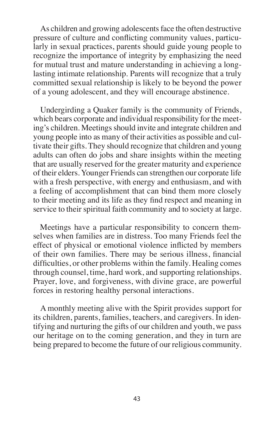As children and growing adolescents face the often destructive pressure of culture and conflicting community values, particularly in sexual practices, parents should guide young people to recognize the importance of integrity by emphasizing the need for mutual trust and mature understanding in achieving a longlasting intimate relationship. Parents will recognize that a truly committed sexual relationship is likely to be beyond the power of a young adolescent, and they will encourage abstinence.

Undergirding a Quaker family is the community of Friends, which bears corporate and individual responsibility for the meeting's children. Meetings should invite and integrate children and young people into as many of their activities as possible and cultivate their gifts. They should recognize that children and young adults can often do jobs and share insights within the meeting that are usually reserved for the greater maturity and experience of their elders.Younger Friends can strengthen our corporate life with a fresh perspective, with energy and enthusiasm, and with a feeling of accomplishment that can bind them more closely to their meeting and its life as they find respect and meaning in service to their spiritual faith community and to society at large.

Meetings have a particular responsibility to concern themselves when families are in distress. Too many Friends feel the effect of physical or emotional violence inflicted by members of their own families. There may be serious illness, financial difficulties, or other problems within the family. Healing comes through counsel, time, hard work, and supporting relationships. Prayer, love, and forgiveness, with divine grace, are powerful forces in restoring healthy personal interactions.

A monthly meeting alive with the Spirit provides support for its children, parents, families, teachers, and caregivers. In identifying and nurturing the gifts of our children and youth, we pass our heritage on to the coming generation, and they in turn are being prepared to become the future of our religious community.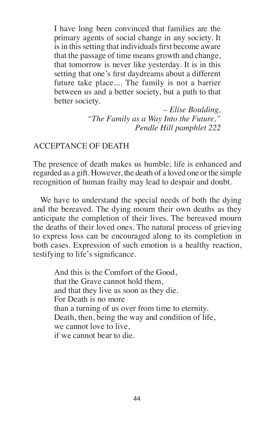I have long been convinced that families are the primary agents of social change in any society. It is in this setting that individuals first become aware that the passage of time means growth and change, that tomorrow is never like yesterday. It is in this setting that one's first daydreams about a different future take place.... The family is not a barrier between us and a better society, but a path to that better society.

> *– Elise Boulding, "The Family as a Way Into the Future," Pendle Hill pamphlet 222*

### ACCEPTANCE OF DEATH

The presence of death makes us humble; life is enhanced and regarded as a gift. However, the death of a loved one orthe simple recognition of human frailty may lead to despair and doubt.

We have to understand the special needs of both the dying and the bereaved. The dying mourn their own deaths as they anticipate the completion of their lives. The bereaved mourn the deaths of their loved ones. The natural process of grieving to express loss can be encouraged along to its completion in both cases. Expression of such emotion is a healthy reaction, testifying to life's significance.

And this is the Comfort of the Good, that the Grave cannot hold them, and that they live as soon as they die. For Death is no more than a turning of us over from time to eternity. Death, then, being the way and condition of life, we cannot love to live, if we cannot bear to die.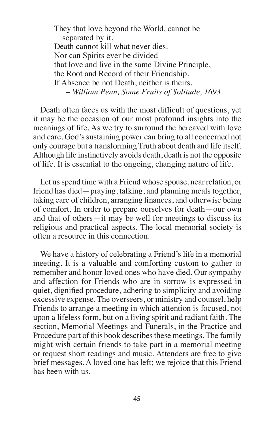They that love beyond the World, cannot be separated by it. Death cannot kill what never dies. Nor can Spirits ever be divided that love and live in the same Divine Principle, the Root and Record of their Friendship. If Absence be not Death, neither is theirs. *– William Penn, Some Fruits of Solitude, 1693*

Death often faces us with the most difficult of questions, yet it may be the occasion of our most profound insights into the meanings of life. As we try to surround the bereaved with love and care, God's sustaining power can bring to all concerned not only courage but a transforming Truth about death and life itself. Although life instinctively avoids death, death is not the opposite of life. It is essential to the ongoing, changing nature of life.

Let us spend time with a Friend whose spouse, near relation, or friend has died—praying, talking, and planning meals together, taking care of children, arranging finances, and otherwise being of comfort. In order to prepare ourselves for death—our own and that of others—it may be well for meetings to discuss its religious and practical aspects. The local memorial society is often a resource in this connection.

We have a history of celebrating a Friend's life in a memorial meeting. It is a valuable and comforting custom to gather to remember and honor loved ones who have died. Our sympathy and affection for Friends who are in sorrow is expressed in quiet, dignified procedure, adhering to simplicity and avoiding excessive expense. The overseers, or ministry and counsel, help Friends to arrange a meeting in which attention is focused, not upon a lifeless form, but on a living spirit and radiant faith. The section, Memorial Meetings and Funerals, in the Practice and Procedure part of this book describes these meetings. The family might wish certain friends to take part in a memorial meeting or request short readings and music. Attenders are free to give brief messages. A loved one has left; we rejoice that this Friend has been with us.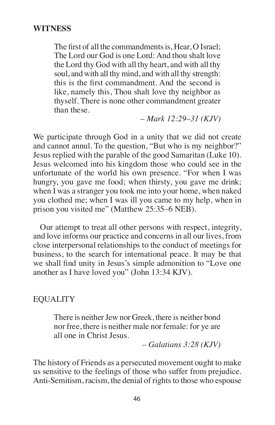#### **WITNESS**

The first of all the commandments is, Hear, O Israel; The Lord our God is one Lord: And thou shalt love the Lord thy God with all thy heart, and with all thy soul, and with all thy mind, and with all thy strength: this is the first commandment. And the second is like, namely this, Thou shalt love thy neighbor as thyself. There is none other commandment greater than these.

*– Mark 12:29–31 (KJV)*

We participate through God in a unity that we did not create and cannot annul. To the question, "But who is my neighbor?" Jesus replied with the parable of the good Samaritan (Luke 10). Jesus welcomed into his kingdom those who could see in the unfortunate of the world his own presence. "For when I was hungry, you gave me food; when thirsty, you gave me drink; when I was a stranger you took me into your home, when naked you clothed me; when I was ill you came to my help, when in prison you visited me" (Matthew 25:35–6 NEB).

Our attempt to treat all other persons with respect, integrity, and love informs our practice and concernsin all our lives, from close interpersonal relationships to the conduct of meetings for business, to the search for international peace. It may be that we shall find unity in Jesus's simple admonition to "Love one another as I have loved you" (John 13:34 KJV).

### EQUALITY

There is neither Jew nor Greek, there is neither bond nor free, there is neither male nor female: for ye are all one in Christ Jesus.

*– Galatians 3:28 (KJV)*

The history of Friends as a persecuted movement ought to make us sensitive to the feelings of those who suffer from prejudice. Anti-Semitism, racism, the denial of rights to those who espouse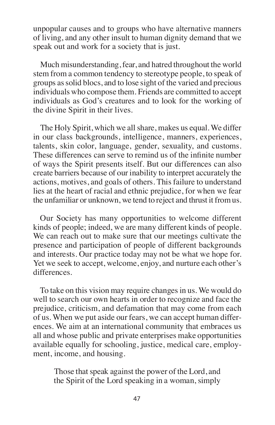unpopular causes and to groups who have alternative manners of living, and any other insult to human dignity demand that we speak out and work for a society that is just.

Much misunderstanding, fear, and hatred throughout the world stem from a common tendency to stereotype people, to speak of groups assolid blocs, and to lose sight of the varied and precious individuals who compose them. Friends are committed to accept individuals as God's creatures and to look for the working of the divine Spirit in their lives.

The Holy Spirit, which we all share, makes us equal. We differ in our class backgrounds, intelligence, manners, experiences, talents, skin color, language, gender, sexuality, and customs. These differences can serve to remind us of the infinite number of ways the Spirit presents itself. But our differences can also create barriers because of our inability to interpret accurately the actions, motives, and goals of others. This failure to understand lies at the heart of racial and ethnic prejudice, for when we fear the unfamiliar or unknown, we tend to reject and thrust it from us.

Our Society has many opportunities to welcome different kinds of people; indeed, we are many different kinds of people. We can reach out to make sure that our meetings cultivate the presence and participation of people of different backgrounds and interests. Our practice today may not be what we hope for. Yet we seek to accept, welcome, enjoy, and nurture each other's differences.

To take on this vision may require changes in us. We would do well to search our own hearts in order to recognize and face the prejudice, criticism, and defamation that may come from each of us. When we put aside our fears, we can accept human differences. We aim at an international community that embraces us all and whose public and private enterprises make opportunities available equally for schooling, justice, medical care, employment, income, and housing.

Those that speak against the power of the Lord, and the Spirit of the Lord speaking in a woman, simply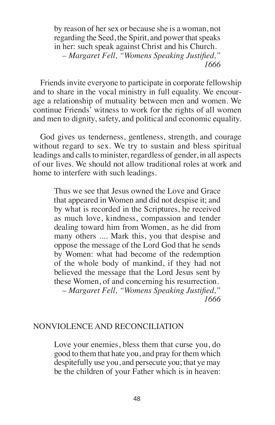by reason of her sex or because she is a woman, not regarding the Seed, the Spirit, and power that speaks in her: such speak against Christ and his Church. *– Margaret Fell, "Womens Speaking Justified," 1666*

Friends invite everyone to participate in corporate fellowship and to share in the vocal ministry in full equality. We encourage a relationship of mutuality between men and women. We continue Friends' witness to work for the rights of all women and men to dignity, safety, and political and economic equality.

God gives us tenderness, gentleness, strength, and courage without regard to sex. We try to sustain and bless spiritual leadings and calls to minister, regardless of gender, in all aspects of our lives. We should not allow traditional roles at work and home to interfere with such leadings.

Thus we see that Jesus owned the Love and Grace that appeared in Women and did not despise it; and by what is recorded in the Scriptures, he received as much love, kindness, compassion and tender dealing toward him from Women, as he did from many others .... Mark this, you that despise and oppose the message of the Lord God that he sends by Women: what had become of the redemption of the whole body of mankind, if they had not believed the message that the Lord Jesus sent by these Women, of and concerning his resurrection. *– Margaret Fell, "Womens Speaking Justified," 1666*

### NONVIOLENCE AND RECONCILIATION

Love your enemies, bless them that curse you, do good to them that hate you, and pray for them which despitefully use you, and persecute you; that ye may be the children of your Father which is in heaven: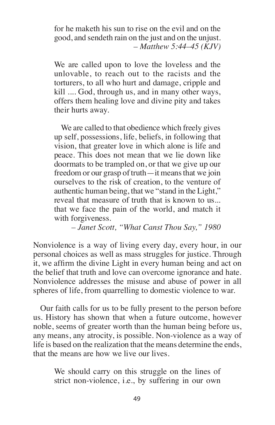for he maketh his sun to rise on the evil and on the good, and sendeth rain on the just and on the unjust. *– Matthew 5:44–45 (KJV)*

We are called upon to love the loveless and the unlovable, to reach out to the racists and the torturers, to all who hurt and damage, cripple and kill .... God, through us, and in many other ways, offers them healing love and divine pity and takes their hurts away.

We are called to that obedience which freely gives up self, possessions, life, beliefs, in following that vision, that greater love in which alone is life and peace. This does not mean that we lie down like doormats to be trampled on, or that we give up our freedom or our grasp of truth—it means that we join ourselves to the risk of creation, to the venture of authentic human being, that we "stand in the Light," reveal that measure of truth that is known to us... that we face the pain of the world, and match it with forgiveness.

*– Janet Scott, "What Canst Thou Say," 1980*

Nonviolence is a way of living every day, every hour, in our personal choices as well as mass struggles for justice. Through it, we affirm the divine Light in every human being and act on the belief that truth and love can overcome ignorance and hate. Nonviolence addresses the misuse and abuse of power in all spheres of life, from quarrelling to domestic violence to war.

Our faith calls for us to be fully present to the person before us. History has shown that when a future outcome, however noble, seems of greater worth than the human being before us, any means, any atrocity, is possible. Non-violence as a way of life is based on the realization that the means determine the ends, that the means are how we live our lives.

We should carry on this struggle on the lines of strict non-violence, i.e., by suffering in our own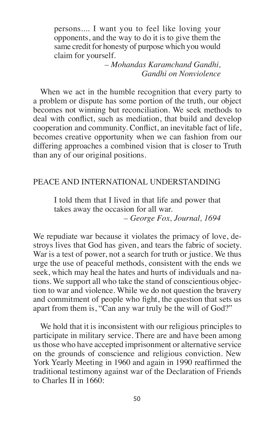persons.... I want you to feel like loving your opponents, and the way to do it is to give them the same credit for honesty of purpose which you would claim for yourself.

> *– Mohandas Karamchand Gandhi, Gandhi on Nonviolence*

When we act in the humble recognition that every party to a problem or dispute has some portion of the truth, our object becomes not winning but reconciliation. We seek methods to deal with conflict, such as mediation, that build and develop cooperation and community. Conflict, an inevitable fact of life, becomes creative opportunity when we can fashion from our differing approaches a combined vision that is closer to Truth than any of our original positions.

### PEACE AND INTERNATIONAL UNDERSTANDING

I told them that I lived in that life and power that takes away the occasion for all war. *– George Fox, Journal, 1694*

We repudiate war because it violates the primacy of love, destroys lives that God has given, and tears the fabric of society. War is a test of power, not a search for truth or justice. We thus urge the use of peaceful methods, consistent with the ends we seek, which may heal the hates and hurts of individuals and nations. We support all who take the stand of conscientious objection to war and violence. While we do not question the bravery and commitment of people who fight, the question that sets us apart from them is, "Can any war truly be the will of God?"

We hold that it is inconsistent with our religious principles to participate in military service. There are and have been among usthose who have accepted imprisonment or alternative service on the grounds of conscience and religious conviction. New York Yearly Meeting in 1960 and again in 1990 reaffirmed the traditional testimony against war of the Declaration of Friends to Charles II in 1660: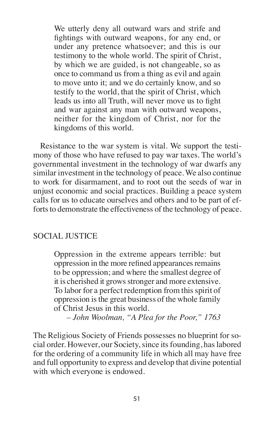We utterly deny all outward wars and strife and fightings with outward weapons, for any end, or under any pretence whatsoever; and this is our testimony to the whole world. The spirit of Christ, by which we are guided, is not changeable, so as once to command us from a thing as evil and again to move unto it; and we do certainly know, and so testify to the world, that the spirit of Christ, which leads us into all Truth, will never move us to fight and war against any man with outward weapons, neither for the kingdom of Christ, nor for the kingdoms of this world.

Resistance to the war system is vital. We support the testimony of those who have refused to pay war taxes. The world's governmental investment in the technology of war dwarfs any similar investment in the technology of peace. We also continue to work for disarmament, and to root out the seeds of war in unjust economic and social practices. Building a peace system calls for us to educate ourselves and others and to be part of efforts to demonstrate the effectiveness of the technology of peace.

# SOCIAL JUSTICE

Oppression in the extreme appears terrible: but oppression in the more refined appearances remains to be oppression; and where the smallest degree of it is cherished it grows stronger and more extensive. To labor for a perfect redemption from this spirit of oppression isthe great business of the whole family of Christ Jesus in this world.

*– John Woolman, "A Plea for the Poor," 1763*

The Religious Society of Friends possesses no blueprint for social order. However, our Society, since its founding, has labored for the ordering of a community life in which all may have free and full opportunity to express and develop that divine potential with which everyone is endowed.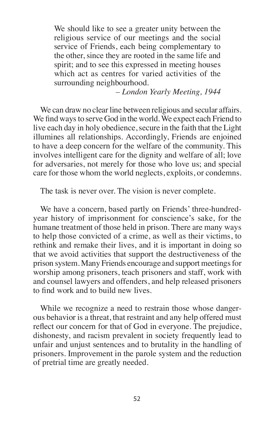We should like to see a greater unity between the religious service of our meetings and the social service of Friends, each being complementary to the other, since they are rooted in the same life and spirit; and to see this expressed in meeting houses which act as centres for varied activities of the surrounding neighbourhood.

*– London Yearly Meeting, 1944*

We can draw no clear line between religious and secular affairs. We find ways to serve God in the world. We expect each Friend to live each day in holy obedience, secure in the faith that the Light illumines all relationships. Accordingly, Friends are enjoined to have a deep concern for the welfare of the community. This involves intelligent care for the dignity and welfare of all; love for adversaries, not merely for those who love us; and special care for those whom the world neglects, exploits, or condemns.

The task is never over. The vision is never complete.

We have a concern, based partly on Friends' three-hundredyear history of imprisonment for conscience's sake, for the humane treatment of those held in prison. There are many ways to help those convicted of a crime, as well as their victims, to rethink and remake their lives, and it is important in doing so that we avoid activities that support the destructiveness of the prison system. Many Friends encourage and support meetings for worship among prisoners, teach prisoners and staff, work with and counsel lawyers and offenders, and help released prisoners to find work and to build new lives.

While we recognize a need to restrain those whose dangerous behavior is a threat, that restraint and any help offered must reflect our concern for that of God in everyone. The prejudice, dishonesty, and racism prevalent in society frequently lead to unfair and unjust sentences and to brutality in the handling of prisoners. Improvement in the parole system and the reduction of pretrial time are greatly needed.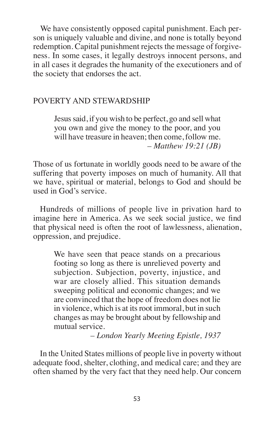We have consistently opposed capital punishment. Each person is uniquely valuable and divine, and none is totally beyond redemption. Capital punishment rejects the message of forgiveness. In some cases, it legally destroys innocent persons, and in all cases it degrades the humanity of the executioners and of the society that endorses the act.

# POVERTY AND STEWARDSHIP

Jesus said, if you wish to be perfect, go and sell what you own and give the money to the poor, and you will have treasure in heaven; then come, follow me. *– Matthew 19:21 (JB)*

Those of us fortunate in worldly goods need to be aware of the suffering that poverty imposes on much of humanity. All that we have, spiritual or material, belongs to God and should be used in God's service.

Hundreds of millions of people live in privation hard to imagine here in America. As we seek social justice, we find that physical need is often the root of lawlessness, alienation, oppression, and prejudice.

We have seen that peace stands on a precarious footing so long as there is unrelieved poverty and subjection. Subjection, poverty, injustice, and war are closely allied. This situation demands sweeping political and economic changes; and we are convinced that the hope of freedom does not lie in violence, which is at its root immoral, but in such changes as may be brought about by fellowship and mutual service.

*– London Yearly Meeting Epistle, 1937*

In the United States millions of people live in poverty without adequate food, shelter, clothing, and medical care; and they are often shamed by the very fact that they need help. Our concern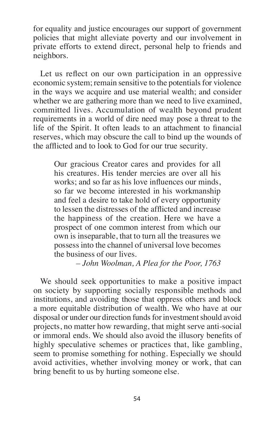for equality and justice encourages our support of government policies that might alleviate poverty and our involvement in private efforts to extend direct, personal help to friends and neighbors.

Let us reflect on our own participation in an oppressive economic system; remain sensitive to the potentials for violence in the ways we acquire and use material wealth; and consider whether we are gathering more than we need to live examined, committed lives. Accumulation of wealth beyond prudent requirements in a world of dire need may pose a threat to the life of the Spirit. It often leads to an attachment to financial reserves, which may obscure the call to bind up the wounds of the afflicted and to look to God for our true security.

Our gracious Creator cares and provides for all his creatures. His tender mercies are over all his works; and so far as his love influences our minds, so far we become interested in his workmanship and feel a desire to take hold of every opportunity to lessen the distresses of the afflicted and increase the happiness of the creation. Here we have a prospect of one common interest from which our own is inseparable, that to turn all the treasures we possess into the channel of universal love becomes the business of our lives.

# *– John Woolman, A Plea for the Poor, 1763*

We should seek opportunities to make a positive impact on society by supporting socially responsible methods and institutions, and avoiding those that oppress others and block a more equitable distribution of wealth. We who have at our disposal or under our direction funds for investment should avoid projects, no matter how rewarding, that might serve anti-social or immoral ends. We should also avoid the illusory benefits of highly speculative schemes or practices that, like gambling, seem to promise something for nothing. Especially we should avoid activities, whether involving money or work, that can bring benefit to us by hurting someone else.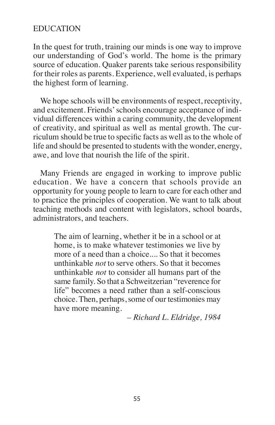# EDUCATION

In the quest for truth, training our minds is one way to improve our understanding of God's world. The home is the primary source of education. Quaker parents take serious responsibility for their roles as parents. Experience, well evaluated, is perhaps the highest form of learning.

We hope schools will be environments of respect, receptivity, and excitement. Friends'schools encourage acceptance of individual differences within a caring community, the development of creativity, and spiritual as well as mental growth. The curriculum should be true to specific facts as well asto the whole of life and should be presented to students with the wonder, energy, awe, and love that nourish the life of the spirit.

Many Friends are engaged in working to improve public education. We have a concern that schools provide an opportunity for young people to learn to care for each other and to practice the principles of cooperation. We want to talk about teaching methods and content with legislators, school boards, administrators, and teachers.

The aim of learning, whether it be in a school or at home, is to make whatever testimonies we live by more of a need than a choice.... So that it becomes unthinkable *not* to serve others. So that it becomes unthinkable *not* to consider all humans part of the same family. So that a Schweitzerian "reverence for life" becomes a need rather than a self-conscious choice. Then, perhaps, some of our testimonies may have more meaning.

*– Richard L. Eldridge, 1984*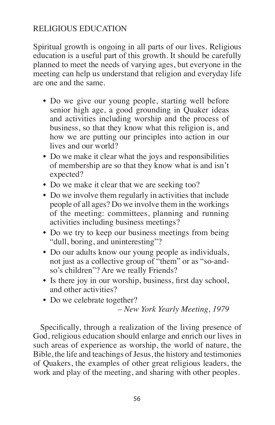# RELIGIOUS EDUCATION

Spiritual growth is ongoing in all parts of our lives. Religious education is a useful part of this growth. It should be carefully planned to meet the needs of varying ages, but everyone in the meeting can help us understand that religion and everyday life are one and the same.

- Do we give our young people, starting well before senior high age, a good grounding in Quaker ideas and activities including worship and the process of business, so that they know what this religion is, and how we are putting our principles into action in our lives and our world?
- Do we make it clear what the joys and responsibilities of membership are so that they know what is and isn't expected?
- Do we make it clear that we are seeking too?
- Do we involve them regularly in activities that include people of all ages? Do we involve them in the workings of the meeting: committees, planning and running activities including business meetings?
- Do we try to keep our business meetings from being "dull, boring, and uninteresting"?
- Do our adults know our young people as individuals, not just as a collective group of "them" or as "so-andso's children"? Are we really Friends?
- Is there joy in our worship, business, first day school, and other activities?
- Do we celebrate together?

*– New York Yearly Meeting, 1979*

Specifically, through a realization of the living presence of God, religious education should enlarge and enrich our lives in such areas of experience as worship, the world of nature, the Bible, the life and teachings of Jesus, the history and testimonies of Quakers, the examples of other great religious leaders, the work and play of the meeting, and sharing with other peoples.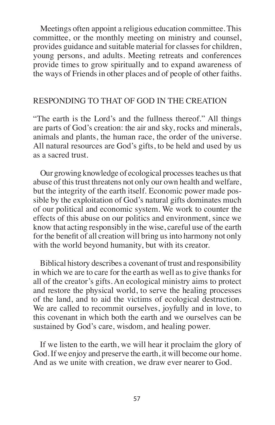Meetings often appoint a religious education committee. This committee, or the monthly meeting on ministry and counsel, provides guidance and suitable material for classes for children, young persons, and adults. Meeting retreats and conferences provide times to grow spiritually and to expand awareness of the ways of Friends in other places and of people of other faiths.

# RESPONDING TO THAT OF GOD IN THE CREATION

"The earth is the Lord's and the fullness thereof." All things are parts of God's creation: the air and sky, rocks and minerals, animals and plants, the human race, the order of the universe. All natural resources are God's gifts, to be held and used by us as a sacred trust.

Our growing knowledge of ecological processesteaches usthat abuse of this trust threatens not only our own health and welfare, but the integrity of the earth itself. Economic power made possible by the exploitation of God's natural gifts dominates much of our political and economic system. We work to counter the effects of this abuse on our politics and environment, since we know that acting responsibly in the wise, careful use of the earth for the benefit of all creation will bring usinto harmony not only with the world beyond humanity, but with its creator.

Biblical history describes a covenant of trust and responsibility in which we are to care for the earth as well as to give thanks for all of the creator's gifts. An ecological ministry aims to protect and restore the physical world, to serve the healing processes of the land, and to aid the victims of ecological destruction. We are called to recommit ourselves, joyfully and in love, to this covenant in which both the earth and we ourselves can be sustained by God's care, wisdom, and healing power.

If we listen to the earth, we will hear it proclaim the glory of God. If we enjoy and preserve the earth, it will become our home. And as we unite with creation, we draw ever nearer to God.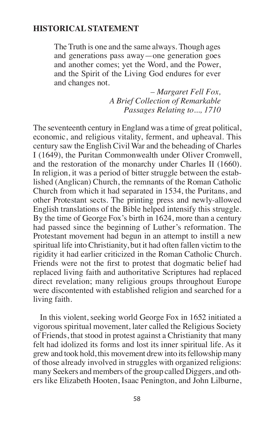### **HISTORICAL STATEMENT**

The Truth is one and the same always. Though ages and generations pass away—one generation goes and another comes; yet the Word, and the Power, and the Spirit of the Living God endures for ever and changes not.

> *– Margaret Fell Fox, A Brief Collection of Remarkable Passages Relating to..., 1710*

The seventeenth century in England was a time of great political, economic, and religious vitality, ferment, and upheaval. This century saw the English Civil War and the beheading of Charles I (1649), the Puritan Commonwealth under Oliver Cromwell, and the restoration of the monarchy under Charles II (1660). In religion, it was a period of bitter struggle between the established (Anglican) Church, the remnants of the Roman Catholic Church from which it had separated in 1534, the Puritans, and other Protestant sects. The printing press and newly-allowed English translations of the Bible helped intensify this struggle. By the time of George Fox's birth in 1624, more than a century had passed since the beginning of Luther's reformation. The Protestant movement had begun in an attempt to instill a new spiritual life into Christianity, but it had often fallen victim to the rigidity it had earlier criticized in the Roman Catholic Church. Friends were not the first to protest that dogmatic belief had replaced living faith and authoritative Scriptures had replaced direct revelation; many religious groups throughout Europe were discontented with established religion and searched for a living faith.

In this violent, seeking world George Fox in 1652 initiated a vigorous spiritual movement, later called the Religious Society of Friends, that stood in protest against a Christianity that many felt had idolized its forms and lost its inner spiritual life. As it grew and took hold, this movement drew into itsfellowship many of those already involved in struggles with organized religions: many Seekers and members of the group called Diggers, and others like Elizabeth Hooten, Isaac Penington, and John Lilburne,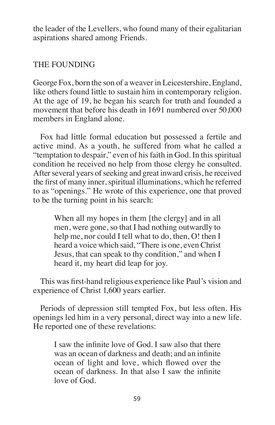the leader of the Levellers, who found many of their egalitarian aspirations shared among Friends.

# THE FOUNDING

George Fox, born the son of a weaver in Leicestershire, England, like others found little to sustain him in contemporary religion. At the age of 19, he began his search for truth and founded a movement that before his death in 1691 numbered over 50,000 members in England alone.

Fox had little formal education but possessed a fertile and active mind. As a youth, he suffered from what he called a "temptation to despair," even of his faith in God. In this spiritual condition he received no help from those clergy he consulted. After several years of seeking and great inward crisis, he received the first of many inner,spiritual illuminations, which he referred to as "openings." He wrote of this experience, one that proved to be the turning point in his search:

When all my hopes in them [the clergy] and in all men, were gone, so that I had nothing outwardly to help me, nor could I tell what to do, then, O! then I heard a voice which said, "There is one, even Christ Jesus, that can speak to thy condition," and when I heard it, my heart did leap for joy.

This was first-hand religious experience like Paul's vision and experience of Christ 1,600 years earlier.

Periods of depression still tempted Fox, but less often. His openings led him in a very personal, direct way into a new life. He reported one of these revelations:

I saw the infinite love of God. I saw also that there was an ocean of darkness and death; and an infinite ocean of light and love, which flowed over the ocean of darkness. In that also I saw the infinite love of God.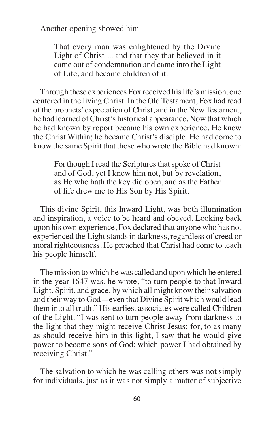Another opening showed him

That every man was enlightened by the Divine Light of Christ ... and that they that believed in it came out of condemnation and came into the Light of Life, and became children of it.

Through these experiences Fox received his life's mission, one centered in the living Christ. In the Old Testament, Fox had read of the prophets'expectation of Christ, and in the New Testament, he had learned of Christ's historical appearance. Now that which he had known by report became his own experience. He knew the Christ Within; he became Christ's disciple. He had come to know the same Spirit that those who wrote the Bible had known:

For though I read the Scriptures that spoke of Christ and of God, yet I knew him not, but by revelation, as He who hath the key did open, and as the Father of life drew me to His Son by His Spirit.

This divine Spirit, this Inward Light, was both illumination and inspiration, a voice to be heard and obeyed. Looking back upon his own experience, Fox declared that anyone who has not experienced the Light stands in darkness, regardless of creed or moral righteousness. He preached that Christ had come to teach his people himself.

The mission to which he was called and upon which he entered in the year 1647 was, he wrote, "to turn people to that Inward Light, Spirit, and grace, by which all might know their salvation and their way to God—even that Divine Spirit which would lead them into all truth." His earliest associates were called Children of the Light. "I was sent to turn people away from darkness to the light that they might receive Christ Jesus; for, to as many as should receive him in this light, I saw that he would give power to become sons of God; which power I had obtained by receiving Christ."

The salvation to which he was calling others was not simply for individuals, just as it was not simply a matter of subjective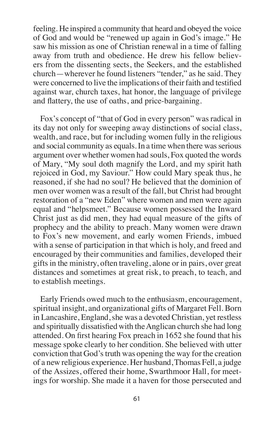feeling. He inspired a community that heard and obeyed the voice of God and would be "renewed up again in God's image." He saw his mission as one of Christian renewal in a time of falling away from truth and obedience. He drew his fellow believers from the dissenting sects, the Seekers, and the established church—wherever he found listeners "tender," as he said. They were concerned to live the implications of their faith and testified against war, church taxes, hat honor, the language of privilege and flattery, the use of oaths, and price-bargaining.

Fox's concept of "that of God in every person" was radical in its day not only for sweeping away distinctions of social class, wealth, and race, but for including women fully in the religious and social community as equals. In a time when there was serious argument over whether women had souls, Fox quoted the words of Mary, "My soul doth magnify the Lord, and my spirit hath rejoiced in God, my Saviour." How could Mary speak thus, he reasoned, if she had no soul? He believed that the dominion of men over women was a result of the fall, but Christ had brought restoration of a "new Eden" where women and men were again equal and "helpsmeet." Because women possessed the Inward Christ just as did men, they had equal measure of the gifts of prophecy and the ability to preach. Many women were drawn to Fox's new movement, and early women Friends, imbued with a sense of participation in that which is holy, and freed and encouraged by their communities and families, developed their gifts in the ministry, often traveling, alone or in pairs, over great distances and sometimes at great risk, to preach, to teach, and to establish meetings.

Early Friends owed much to the enthusiasm, encouragement, spiritual insight, and organizational gifts of Margaret Fell. Born in Lancashire, England, she was a devoted Christian, yet restless and spiritually dissatisfied with theAnglican church she had long attended. On first hearing Fox preach in 1652 she found that his message spoke clearly to her condition. She believed with utter conviction that God's truth was opening the way for the creation of a new religious experience. Her husband,Thomas Fell, a judge of the Assizes, offered their home, Swarthmoor Hall, for meetings for worship. She made it a haven for those persecuted and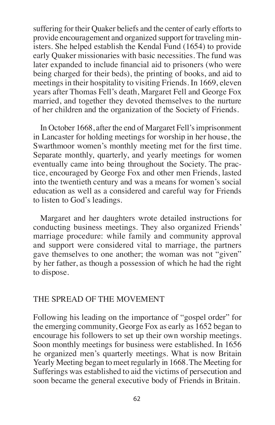suffering for their Quaker beliefs and the center of early efforts to provide encouragement and organized support for traveling ministers. She helped establish the Kendal Fund (1654) to provide early Quaker missionaries with basic necessities. The fund was later expanded to include financial aid to prisoners (who were being charged for their beds), the printing of books, and aid to meetings in their hospitality to visiting Friends. In 1669, eleven years after Thomas Fell's death, Margaret Fell and George Fox married, and together they devoted themselves to the nurture of her children and the organization of the Society of Friends.

In October 1668, after the end of Margaret Fell's imprisonment in Lancaster for holding meetings for worship in her house, the Swarthmoor women's monthly meeting met for the first time. Separate monthly, quarterly, and yearly meetings for women eventually came into being throughout the Society. The practice, encouraged by George Fox and other men Friends, lasted into the twentieth century and was a means for women's social education as well as a considered and careful way for Friends to listen to God's leadings.

Margaret and her daughters wrote detailed instructions for conducting business meetings. They also organized Friends' marriage procedure: while family and community approval and support were considered vital to marriage, the partners gave themselves to one another; the woman was not "given" by her father, as though a possession of which he had the right to dispose.

# THE SPREAD OF THE MOVEMENT

Following his leading on the importance of "gospel order" for the emerging community, George Fox as early as 1652 began to encourage his followers to set up their own worship meetings. Soon monthly meetings for business were established. In 1656 he organized men's quarterly meetings. What is now Britain Yearly Meeting began to meet regularly in 1668.The Meeting for Sufferings was established to aid the victims of persecution and soon became the general executive body of Friends in Britain.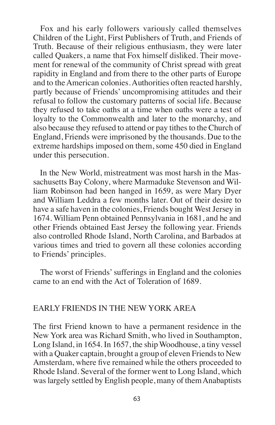Fox and his early followers variously called themselves Children of the Light, First Publishers of Truth, and Friends of Truth. Because of their religious enthusiasm, they were later called Quakers, a name that Fox himself disliked. Their movement for renewal of the community of Christ spread with great rapidity in England and from there to the other parts of Europe and to the American colonies. Authorities often reacted harshly, partly because of Friends' uncompromising attitudes and their refusal to follow the customary patterns of social life. Because they refused to take oaths at a time when oaths were a test of loyalty to the Commonwealth and later to the monarchy, and also because they refused to attend or pay tithes to the Church of England, Friends were imprisoned by the thousands. Due to the extreme hardships imposed on them, some 450 died in England under this persecution.

In the New World, mistreatment was most harsh in the Massachusetts Bay Colony, where Marmaduke Stevenson and William Robinson had been hanged in 1659, as were Mary Dyer and William Leddra a few months later. Out of their desire to have a safe haven in the colonies, Friends bought West Jersey in 1674. William Penn obtained Pennsylvania in 1681, and he and other Friends obtained East Jersey the following year. Friends also controlled Rhode Island, North Carolina, and Barbados at various times and tried to govern all these colonies according to Friends' principles.

The worst of Friends'sufferings in England and the colonies came to an end with the Act of Toleration of 1689.

### EARLY FRIENDS IN THE NEW YORK AREA

The first Friend known to have a permanent residence in the New York area was Richard Smith, who lived in Southampton, Long Island, in 1654. In 1657, the ship Woodhouse, a tiny vessel with a Quaker captain, brought a group of eleven Friends to New Amsterdam, where five remained while the others proceeded to Rhode Island. Several of the former went to Long Island, which waslargely settled by English people, many of themAnabaptists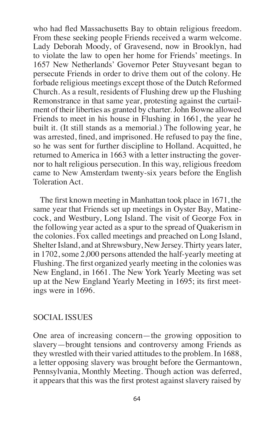who had fled Massachusetts Bay to obtain religious freedom. From these seeking people Friends received a warm welcome. Lady Deborah Moody, of Gravesend, now in Brooklyn, had to violate the law to open her home for Friends' meetings. In 1657 New Netherlands' Governor Peter Stuyvesant began to persecute Friends in order to drive them out of the colony. He forbade religious meetings except those of the Dutch Reformed Church. As a result, residents of Flushing drew up the Flushing Remonstrance in that same year, protesting against the curtailment of their liberties as granted by charter.John Bowne allowed Friends to meet in his house in Flushing in 1661, the year he built it. (It still stands as a memorial.) The following year, he was arrested, fined, and imprisoned. He refused to pay the fine, so he was sent for further discipline to Holland. Acquitted, he returned to America in 1663 with a letter instructing the governor to halt religious persecution. In this way, religious freedom came to New Amsterdam twenty-six years before the English Toleration Act.

The first known meeting in Manhattan took place in 1671, the same year that Friends set up meetings in Oyster Bay, Matinecock, and Westbury, Long Island. The visit of George Fox in the following year acted as a spur to the spread of Quakerism in the colonies. Fox called meetings and preached on Long Island, Shelter Island, and at Shrewsbury, New Jersey. Thirty years later, in 1702, some 2,000 persons attended the half-yearly meeting at Flushing. The first organized yearly meeting in the colonies was New England, in 1661. The New York Yearly Meeting was set up at the New England Yearly Meeting in 1695; its first meetings were in 1696.

# SOCIAL ISSUES

One area of increasing concern—the growing opposition to slavery—brought tensions and controversy among Friends as they wrestled with their varied attitudes to the problem. In 1688, a letter opposing slavery was brought before the Germantown, Pennsylvania, Monthly Meeting. Though action was deferred, it appears that this was the first protest against slavery raised by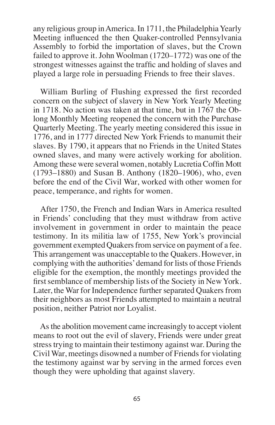any religious group inAmerica. In 1711, the Philadelphia Yearly Meeting influenced the then Quaker-controlled Pennsylvania Assembly to forbid the importation of slaves, but the Crown failed to approve it. John Woolman (1720–1772) was one of the strongest witnesses against the traffic and holding of slaves and played a large role in persuading Friends to free their slaves.

William Burling of Flushing expressed the first recorded concern on the subject of slavery in New York Yearly Meeting in 1718. No action was taken at that time, but in 1767 the Oblong Monthly Meeting reopened the concern with the Purchase Quarterly Meeting. The yearly meeting considered this issue in 1776, and in 1777 directed New York Friends to manumit their slaves. By 1790, it appears that no Friends in the United States owned slaves, and many were actively working for abolition. Among these were several women, notably Lucretia Coffin Mott (1793–1880) and Susan B. Anthony (1820–1906), who, even before the end of the Civil War, worked with other women for peace, temperance, and rights for women.

After 1750, the French and Indian Wars in America resulted in Friends' concluding that they must withdraw from active involvement in government in order to maintain the peace testimony. In its militia law of 1755, New York's provincial government exempted Quakers from service on payment of a fee. This arrangement was unacceptable to the Quakers. However, in complying with the authorities'demand for lists of those Friends eligible for the exemption, the monthly meetings provided the first semblance of membership lists of the Society in New York. Later, the War for Independence further separated Quakers from their neighbors as most Friends attempted to maintain a neutral position, neither Patriot nor Loyalist.

Asthe abolition movement came increasingly to accept violent means to root out the evil of slavery, Friends were under great stress trying to maintain their testimony against war. During the Civil War, meetings disowned a number of Friends for violating the testimony against war by serving in the armed forces even though they were upholding that against slavery.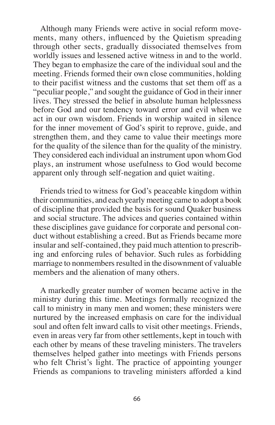Although many Friends were active in social reform movements, many others, influenced by the Quietism spreading through other sects, gradually dissociated themselves from worldly issues and lessened active witness in and to the world. They began to emphasize the care of the individual soul and the meeting. Friends formed their own close communities, holding to their pacifist witness and the customs that set them off as a "peculiar people," and sought the guidance of God in their inner lives. They stressed the belief in absolute human helplessness before God and our tendency toward error and evil when we act in our own wisdom. Friends in worship waited in silence for the inner movement of God's spirit to reprove, guide, and strengthen them, and they came to value their meetings more for the quality of the silence than for the quality of the ministry. They considered each individual an instrument upon whom God plays, an instrument whose usefulness to God would become apparent only through self-negation and quiet waiting.

Friends tried to witness for God's peaceable kingdom within their communities, and each yearly meeting came to adopt a book of discipline that provided the basis for sound Quaker business and social structure. The advices and queries contained within these disciplines gave guidance for corporate and personal conduct without establishing a creed. But as Friends became more insular and self-contained, they paid much attention to prescribing and enforcing rules of behavior. Such rules as forbidding marriage to nonmembers resulted in the disownment of valuable members and the alienation of many others.

A markedly greater number of women became active in the ministry during this time. Meetings formally recognized the call to ministry in many men and women; these ministers were nurtured by the increased emphasis on care for the individual soul and often felt inward calls to visit other meetings. Friends, even in areas very far from other settlements, kept in touch with each other by means of these traveling ministers. The travelers themselves helped gather into meetings with Friends persons who felt Christ's light. The practice of appointing younger Friends as companions to traveling ministers afforded a kind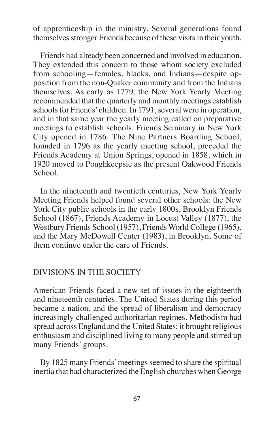of apprenticeship in the ministry. Several generations found themselves stronger Friends because of these visits in their youth.

Friends had already been concerned and involved in education. They extended this concern to those whom society excluded from schooling—females, blacks, and Indians—despite opposition from the non-Quaker community and from the Indians themselves. As early as 1779, the New York Yearly Meeting recommended that the quarterly and monthly meetings establish schools for Friends' children. In 1791, several were in operation, and in that same year the yearly meeting called on preparative meetings to establish schools. Friends Seminary in New York City opened in 1786. The Nine Partners Boarding School, founded in 1796 as the yearly meeting school, preceded the Friends Academy at Union Springs, opened in 1858, which in 1920 moved to Poughkeepsie as the present Oakwood Friends School.

In the nineteenth and twentieth centuries, New York Yearly Meeting Friends helped found several other schools: the New York City public schools in the early 1800s, Brooklyn Friends School (1867), Friends Academy in Locust Valley (1877), the Westbury Friends School (1957), Friends World College (1965), and the Mary McDowell Center (1983), in Brooklyn. Some of them continue under the care of Friends.

# DIVISIONS IN THE SOCIETY

American Friends faced a new set of issues in the eighteenth and nineteenth centuries. The United States during this period became a nation, and the spread of liberalism and democracy increasingly challenged authoritarian regimes. Methodism had spread across England and the United States; it brought religious enthusiasm and disciplined living to many people and stirred up many Friends' groups.

By 1825 many Friends' meetings seemed to share the spiritual inertia that had characterized the English churches when George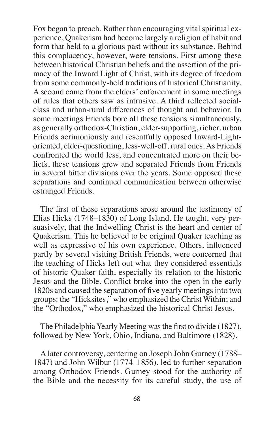Fox began to preach. Rather than encouraging vital spiritual experience, Quakerism had become largely a religion of habit and form that held to a glorious past without its substance. Behind this complacency, however, were tensions. First among these between historical Christian beliefs and the assertion of the primacy of the Inward Light of Christ, with its degree of freedom from some commonly-held traditions of historical Christianity. A second came from the elders' enforcement in some meetings of rules that others saw as intrusive. A third reflected socialclass and urban-rural differences of thought and behavior. In some meetings Friends bore all these tensions simultaneously, as generally orthodox-Christian, elder-supporting, richer, urban Friends acrimoniously and resentfully opposed Inward-Lightoriented, elder-questioning, less-well-off, rural ones.As Friends confronted the world less, and concentrated more on their beliefs, these tensions grew and separated Friends from Friends in several bitter divisions over the years. Some opposed these separations and continued communication between otherwise estranged Friends.

The first of these separations arose around the testimony of Elias Hicks (1748–1830) of Long Island. He taught, very persuasively, that the Indwelling Christ is the heart and center of Quakerism. This he believed to be original Quaker teaching as well as expressive of his own experience. Others, influenced partly by several visiting British Friends, were concerned that the teaching of Hicks left out what they considered essentials of historic Quaker faith, especially its relation to the historic Jesus and the Bible. Conflict broke into the open in the early 1820s and caused the separation of five yearly meetingsinto two groups: the "Hicksites," who emphasized the Christ Within; and the "Orthodox," who emphasized the historical Christ Jesus.

The Philadelphia Yearly Meeting was the first to divide (1827), followed by New York, Ohio, Indiana, and Baltimore (1828).

A later controversy, centering on Joseph John Gurney (1788– 1847) and John Wilbur (1774–1856), led to further separation among Orthodox Friends. Gurney stood for the authority of the Bible and the necessity for its careful study, the use of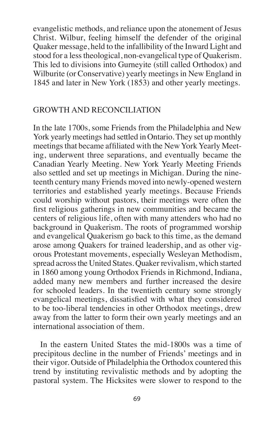evangelistic methods, and reliance upon the atonement of Jesus Christ. Wilbur, feeling himself the defender of the original Quaker message, held to the infallibility of the Inward Light and stood for a lesstheological, non-evangelical type of Quakerism. This led to divisions into Gurneyite (still called Orthodox) and Wilburite (or Conservative) yearly meetings in New England in 1845 and later in New York (1853) and other yearly meetings.

# GROWTH AND RECONCILIATION

In the late 1700s, some Friends from the Philadelphia and New York yearly meetings had settled in Ontario. They set up monthly meetings that became affiliated with the New York Yearly Meeting, underwent three separations, and eventually became the Canadian Yearly Meeting. New York Yearly Meeting Friends also settled and set up meetings in Michigan. During the nineteenth century many Friends moved into newly-opened western territories and established yearly meetings. Because Friends could worship without pastors, their meetings were often the first religious gatherings in new communities and became the centers of religious life, often with many attenders who had no background in Quakerism. The roots of programmed worship and evangelical Quakerism go back to this time, as the demand arose among Quakers for trained leadership, and as other vigorous Protestant movements, especially Wesleyan Methodism, spread across the United States. Quaker revivalism, which started in 1860 among young Orthodox Friends in Richmond, Indiana, added many new members and further increased the desire for schooled leaders. In the twentieth century some strongly evangelical meetings, dissatisfied with what they considered to be too-liberal tendencies in other Orthodox meetings, drew away from the latter to form their own yearly meetings and an international association of them.

In the eastern United States the mid-1800s was a time of precipitous decline in the number of Friends' meetings and in their vigor. Outside of Philadelphia the Orthodox countered this trend by instituting revivalistic methods and by adopting the pastoral system. The Hicksites were slower to respond to the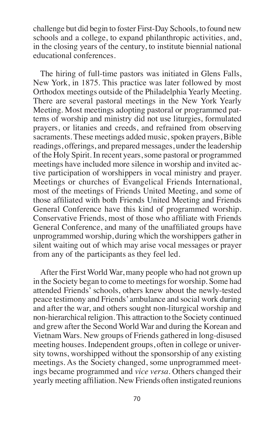challenge but did begin to foster First-Day Schools, to found new schools and a college, to expand philanthropic activities, and, in the closing years of the century, to institute biennial national educational conferences.

The hiring of full-time pastors was initiated in Glens Falls, New York, in 1875. This practice was later followed by most Orthodox meetings outside of the Philadelphia Yearly Meeting. There are several pastoral meetings in the New York Yearly Meeting. Most meetings adopting pastoral or programmed patterns of worship and ministry did not use liturgies, formulated prayers, or litanies and creeds, and refrained from observing sacraments. These meetings added music, spoken prayers, Bible readings, offerings, and prepared messages, under the leadership of the Holy Spirit. In recent years,some pastoral or programmed meetings have included more silence in worship and invited active participation of worshippers in vocal ministry and prayer. Meetings or churches of Evangelical Friends International, most of the meetings of Friends United Meeting, and some of those affiliated with both Friends United Meeting and Friends General Conference have this kind of programmed worship. Conservative Friends, most of those who affiliate with Friends General Conference, and many of the unaffiliated groups have unprogrammed worship, during which the worshippers gather in silent waiting out of which may arise vocal messages or prayer from any of the participants as they feel led.

After the First World War, many people who had not grown up in the Society began to come to meetings for worship. Some had attended Friends' schools, others knew about the newly-tested peace testimony and Friends'ambulance and social work during and after the war, and others sought non-liturgical worship and non-hierarchical religion.This attraction to the Society continued and grew after the Second World War and during the Korean and Vietnam Wars. New groups of Friends gathered in long-disused meeting houses. Independent groups, often in college or university towns, worshipped without the sponsorship of any existing meetings. As the Society changed, some unprogrammed meetings became programmed and *vice versa*. Others changed their yearly meeting affiliation. New Friends often instigated reunions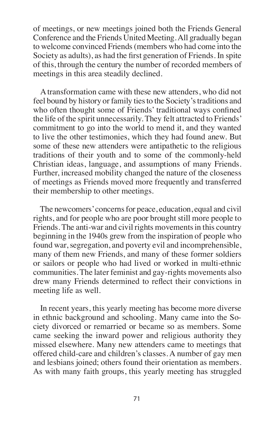of meetings, or new meetings joined both the Friends General Conference and the Friends United Meeting.All gradually began to welcome convinced Friends(members who had come into the Society as adults), as had the first generation of Friends. In spite of this, through the century the number of recorded members of meetings in this area steadily declined.

A transformation came with these new attenders, who did not feel bound by history or family ties to the Society's traditions and who often thought some of Friends' traditional ways confined the life of the spirit unnecessarily. They felt attracted to Friends' commitment to go into the world to mend it, and they wanted to live the other testimonies, which they had found anew. But some of these new attenders were antipathetic to the religious traditions of their youth and to some of the commonly-held Christian ideas, language, and assumptions of many Friends. Further, increased mobility changed the nature of the closeness of meetings as Friends moved more frequently and transferred their membership to other meetings.

The new comers' concerns for peace, education, equal and civil rights, and for people who are poor brought still more people to Friends. The anti-war and civil rights movements in this country beginning in the 1940s grew from the inspiration of people who found war, segregation, and poverty evil and incomprehensible, many of them new Friends, and many of these former soldiers or sailors or people who had lived or worked in multi-ethnic communities. The later feminist and gay-rights movements also drew many Friends determined to reflect their convictions in meeting life as well.

In recent years, this yearly meeting has become more diverse in ethnic background and schooling. Many came into the Society divorced or remarried or became so as members. Some came seeking the inward power and religious authority they missed elsewhere. Many new attenders came to meetings that offered child-care and children's classes. A number of gay men and lesbians joined; others found their orientation as members. As with many faith groups, this yearly meeting has struggled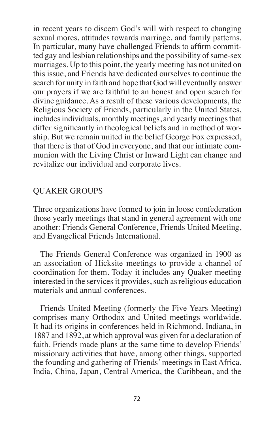in recent years to discern God's will with respect to changing sexual mores, attitudes towards marriage, and family patterns. In particular, many have challenged Friends to affirm committed gay and lesbian relationships and the possibility of same-sex marriages. Up to this point, the yearly meeting has not united on this issue, and Friends have dedicated ourselves to continue the search for unity in faith and hope that God will eventually answer our prayers if we are faithful to an honest and open search for divine guidance. As a result of these various developments, the Religious Society of Friends, particularly in the United States, includes individuals, monthly meetings, and yearly meetings that differ significantly in theological beliefs and in method of worship. But we remain united in the belief George Fox expressed, that there is that of God in everyone, and that our intimate communion with the Living Christ or Inward Light can change and revitalize our individual and corporate lives.

# QUAKER GROUPS

Three organizations have formed to join in loose confederation those yearly meetings that stand in general agreement with one another: Friends General Conference, Friends United Meeting, and Evangelical Friends International.

The Friends General Conference was organized in 1900 as an association of Hicksite meetings to provide a channel of coordination for them. Today it includes any Quaker meeting interested in the services it provides, such as religious education materials and annual conferences.

Friends United Meeting (formerly the Five Years Meeting) comprises many Orthodox and United meetings worldwide. It had its origins in conferences held in Richmond, Indiana, in 1887 and 1892, at which approval was given for a declaration of faith. Friends made plans at the same time to develop Friends' missionary activities that have, among other things, supported the founding and gathering of Friends'meetings in East Africa, India, China, Japan, Central America, the Caribbean, and the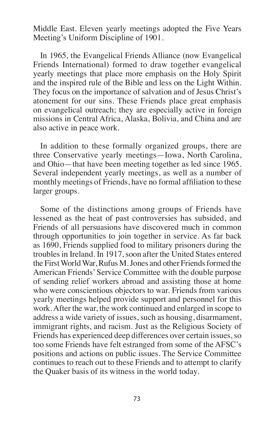Middle East. Eleven yearly meetings adopted the Five Years Meeting's Uniform Discipline of 1901.

In 1965, the Evangelical Friends Alliance (now Evangelical Friends International) formed to draw together evangelical yearly meetings that place more emphasis on the Holy Spirit and the inspired rule of the Bible and less on the Light Within. They focus on the importance of salvation and of Jesus Christ's atonement for our sins. These Friends place great emphasis on evangelical outreach; they are especially active in foreign missions in Central Africa, Alaska, Bolivia, and China and are also active in peace work.

In addition to these formally organized groups, there are three Conservative yearly meetings—Iowa, North Carolina, and Ohio—that have been meeting together as led since 1965. Several independent yearly meetings, as well as a number of monthly meetings of Friends, have no formal affiliation to these larger groups.

Some of the distinctions among groups of Friends have lessened as the heat of past controversies has subsided, and Friends of all persuasions have discovered much in common through opportunities to join together in service. As far back as 1690, Friends supplied food to military prisoners during the troubles in Ireland. In 1917, soon after the United States entered the First World War, Rufus M. Jones and other Friends formed the American Friends'Service Committee with the double purpose of sending relief workers abroad and assisting those at home who were conscientious objectors to war. Friends from various yearly meetings helped provide support and personnel for this work.After the war, the work continued and enlarged in scope to address a wide variety of issues, such as housing, disarmament, immigrant rights, and racism. Just as the Religious Society of Friends has experienced deep differences over certain issues,so too some Friends have felt estranged from some of the AFSC's positions and actions on public issues. The Service Committee continues to reach out to these Friends and to attempt to clarify the Quaker basis of its witness in the world today.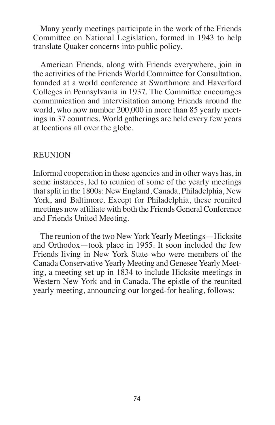Many yearly meetings participate in the work of the Friends Committee on National Legislation, formed in 1943 to help translate Quaker concerns into public policy.

American Friends, along with Friends everywhere, join in the activities of the Friends World Committee for Consultation, founded at a world conference at Swarthmore and Haverford Colleges in Pennsylvania in 1937. The Committee encourages communication and intervisitation among Friends around the world, who now number 200,000 in more than 85 yearly meetings in 37 countries. World gatherings are held every few years at locations all over the globe.

#### REUNION

Informal cooperation in these agencies and in other ways has, in some instances, led to reunion of some of the yearly meetings thatsplit in the 1800s: New England, Canada, Philadelphia, New York, and Baltimore. Except for Philadelphia, these reunited meetings now affiliate with both the Friends General Conference and Friends United Meeting.

The reunion of the two New York Yearly Meetings—Hicksite and Orthodox—took place in 1955. It soon included the few Friends living in New York State who were members of the Canada Conservative Yearly Meeting and Genesee Yearly Meeting, a meeting set up in 1834 to include Hicksite meetings in Western New York and in Canada. The epistle of the reunited yearly meeting, announcing our longed-for healing, follows: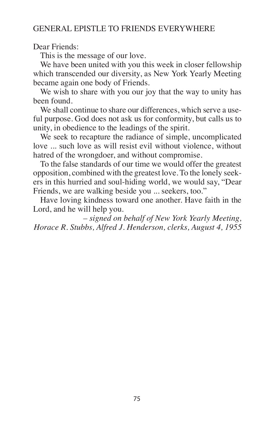### GENERAL EPISTLE TO FRIENDS EVERYWHERE

Dear Friends:

This is the message of our love.

We have been united with you this week in closer fellowship which transcended our diversity, as New York Yearly Meeting became again one body of Friends.

We wish to share with you our joy that the way to unity has been found.

We shall continue to share our differences, which serve a useful purpose. God does not ask us for conformity, but calls us to unity, in obedience to the leadings of the spirit.

We seek to recapture the radiance of simple, uncomplicated love ... such love as will resist evil without violence, without hatred of the wrongdoer, and without compromise.

To the false standards of our time we would offer the greatest opposition, combined with the greatest love. To the lonely seekers in this hurried and soul-hiding world, we would say, "Dear Friends, we are walking beside you ... seekers, too."

Have loving kindness toward one another. Have faith in the Lord, and he will help you.

*– signed on behalf of New York Yearly Meeting, Horace R. Stubbs, Alfred J. Henderson, clerks, August 4, 1955*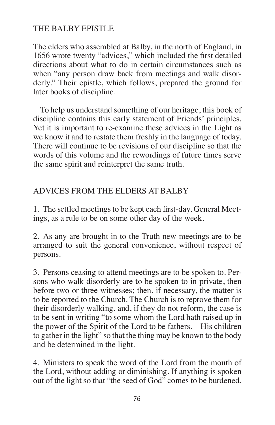# THE BALBY EPISTLE

The elders who assembled at Balby, in the north of England, in 1656 wrote twenty "advices," which included the first detailed directions about what to do in certain circumstances such as when "any person draw back from meetings and walk disorderly." Their epistle, which follows, prepared the ground for later books of discipline.

To help us understand something of our heritage, this book of discipline contains this early statement of Friends' principles. Yet it is important to re-examine these advices in the Light as we know it and to restate them freshly in the language of today. There will continue to be revisions of our discipline so that the words of this volume and the rewordings of future times serve the same spirit and reinterpret the same truth.

# ADVICES FROM THE ELDERS AT BALBY

1. The settled meetings to be kept each first-day. General Meetings, as a rule to be on some other day of the week.

2. As any are brought in to the Truth new meetings are to be arranged to suit the general convenience, without respect of persons.

3. Persons ceasing to attend meetings are to be spoken to. Persons who walk disorderly are to be spoken to in private, then before two or three witnesses; then, if necessary, the matter is to be reported to the Church. The Church is to reprove them for their disorderly walking, and, if they do not reform, the case is to be sent in writing "to some whom the Lord hath raised up in the power of the Spirit of the Lord to be fathers,—His children to gather in the light" so that the thing may be known to the body and be determined in the light.

4. Ministers to speak the word of the Lord from the mouth of the Lord, without adding or diminishing. If anything is spoken out of the light so that "the seed of God" comes to be burdened,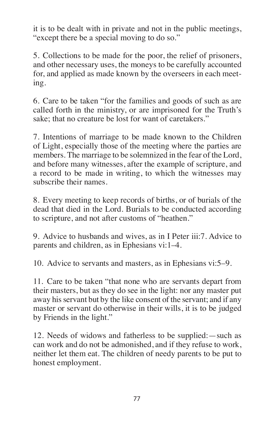it is to be dealt with in private and not in the public meetings, "except there be a special moving to do so."

5. Collections to be made for the poor, the relief of prisoners, and other necessary uses, the moneys to be carefully accounted for, and applied as made known by the overseers in each meeting.

6. Care to be taken "for the families and goods of such as are called forth in the ministry, or are imprisoned for the Truth's sake; that no creature be lost for want of caretakers."

7. Intentions of marriage to be made known to the Children of Light, especially those of the meeting where the parties are members. The marriage to be solemnized in the fear of the Lord, and before many witnesses, after the example of scripture, and a record to be made in writing, to which the witnesses may subscribe their names.

8. Every meeting to keep records of births, or of burials of the dead that died in the Lord. Burials to be conducted according to scripture, and not after customs of "heathen."

9. Advice to husbands and wives, as in I Peter iii:7. Advice to parents and children, as in Ephesians vi:1–4.

10. Advice to servants and masters, as in Ephesians vi:5–9.

11. Care to be taken "that none who are servants depart from their masters, but as they do see in the light: nor any master put away his servant but by the like consent of the servant; and if any master or servant do otherwise in their wills, it is to be judged by Friends in the light."

12. Needs of widows and fatherless to be supplied:—such as can work and do not be admonished, and if they refuse to work, neither let them eat. The children of needy parents to be put to honest employment.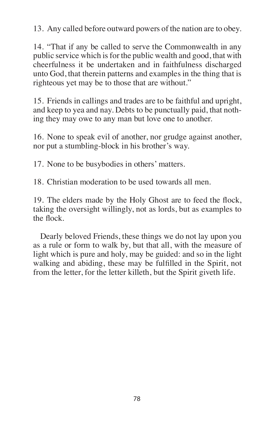13. Any called before outward powers of the nation are to obey.

14. "That if any be called to serve the Commonwealth in any public service which is for the public wealth and good, that with cheerfulness it be undertaken and in faithfulness discharged unto God, that therein patterns and examples in the thing that is righteous yet may be to those that are without."

15. Friends in callings and trades are to be faithful and upright, and keep to yea and nay. Debts to be punctually paid, that nothing they may owe to any man but love one to another.

16. None to speak evil of another, nor grudge against another, nor put a stumbling-block in his brother's way.

17. None to be busybodies in others' matters.

18. Christian moderation to be used towards all men.

19. The elders made by the Holy Ghost are to feed the flock, taking the oversight willingly, not as lords, but as examples to the flock.

Dearly beloved Friends, these things we do not lay upon you as a rule or form to walk by, but that all, with the measure of light which is pure and holy, may be guided: and so in the light walking and abiding, these may be fulfilled in the Spirit, not from the letter, for the letter killeth, but the Spirit giveth life.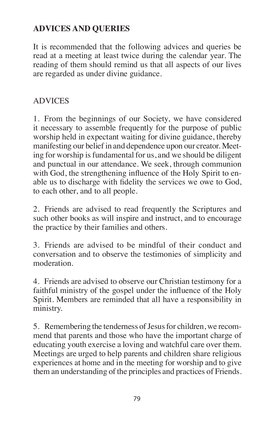# **ADVICES AND QUERIES**

It is recommended that the following advices and queries be read at a meeting at least twice during the calendar year. The reading of them should remind us that all aspects of our lives are regarded as under divine guidance.

# ADVICES

1. From the beginnings of our Society, we have considered it necessary to assemble frequently for the purpose of public worship held in expectant waiting for divine guidance, thereby manifesting our belief in and dependence upon our creator. Meeting for worship is fundamental for us, and we should be diligent and punctual in our attendance. We seek, through communion with God, the strengthening influence of the Holy Spirit to enable us to discharge with fidelity the services we owe to God, to each other, and to all people.

2. Friends are advised to read frequently the Scriptures and such other books as will inspire and instruct, and to encourage the practice by their families and others.

3. Friends are advised to be mindful of their conduct and conversation and to observe the testimonies of simplicity and moderation.

4. Friends are advised to observe our Christian testimony for a faithful ministry of the gospel under the influence of the Holy Spirit. Members are reminded that all have a responsibility in ministry.

5. Remembering the tenderness of Jesus for children, we recommend that parents and those who have the important charge of educating youth exercise a loving and watchful care over them. Meetings are urged to help parents and children share religious experiences at home and in the meeting for worship and to give them an understanding of the principles and practices of Friends.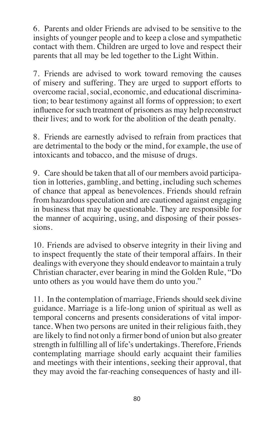6. Parents and older Friends are advised to be sensitive to the insights of younger people and to keep a close and sympathetic contact with them. Children are urged to love and respect their parents that all may be led together to the Light Within.

7. Friends are advised to work toward removing the causes of misery and suffering. They are urged to support efforts to overcome racial, social, economic, and educational discrimination; to bear testimony against all forms of oppression; to exert influence for such treatment of prisoners as may help reconstruct their lives; and to work for the abolition of the death penalty.

8. Friends are earnestly advised to refrain from practices that are detrimental to the body or the mind, for example, the use of intoxicants and tobacco, and the misuse of drugs.

9. Care should be taken that all of our members avoid participation in lotteries, gambling, and betting, including such schemes of chance that appeal as benevolences. Friends should refrain from hazardous speculation and are cautioned against engaging in business that may be questionable. They are responsible for the manner of acquiring, using, and disposing of their possessions.

10. Friends are advised to observe integrity in their living and to inspect frequently the state of their temporal affairs. In their dealings with everyone they should endeavor to maintain a truly Christian character, ever bearing in mind the Golden Rule, "Do unto others as you would have them do unto you."

11. In the contemplation of marriage, Friends should seek divine guidance. Marriage is a life-long union of spiritual as well as temporal concerns and presents considerations of vital importance. When two persons are united in their religious faith, they are likely to find not only a firmer bond of union but also greater strength in fulfilling all of life's undertakings. Therefore, Friends contemplating marriage should early acquaint their families and meetings with their intentions, seeking their approval, that they may avoid the far-reaching consequences of hasty and ill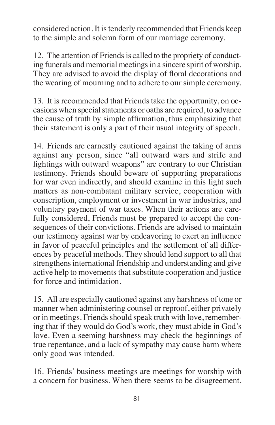considered action. It istenderly recommended that Friends keep to the simple and solemn form of our marriage ceremony.

12. The attention of Friends is called to the propriety of conducting funerals and memorial meetings in a sincere spirit of worship. They are advised to avoid the display of floral decorations and the wearing of mourning and to adhere to our simple ceremony.

13. It is recommended that Friends take the opportunity, on occasions when special statements or oaths are required, to advance the cause of truth by simple affirmation, thus emphasizing that their statement is only a part of their usual integrity of speech.

14. Friends are earnestly cautioned against the taking of arms against any person, since "all outward wars and strife and fightings with outward weapons" are contrary to our Christian testimony. Friends should beware of supporting preparations for war even indirectly, and should examine in this light such matters as non-combatant military service, cooperation with conscription, employment or investment in war industries, and voluntary payment of war taxes. When their actions are carefully considered, Friends must be prepared to accept the consequences of their convictions. Friends are advised to maintain our testimony against war by endeavoring to exert an influence in favor of peaceful principles and the settlement of all differences by peaceful methods. They should lend support to all that strengthens international friendship and understanding and give active help to movements that substitute cooperation and justice for force and intimidation.

15. All are especially cautioned against any harshness of tone or manner when administering counsel or reproof, either privately or in meetings. Friends should speak truth with love, remembering that if they would do God's work, they must abide in God's love. Even a seeming harshness may check the beginnings of true repentance, and a lack of sympathy may cause harm where only good was intended.

16. Friends' business meetings are meetings for worship with a concern for business. When there seems to be disagreement,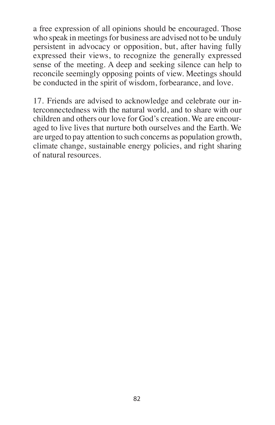a free expression of all opinions should be encouraged. Those who speak in meetings for business are advised not to be unduly persistent in advocacy or opposition, but, after having fully expressed their views, to recognize the generally expressed sense of the meeting. A deep and seeking silence can help to reconcile seemingly opposing points of view. Meetings should be conducted in the spirit of wisdom, forbearance, and love.

17. Friends are advised to acknowledge and celebrate our interconnectedness with the natural world, and to share with our children and others our love for God's creation. We are encouraged to live lives that nurture both ourselves and the Earth. We are urged to pay attention to such concerns as population growth, climate change, sustainable energy policies, and right sharing of natural resources.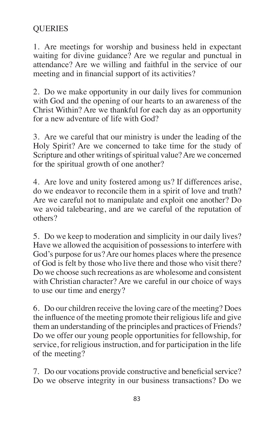# **QUERIES**

1. Are meetings for worship and business held in expectant waiting for divine guidance? Are we regular and punctual in attendance? Are we willing and faithful in the service of our meeting and in financial support of its activities?

2. Do we make opportunity in our daily lives for communion with God and the opening of our hearts to an awareness of the Christ Within? Are we thankful for each day as an opportunity for a new adventure of life with God?

3. Are we careful that our ministry is under the leading of the Holy Spirit? Are we concerned to take time for the study of Scripture and other writings of spiritual value? Are we concerned for the spiritual growth of one another?

4. Are love and unity fostered among us? If differences arise, do we endeavor to reconcile them in a spirit of love and truth? Are we careful not to manipulate and exploit one another? Do we avoid talebearing, and are we careful of the reputation of others?

5. Do we keep to moderation and simplicity in our daily lives? Have we allowed the acquisition of possessions to interfere with God's purpose for us?Are our homes places where the presence of God is felt by those who live there and those who visit there? Do we choose such recreations as are wholesome and consistent with Christian character? Are we careful in our choice of ways to use our time and energy?

6. Do our children receive the loving care of the meeting? Does the influence of the meeting promote their religious life and give them an understanding of the principles and practices of Friends? Do we offer our young people opportunities for fellowship, for service, for religious instruction, and for participation in the life of the meeting?

7. Do our vocations provide constructive and beneficial service? Do we observe integrity in our business transactions? Do we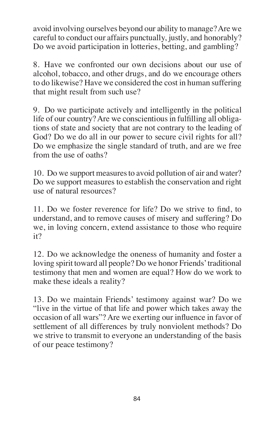avoid involving ourselves beyond our ability to manage?Are we careful to conduct our affairs punctually, justly, and honorably? Do we avoid participation in lotteries, betting, and gambling?

8. Have we confronted our own decisions about our use of alcohol, tobacco, and other drugs, and do we encourage others to do likewise? Have we considered the cost in human suffering that might result from such use?

9. Do we participate actively and intelligently in the political life of our country? Are we conscientious in fulfilling all obligations of state and society that are not contrary to the leading of God? Do we do all in our power to secure civil rights for all? Do we emphasize the single standard of truth, and are we free from the use of oaths?

10. Do we support measures to avoid pollution of air and water? Do we support measures to establish the conservation and right use of natural resources?

11. Do we foster reverence for life? Do we strive to find, to understand, and to remove causes of misery and suffering? Do we, in loving concern, extend assistance to those who require it?

12. Do we acknowledge the oneness of humanity and foster a loving spirit toward all people? Do we honor Friends' traditional testimony that men and women are equal? How do we work to make these ideals a reality?

13. Do we maintain Friends' testimony against war? Do we "live in the virtue of that life and power which takes away the occasion of all wars"? Are we exerting our influence in favor of settlement of all differences by truly nonviolent methods? Do we strive to transmit to everyone an understanding of the basis of our peace testimony?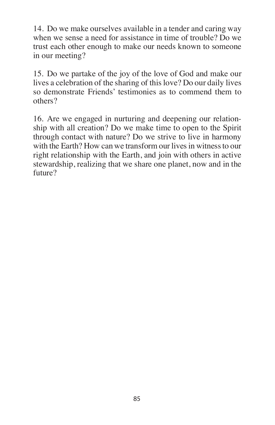14. Do we make ourselves available in a tender and caring way when we sense a need for assistance in time of trouble? Do we trust each other enough to make our needs known to someone in our meeting?

15. Do we partake of the joy of the love of God and make our lives a celebration of the sharing of this love? Do our daily lives so demonstrate Friends' testimonies as to commend them to others?

16. Are we engaged in nurturing and deepening our relationship with all creation? Do we make time to open to the Spirit through contact with nature? Do we strive to live in harmony with the Earth? How can we transform our lives in witness to our right relationship with the Earth, and join with others in active stewardship, realizing that we share one planet, now and in the future?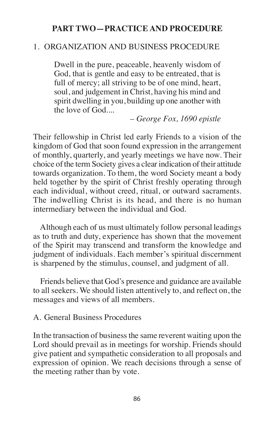### **PART TWO—PRACTICE AND PROCEDURE**

## 1. ORGANIZATION AND BUSINESS PROCEDURE

Dwell in the pure, peaceable, heavenly wisdom of God, that is gentle and easy to be entreated, that is full of mercy; all striving to be of one mind, heart, soul, and judgement in Christ, having his mind and spirit dwelling in you, building up one another with the love of God....

*– George Fox, 1690 epistle*

Their fellowship in Christ led early Friends to a vision of the kingdom of God that soon found expression in the arrangement of monthly, quarterly, and yearly meetings we have now. Their choice of the term Society gives a clear indication of their attitude towards organization. To them, the word Society meant a body held together by the spirit of Christ freshly operating through each individual, without creed, ritual, or outward sacraments. The indwelling Christ is its head, and there is no human intermediary between the individual and God.

Although each of us must ultimately follow personal leadings as to truth and duty, experience has shown that the movement of the Spirit may transcend and transform the knowledge and judgment of individuals. Each member's spiritual discernment is sharpened by the stimulus, counsel, and judgment of all.

Friends believe that God's presence and guidance are available to all seekers. We should listen attentively to, and reflect on, the messages and views of all members.

#### A. General Business Procedures

In the transaction of business the same reverent waiting upon the Lord should prevail as in meetings for worship. Friends should give patient and sympathetic consideration to all proposals and expression of opinion. We reach decisions through a sense of the meeting rather than by vote.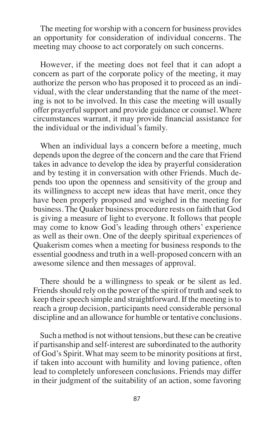The meeting for worship with a concern for business provides an opportunity for consideration of individual concerns. The meeting may choose to act corporately on such concerns.

However, if the meeting does not feel that it can adopt a concern as part of the corporate policy of the meeting, it may authorize the person who has proposed it to proceed as an individual, with the clear understanding that the name of the meeting is not to be involved. In this case the meeting will usually offer prayerful support and provide guidance or counsel. Where circumstances warrant, it may provide financial assistance for the individual or the individual's family.

When an individual lays a concern before a meeting, much depends upon the degree of the concern and the care that Friend takes in advance to develop the idea by prayerful consideration and by testing it in conversation with other Friends. Much depends too upon the openness and sensitivity of the group and its willingness to accept new ideas that have merit, once they have been properly proposed and weighed in the meeting for business. The Quaker business procedure rests on faith that God is giving a measure of light to everyone. It follows that people may come to know God's leading through others' experience as well as their own. One of the deeply spiritual experiences of Quakerism comes when a meeting for business responds to the essential goodness and truth in a well-proposed concern with an awesome silence and then messages of approval.

There should be a willingness to speak or be silent as led. Friends should rely on the power of the spirit of truth and seek to keep their speech simple and straightforward. If the meeting is to reach a group decision, participants need considerable personal discipline and an allowance for humble or tentative conclusions.

Such a method is not without tensions, but these can be creative if partisanship and self-interest are subordinated to the authority of God's Spirit. What may seem to be minority positions at first, if taken into account with humility and loving patience, often lead to completely unforeseen conclusions. Friends may differ in their judgment of the suitability of an action, some favoring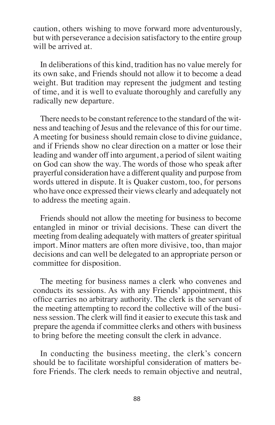caution, others wishing to move forward more adventurously, but with perseverance a decision satisfactory to the entire group will be arrived at.

In deliberations of this kind, tradition has no value merely for its own sake, and Friends should not allow it to become a dead weight. But tradition may represent the judgment and testing of time, and it is well to evaluate thoroughly and carefully any radically new departure.

There needs to be constant reference to the standard of the witness and teaching of Jesus and the relevance of this for our time. A meeting for business should remain close to divine guidance, and if Friends show no clear direction on a matter or lose their leading and wander off into argument, a period of silent waiting on God can show the way. The words of those who speak after prayerful consideration have a different quality and purpose from words uttered in dispute. It is Quaker custom, too, for persons who have once expressed their views clearly and adequately not to address the meeting again.

Friends should not allow the meeting for business to become entangled in minor or trivial decisions. These can divert the meeting from dealing adequately with matters of greater spiritual import. Minor matters are often more divisive, too, than major decisions and can well be delegated to an appropriate person or committee for disposition.

The meeting for business names a clerk who convenes and conducts its sessions. As with any Friends' appointment, this office carries no arbitrary authority. The clerk is the servant of the meeting attempting to record the collective will of the business session. The clerk will find it easier to execute this task and prepare the agenda if committee clerks and others with business to bring before the meeting consult the clerk in advance.

In conducting the business meeting, the clerk's concern should be to facilitate worshipful consideration of matters before Friends. The clerk needs to remain objective and neutral,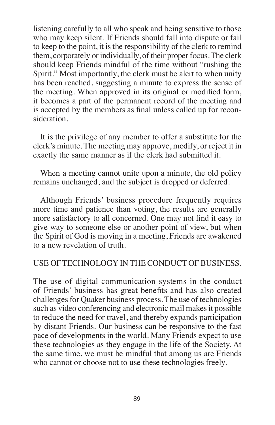listening carefully to all who speak and being sensitive to those who may keep silent. If Friends should fall into dispute or fail to keep to the point, it is the responsibility of the clerk to remind them, corporately or individually, of their proper focus. The clerk should keep Friends mindful of the time without "rushing the Spirit." Most importantly, the clerk must be alert to when unity has been reached, suggesting a minute to express the sense of the meeting. When approved in its original or modified form, it becomes a part of the permanent record of the meeting and is accepted by the members as final unless called up for reconsideration.

It is the privilege of any member to offer a substitute for the clerk's minute. The meeting may approve, modify, or reject it in exactly the same manner as if the clerk had submitted it.

When a meeting cannot unite upon a minute, the old policy remains unchanged, and the subject is dropped or deferred.

Although Friends' business procedure frequently requires more time and patience than voting, the results are generally more satisfactory to all concerned. One may not find it easy to give way to someone else or another point of view, but when the Spirit of God is moving in a meeting, Friends are awakened to a new revelation of truth.

# USE OF TECHNOLOGY IN THE CONDUCT OF BUSINESS.

The use of digital communication systems in the conduct of Friends' business has great benefits and has also created challenges for Quaker business process. The use of technologies such as video conferencing and electronic mail makes it possible to reduce the need for travel, and thereby expands participation by distant Friends. Our business can be responsive to the fast pace of developments in the world. Many Friends expect to use these technologies as they engage in the life of the Society. At the same time, we must be mindful that among us are Friends who cannot or choose not to use these technologies freely.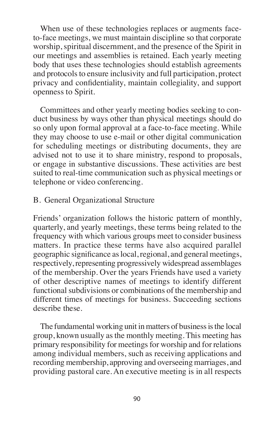When use of these technologies replaces or augments faceto-face meetings, we must maintain discipline so that corporate worship, spiritual discernment, and the presence of the Spirit in our meetings and assemblies is retained. Each yearly meeting body that uses these technologies should establish agreements and protocols to ensure inclusivity and full participation, protect privacy and confidentiality, maintain collegiality, and support openness to Spirit.

Committees and other yearly meeting bodies seeking to conduct business by ways other than physical meetings should do so only upon formal approval at a face-to-face meeting. While they may choose to use e-mail or other digital communication for scheduling meetings or distributing documents, they are advised not to use it to share ministry, respond to proposals, or engage in substantive discussions. These activities are best suited to real-time communication such as physical meetings or telephone or video conferencing.

## B. General Organizational Structure

Friends' organization follows the historic pattern of monthly, quarterly, and yearly meetings, these terms being related to the frequency with which various groups meet to consider business matters. In practice these terms have also acquired parallel geographic significance aslocal, regional, and general meetings, respectively, representing progressively widespread assemblages of the membership. Over the years Friends have used a variety of other descriptive names of meetings to identify different functional subdivisions or combinations of the membership and different times of meetings for business. Succeeding sections describe these.

The fundamental working unit in matters of business is the local group, known usually asthe monthly meeting. This meeting has primary responsibility for meetings for worship and for relations among individual members, such as receiving applications and recording membership, approving and overseeing marriages, and providing pastoral care. An executive meeting is in all respects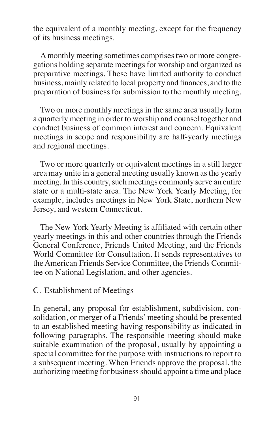the equivalent of a monthly meeting, except for the frequency of its business meetings.

Amonthly meeting sometimes comprisestwo or more congregations holding separate meetings for worship and organized as preparative meetings. These have limited authority to conduct business, mainly related to local property and finances, and to the preparation of business for submission to the monthly meeting.

Two or more monthly meetings in the same area usually form a quarterly meeting in order to worship and counsel together and conduct business of common interest and concern. Equivalent meetings in scope and responsibility are half-yearly meetings and regional meetings.

Two or more quarterly or equivalent meetings in a still larger area may unite in a general meeting usually known asthe yearly meeting. In this country, such meetings commonly serve an entire state or a multi-state area. The New York Yearly Meeting, for example, includes meetings in New York State, northern New Jersey, and western Connecticut.

The New York Yearly Meeting is affiliated with certain other yearly meetings in this and other countries through the Friends General Conference, Friends United Meeting, and the Friends World Committee for Consultation. It sends representatives to the American Friends Service Committee, the Friends Committee on National Legislation, and other agencies.

#### C. Establishment of Meetings

In general, any proposal for establishment, subdivision, consolidation, or merger of a Friends'meeting should be presented to an established meeting having responsibility as indicated in following paragraphs. The responsible meeting should make suitable examination of the proposal, usually by appointing a special committee for the purpose with instructions to report to a subsequent meeting. When Friends approve the proposal, the authorizing meeting for businessshould appoint a time and place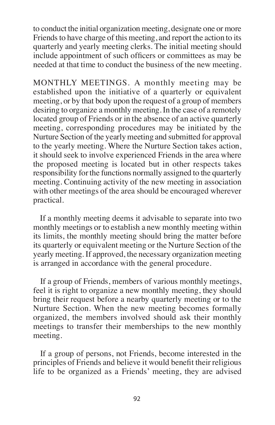to conduct the initial organization meeting, designate one or more Friends to have charge of this meeting, and report the action to its quarterly and yearly meeting clerks. The initial meeting should include appointment of such officers or committees as may be needed at that time to conduct the business of the new meeting.

MONTHLY MEETINGS. A monthly meeting may be established upon the initiative of a quarterly or equivalent meeting, or by that body upon the request of a group of members desiring to organize a monthly meeting. In the case of a remotely located group of Friends or in the absence of an active quarterly meeting, corresponding procedures may be initiated by the Nurture Section of the yearly meeting and submitted for approval to the yearly meeting. Where the Nurture Section takes action, it should seek to involve experienced Friends in the area where the proposed meeting is located but in other respects takes responsibility for the functions normally assigned to the quarterly meeting. Continuing activity of the new meeting in association with other meetings of the area should be encouraged wherever practical.

If a monthly meeting deems it advisable to separate into two monthly meetings or to establish a new monthly meeting within its limits, the monthly meeting should bring the matter before its quarterly or equivalent meeting or the Nurture Section of the yearly meeting. If approved, the necessary organization meeting is arranged in accordance with the general procedure.

If a group of Friends, members of various monthly meetings, feel it is right to organize a new monthly meeting, they should bring their request before a nearby quarterly meeting or to the Nurture Section. When the new meeting becomes formally organized, the members involved should ask their monthly meetings to transfer their memberships to the new monthly meeting.

If a group of persons, not Friends, become interested in the principles of Friends and believe it would benefit their religious life to be organized as a Friends' meeting, they are advised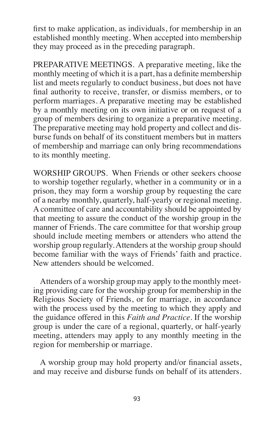first to make application, as individuals, for membership in an established monthly meeting. When accepted into membership they may proceed as in the preceding paragraph.

PREPARATIVE MEETINGS. A preparative meeting, like the monthly meeting of which it is a part, has a definite membership list and meets regularly to conduct business, but does not have final authority to receive, transfer, or dismiss members, or to perform marriages. A preparative meeting may be established by a monthly meeting on its own initiative or on request of a group of members desiring to organize a preparative meeting. The preparative meeting may hold property and collect and disburse funds on behalf of its constituent members but in matters of membership and marriage can only bring recommendations to its monthly meeting.

WORSHIP GROUPS. When Friends or other seekers choose to worship together regularly, whether in a community or in a prison, they may form a worship group by requesting the care of a nearby monthly, quarterly, half-yearly or regional meeting. A committee of care and accountability should be appointed by that meeting to assure the conduct of the worship group in the manner of Friends. The care committee for that worship group should include meeting members or attenders who attend the worship group regularly. Attenders at the worship group should become familiar with the ways of Friends' faith and practice. New attenders should be welcomed.

Attenders of a worship group may apply to the monthly meeting providing care for the worship group for membership in the Religious Society of Friends, or for marriage, in accordance with the process used by the meeting to which they apply and the guidance offered in this *Faith and Practice*. If the worship group is under the care of a regional, quarterly, or half-yearly meeting, attenders may apply to any monthly meeting in the region for membership or marriage.

A worship group may hold property and/or financial assets, and may receive and disburse funds on behalf of its attenders.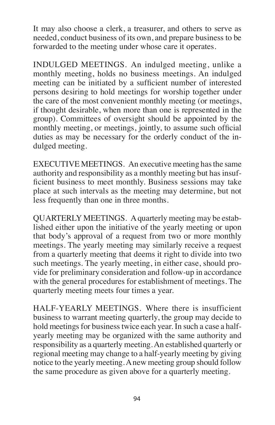It may also choose a clerk, a treasurer, and others to serve as needed, conduct business of its own, and prepare business to be forwarded to the meeting under whose care it operates.

INDULGED MEETINGS. An indulged meeting, unlike a monthly meeting, holds no business meetings. An indulged meeting can be initiated by a sufficient number of interested persons desiring to hold meetings for worship together under the care of the most convenient monthly meeting (or meetings, if thought desirable, when more than one is represented in the group). Committees of oversight should be appointed by the monthly meeting, or meetings, jointly, to assume such official duties as may be necessary for the orderly conduct of the indulged meeting.

EXECUTIVE MEETINGS. An executive meeting hasthe same authority and responsibility as a monthly meeting but has insufficient business to meet monthly. Business sessions may take place at such intervals as the meeting may determine, but not less frequently than one in three months.

QUARTERLYMEETINGS. Aquarterly meeting may be established either upon the initiative of the yearly meeting or upon that body's approval of a request from two or more monthly meetings. The yearly meeting may similarly receive a request from a quarterly meeting that deems it right to divide into two such meetings. The yearly meeting, in either case, should provide for preliminary consideration and follow-up in accordance with the general procedures for establishment of meetings. The quarterly meeting meets four times a year.

HALF-YEARLY MEETINGS. Where there is insufficient business to warrant meeting quarterly, the group may decide to hold meetings for business twice each year. In such a case a halfyearly meeting may be organized with the same authority and responsibility as a quarterly meeting.An established quarterly or regional meeting may change to a half-yearly meeting by giving notice to the yearly meeting.Anew meeting group should follow the same procedure as given above for a quarterly meeting.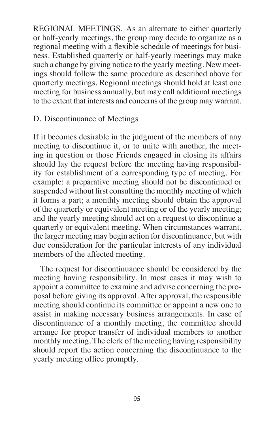REGIONAL MEETINGS. As an alternate to either quarterly or half-yearly meetings, the group may decide to organize as a regional meeting with a flexible schedule of meetings for business. Established quarterly or half-yearly meetings may make such a change by giving notice to the yearly meeting. New meetings should follow the same procedure as described above for quarterly meetings. Regional meetings should hold at least one meeting for business annually, but may call additional meetings to the extent that interests and concerns of the group may warrant.

D. Discontinuance of Meetings

If it becomes desirable in the judgment of the members of any meeting to discontinue it, or to unite with another, the meeting in question or those Friends engaged in closing its affairs should lay the request before the meeting having responsibility for establishment of a corresponding type of meeting. For example: a preparative meeting should not be discontinued or suspended without first consulting the monthly meeting of which it forms a part; a monthly meeting should obtain the approval of the quarterly or equivalent meeting or of the yearly meeting; and the yearly meeting should act on a request to discontinue a quarterly or equivalent meeting. When circumstances warrant, the larger meeting may begin action for discontinuance, but with due consideration for the particular interests of any individual members of the affected meeting.

The request for discontinuance should be considered by the meeting having responsibility. In most cases it may wish to appoint a committee to examine and advise concerning the proposal before giving its approval.After approval, the responsible meeting should continue its committee or appoint a new one to assist in making necessary business arrangements. In case of discontinuance of a monthly meeting, the committee should arrange for proper transfer of individual members to another monthly meeting. The clerk of the meeting having responsibility should report the action concerning the discontinuance to the yearly meeting office promptly.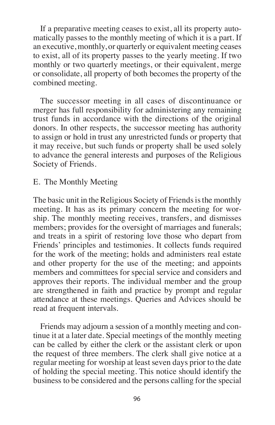If a preparative meeting ceases to exist, all its property automatically passes to the monthly meeting of which it is a part. If an executive, monthly, or quarterly or equivalent meeting ceases to exist, all of its property passes to the yearly meeting. If two monthly or two quarterly meetings, or their equivalent, merge or consolidate, all property of both becomes the property of the combined meeting.

The successor meeting in all cases of discontinuance or merger has full responsibility for administering any remaining trust funds in accordance with the directions of the original donors. In other respects, the successor meeting has authority to assign or hold in trust any unrestricted funds or property that it may receive, but such funds or property shall be used solely to advance the general interests and purposes of the Religious Society of Friends.

### E. The Monthly Meeting

The basic unit in the Religious Society of Friends is the monthly meeting. It has as its primary concern the meeting for worship. The monthly meeting receives, transfers, and dismisses members; provides for the oversight of marriages and funerals; and treats in a spirit of restoring love those who depart from Friends' principles and testimonies. It collects funds required for the work of the meeting; holds and administers real estate and other property for the use of the meeting; and appoints members and committees for special service and considers and approves their reports. The individual member and the group are strengthened in faith and practice by prompt and regular attendance at these meetings. Queries and Advices should be read at frequent intervals.

Friends may adjourn a session of a monthly meeting and continue it at a later date. Special meetings of the monthly meeting can be called by either the clerk or the assistant clerk or upon the request of three members. The clerk shall give notice at a regular meeting for worship at least seven days prior to the date of holding the special meeting. This notice should identify the business to be considered and the persons calling for the special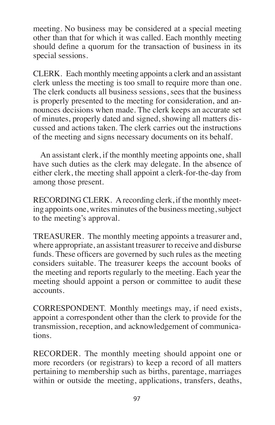meeting. No business may be considered at a special meeting other than that for which it was called. Each monthly meeting should define a quorum for the transaction of business in its special sessions.

CLERK. Each monthly meeting appoints a clerk and an assistant clerk unless the meeting is too small to require more than one. The clerk conducts all business sessions, sees that the business is properly presented to the meeting for consideration, and announces decisions when made. The clerk keeps an accurate set of minutes, properly dated and signed, showing all matters discussed and actions taken. The clerk carries out the instructions of the meeting and signs necessary documents on its behalf.

An assistant clerk, if the monthly meeting appoints one, shall have such duties as the clerk may delegate. In the absence of either clerk, the meeting shall appoint a clerk-for-the-day from among those present.

RECORDING CLERK. Arecording clerk, if the monthly meeting appoints one, writes minutes of the business meeting, subject to the meeting's approval.

TREASURER. The monthly meeting appoints a treasurer and, where appropriate, an assistant treasurer to receive and disburse funds. These officers are governed by such rules as the meeting considers suitable. The treasurer keeps the account books of the meeting and reports regularly to the meeting. Each year the meeting should appoint a person or committee to audit these accounts.

CORRESPONDENT. Monthly meetings may, if need exists, appoint a correspondent other than the clerk to provide for the transmission, reception, and acknowledgement of communications.

RECORDER. The monthly meeting should appoint one or more recorders (or registrars) to keep a record of all matters pertaining to membership such as births, parentage, marriages within or outside the meeting, applications, transfers, deaths,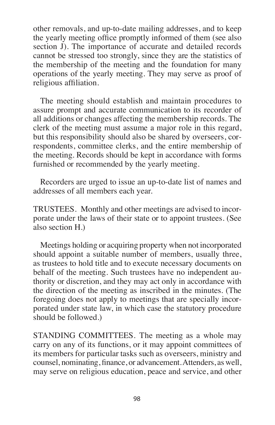other removals, and up-to-date mailing addresses, and to keep the yearly meeting office promptly informed of them (see also section J). The importance of accurate and detailed records cannot be stressed too strongly, since they are the statistics of the membership of the meeting and the foundation for many operations of the yearly meeting. They may serve as proof of religious affiliation.

The meeting should establish and maintain procedures to assure prompt and accurate communication to its recorder of all additions or changes affecting the membership records. The clerk of the meeting must assume a major role in this regard, but this responsibility should also be shared by overseers, correspondents, committee clerks, and the entire membership of the meeting. Records should be kept in accordance with forms furnished or recommended by the yearly meeting.

Recorders are urged to issue an up-to-date list of names and addresses of all members each year.

TRUSTEES. Monthly and other meetings are advised to incorporate under the laws of their state or to appoint trustees. (See also section H.)

Meetings holding or acquiring property when not incorporated should appoint a suitable number of members, usually three, as trustees to hold title and to execute necessary documents on behalf of the meeting. Such trustees have no independent authority or discretion, and they may act only in accordance with the direction of the meeting as inscribed in the minutes. (The foregoing does not apply to meetings that are specially incorporated under state law, in which case the statutory procedure should be followed.)

STANDING COMMITTEES. The meeting as a whole may carry on any of its functions, or it may appoint committees of its members for particular tasks such as overseers, ministry and counsel, nominating, finance, or advancement.Attenders, as well, may serve on religious education, peace and service, and other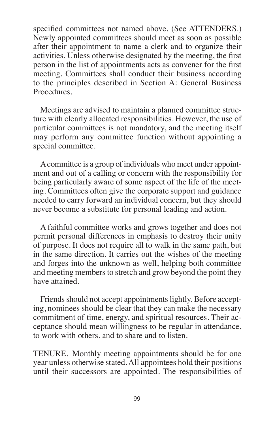specified committees not named above. (See ATTENDERS.) Newly appointed committees should meet as soon as possible after their appointment to name a clerk and to organize their activities. Unless otherwise designated by the meeting, the first person in the list of appointments acts as convener for the first meeting. Committees shall conduct their business according to the principles described in Section A: General Business Procedures.

Meetings are advised to maintain a planned committee structure with clearly allocated responsibilities. However, the use of particular committees is not mandatory, and the meeting itself may perform any committee function without appointing a special committee.

Acommittee is a group of individuals who meet under appointment and out of a calling or concern with the responsibility for being particularly aware of some aspect of the life of the meeting. Committees often give the corporate support and guidance needed to carry forward an individual concern, but they should never become a substitute for personal leading and action.

A faithful committee works and grows together and does not permit personal differences in emphasis to destroy their unity of purpose. It does not require all to walk in the same path, but in the same direction. It carries out the wishes of the meeting and forges into the unknown as well, helping both committee and meeting members to stretch and grow beyond the point they have attained.

Friends should not accept appointments lightly. Before accepting, nominees should be clear that they can make the necessary commitment of time, energy, and spiritual resources. Their acceptance should mean willingness to be regular in attendance, to work with others, and to share and to listen.

TENURE. Monthly meeting appointments should be for one year unless otherwise stated.All appointees hold their positions until their successors are appointed. The responsibilities of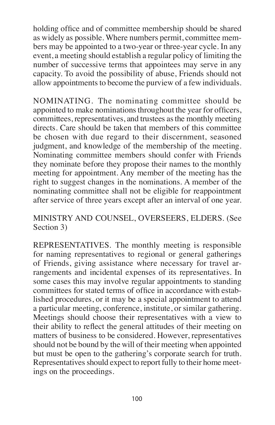holding office and of committee membership should be shared as widely as possible. Where numbers permit, committee members may be appointed to a two-year or three-year cycle. In any event, a meeting should establish a regular policy of limiting the number of successive terms that appointees may serve in any capacity. To avoid the possibility of abuse, Friends should not allow appointments to become the purview of a few individuals.

NOMINATING. The nominating committee should be appointed to make nominations throughout the year for officers, committees, representatives, and trustees asthe monthly meeting directs. Care should be taken that members of this committee be chosen with due regard to their discernment, seasoned judgment, and knowledge of the membership of the meeting. Nominating committee members should confer with Friends they nominate before they propose their names to the monthly meeting for appointment. Any member of the meeting has the right to suggest changes in the nominations. A member of the nominating committee shall not be eligible for reappointment after service of three years except after an interval of one year.

MINISTRY AND COUNSEL, OVERSEERS, ELDERS. (See Section 3)

REPRESENTATIVES. The monthly meeting is responsible for naming representatives to regional or general gatherings of Friends, giving assistance where necessary for travel arrangements and incidental expenses of its representatives. In some cases this may involve regular appointments to standing committees for stated terms of office in accordance with established procedures, or it may be a special appointment to attend a particular meeting, conference, institute, or similar gathering. Meetings should choose their representatives with a view to their ability to reflect the general attitudes of their meeting on matters of business to be considered. However, representatives should not be bound by the will of their meeting when appointed but must be open to the gathering's corporate search for truth. Representatives should expect to report fully to their home meetings on the proceedings.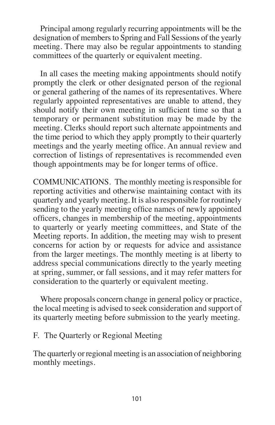Principal among regularly recurring appointments will be the designation of members to Spring and Fall Sessions of the yearly meeting. There may also be regular appointments to standing committees of the quarterly or equivalent meeting.

In all cases the meeting making appointments should notify promptly the clerk or other designated person of the regional or general gathering of the names of its representatives. Where regularly appointed representatives are unable to attend, they should notify their own meeting in sufficient time so that a temporary or permanent substitution may be made by the meeting. Clerks should report such alternate appointments and the time period to which they apply promptly to their quarterly meetings and the yearly meeting office. An annual review and correction of listings of representatives is recommended even though appointments may be for longer terms of office.

COMMUNICATIONS. The monthly meeting is responsible for reporting activities and otherwise maintaining contact with its quarterly and yearly meeting. It is also responsible for routinely sending to the yearly meeting office names of newly appointed officers, changes in membership of the meeting, appointments to quarterly or yearly meeting committees, and State of the Meeting reports. In addition, the meeting may wish to present concerns for action by or requests for advice and assistance from the larger meetings. The monthly meeting is at liberty to address special communications directly to the yearly meeting at spring, summer, or fall sessions, and it may refer matters for consideration to the quarterly or equivalent meeting.

Where proposals concern change in general policy or practice, the local meeting is advised to seek consideration and support of its quarterly meeting before submission to the yearly meeting.

#### F. The Quarterly or Regional Meeting

The quarterly or regional meeting is an association of neighboring monthly meetings.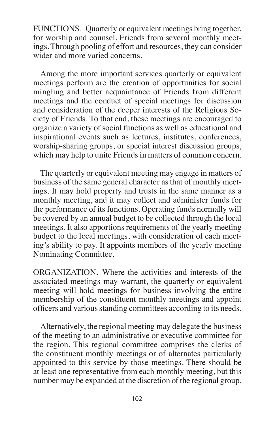FUNCTIONS. Quarterly or equivalent meetings bring together, for worship and counsel, Friends from several monthly meetings. Through pooling of effort and resources, they can consider wider and more varied concerns.

Among the more important services quarterly or equivalent meetings perform are the creation of opportunities for social mingling and better acquaintance of Friends from different meetings and the conduct of special meetings for discussion and consideration of the deeper interests of the Religious Society of Friends. To that end, these meetings are encouraged to organize a variety of social functions as well as educational and inspirational events such as lectures, institutes, conferences, worship-sharing groups, or special interest discussion groups, which may help to unite Friends in matters of common concern.

The quarterly or equivalent meeting may engage in matters of business of the same general character as that of monthly meetings. It may hold property and trusts in the same manner as a monthly meeting, and it may collect and administer funds for the performance of its functions. Operating funds normally will be covered by an annual budget to be collected through the local meetings. It also apportions requirements of the yearly meeting budget to the local meetings, with consideration of each meeting's ability to pay. It appoints members of the yearly meeting Nominating Committee.

ORGANIZATION. Where the activities and interests of the associated meetings may warrant, the quarterly or equivalent meeting will hold meetings for business involving the entire membership of the constituent monthly meetings and appoint officers and various standing committees according to its needs.

Alternatively, the regional meeting may delegate the business of the meeting to an administrative or executive committee for the region. This regional committee comprises the clerks of the constituent monthly meetings or of alternates particularly appointed to this service by those meetings. There should be at least one representative from each monthly meeting, but this number may be expanded at the discretion of the regional group.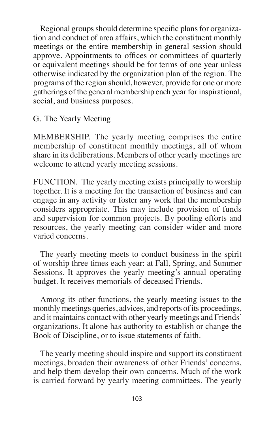Regional groups should determine specific plans for organization and conduct of area affairs, which the constituent monthly meetings or the entire membership in general session should approve. Appointments to offices or committees of quarterly or equivalent meetings should be for terms of one year unless otherwise indicated by the organization plan of the region. The programs of the region should, however, provide for one or more gatherings of the general membership each year for inspirational, social, and business purposes.

G. The Yearly Meeting

MEMBERSHIP. The yearly meeting comprises the entire membership of constituent monthly meetings, all of whom share in its deliberations. Members of other yearly meetings are welcome to attend yearly meeting sessions.

FUNCTION. The yearly meeting exists principally to worship together. It is a meeting for the transaction of business and can engage in any activity or foster any work that the membership considers appropriate. This may include provision of funds and supervision for common projects. By pooling efforts and resources, the yearly meeting can consider wider and more varied concerns.

The yearly meeting meets to conduct business in the spirit of worship three times each year: at Fall, Spring, and Summer Sessions. It approves the yearly meeting's annual operating budget. It receives memorials of deceased Friends.

Among its other functions, the yearly meeting issues to the monthly meetings queries, advices, and reports of its proceedings, and it maintains contact with other yearly meetings and Friends' organizations. It alone has authority to establish or change the Book of Discipline, or to issue statements of faith.

The yearly meeting should inspire and support its constituent meetings, broaden their awareness of other Friends' concerns, and help them develop their own concerns. Much of the work is carried forward by yearly meeting committees. The yearly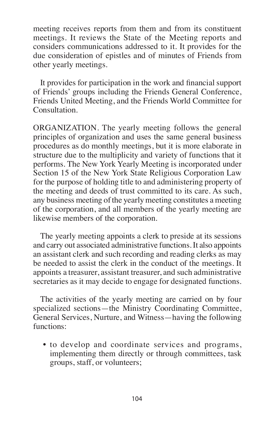meeting receives reports from them and from its constituent meetings. It reviews the State of the Meeting reports and considers communications addressed to it. It provides for the due consideration of epistles and of minutes of Friends from other yearly meetings.

It provides for participation in the work and financial support of Friends' groups including the Friends General Conference, Friends United Meeting, and the Friends World Committee for Consultation.

ORGANIZATION. The yearly meeting follows the general principles of organization and uses the same general business procedures as do monthly meetings, but it is more elaborate in structure due to the multiplicity and variety of functions that it performs. The New York Yearly Meeting is incorporated under Section 15 of the New York State Religious Corporation Law for the purpose of holding title to and administering property of the meeting and deeds of trust committed to its care. As such, any business meeting of the yearly meeting constitutes a meeting of the corporation, and all members of the yearly meeting are likewise members of the corporation.

The yearly meeting appoints a clerk to preside at its sessions and carry out associated administrative functions.It also appoints an assistant clerk and such recording and reading clerks as may be needed to assist the clerk in the conduct of the meetings. It appoints a treasurer, assistant treasurer, and such administrative secretaries as it may decide to engage for designated functions.

The activities of the yearly meeting are carried on by four specialized sections—the Ministry Coordinating Committee, General Services, Nurture, and Witness—having the following functions:

• to develop and coordinate services and programs, implementing them directly or through committees, task groups, staff, or volunteers;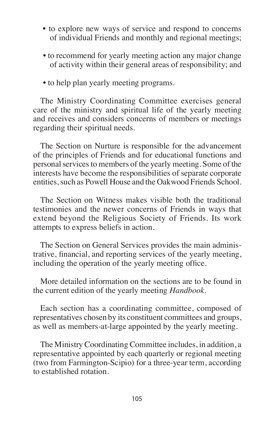- to explore new ways of service and respond to concerns of individual Friends and monthly and regional meetings;
- to recommend for yearly meeting action any major change of activity within their general areas of responsibility; and
- to help plan yearly meeting programs.

The Ministry Coordinating Committee exercises general care of the ministry and spiritual life of the yearly meeting and receives and considers concerns of members or meetings regarding their spiritual needs.

The Section on Nurture is responsible for the advancement of the principles of Friends and for educational functions and personal services to members of the yearly meeting. Some of the interests have become the responsibilities of separate corporate entities, such as Powell House and the Oakwood Friends School.

The Section on Witness makes visible both the traditional testimonies and the newer concerns of Friends in ways that extend beyond the Religious Society of Friends. Its work attempts to express beliefs in action.

The Section on General Services provides the main administrative, financial, and reporting services of the yearly meeting, including the operation of the yearly meeting office.

More detailed information on the sections are to be found in the current edition of the yearly meeting *Handbook*.

Each section has a coordinating committee, composed of representatives chosen by its constituent committees and groups, as well as members-at-large appointed by the yearly meeting.

The Ministry Coordinating Committee includes, in addition, a representative appointed by each quarterly or regional meeting (two from Farmington-Scipio) for a three-year term, according to established rotation.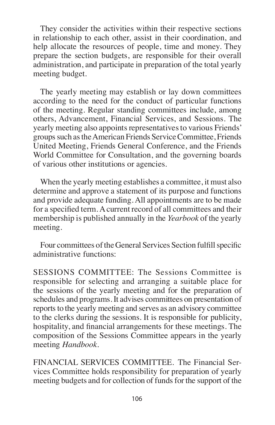They consider the activities within their respective sections in relationship to each other, assist in their coordination, and help allocate the resources of people, time and money. They prepare the section budgets, are responsible for their overall administration, and participate in preparation of the total yearly meeting budget.

The yearly meeting may establish or lay down committees according to the need for the conduct of particular functions of the meeting. Regular standing committees include, among others, Advancement, Financial Services, and Sessions. The yearly meeting also appoints representatives to various Friends' groups such as the American Friends Service Committee, Friends United Meeting, Friends General Conference, and the Friends World Committee for Consultation, and the governing boards of various other institutions or agencies.

When the yearly meeting establishes a committee, it must also determine and approve a statement of its purpose and functions and provide adequate funding. All appointments are to be made for a specified term.Acurrent record of all committees and their membership is published annually in the *Yearbook* of the yearly meeting.

Four committees of the General Services Section fulfill specific administrative functions:

SESSIONS COMMITTEE: The Sessions Committee is responsible for selecting and arranging a suitable place for the sessions of the yearly meeting and for the preparation of schedules and programs.It advises committees on presentation of reports to the yearly meeting and serves as an advisory committee to the clerks during the sessions. It is responsible for publicity, hospitality, and financial arrangements for these meetings. The composition of the Sessions Committee appears in the yearly meeting *Handbook*.

FINANCIAL SERVICES COMMITTEE. The Financial Services Committee holds responsibility for preparation of yearly meeting budgets and for collection of funds for the support of the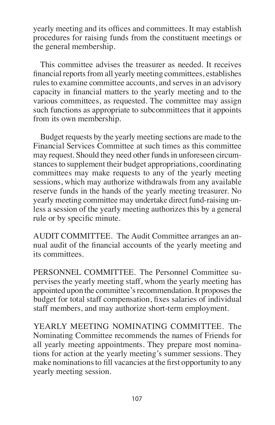yearly meeting and its offices and committees. It may establish procedures for raising funds from the constituent meetings or the general membership.

This committee advises the treasurer as needed. It receives financial reports from all yearly meeting committees, establishes rules to examine committee accounts, and serves in an advisory capacity in financial matters to the yearly meeting and to the various committees, as requested. The committee may assign such functions as appropriate to subcommittees that it appoints from its own membership.

Budget requests by the yearly meeting sections are made to the Financial Services Committee at such times as this committee may request. Should they need other fundsin unforeseen circumstances to supplement their budget appropriations, coordinating committees may make requests to any of the yearly meeting sessions, which may authorize withdrawals from any available reserve funds in the hands of the yearly meeting treasurer. No yearly meeting committee may undertake direct fund-raising unless a session of the yearly meeting authorizes this by a general rule or by specific minute.

AUDIT COMMITTEE. The Audit Committee arranges an annual audit of the financial accounts of the yearly meeting and its committees.

PERSONNEL COMMITTEE. The Personnel Committee supervises the yearly meeting staff, whom the yearly meeting has appointed upon the committee's recommendation. It proposes the budget for total staff compensation, fixes salaries of individual staff members, and may authorize short-term employment.

YEARLY MEETING NOMINATING COMMITTEE. The Nominating Committee recommends the names of Friends for all yearly meeting appointments. They prepare most nominations for action at the yearly meeting's summer sessions. They make nominations to fill vacancies at the first opportunity to any yearly meeting session.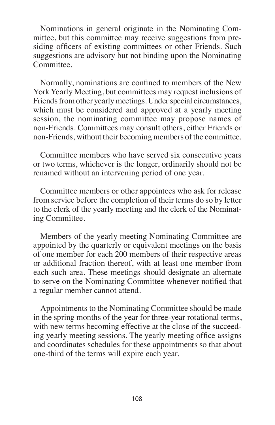Nominations in general originate in the Nominating Committee, but this committee may receive suggestions from presiding officers of existing committees or other Friends. Such suggestions are advisory but not binding upon the Nominating Committee.

Normally, nominations are confined to members of the New York Yearly Meeting, but committees may request inclusions of Friends from other yearly meetings. Under special circumstances, which must be considered and approved at a yearly meeting session, the nominating committee may propose names of non-Friends. Committees may consult others, either Friends or non-Friends, without their becoming members of the committee.

Committee members who have served six consecutive years or two terms, whichever is the longer, ordinarily should not be renamed without an intervening period of one year.

Committee members or other appointees who ask for release from service before the completion of their terms do so by letter to the clerk of the yearly meeting and the clerk of the Nominating Committee.

Members of the yearly meeting Nominating Committee are appointed by the quarterly or equivalent meetings on the basis of one member for each 200 members of their respective areas or additional fraction thereof, with at least one member from each such area. These meetings should designate an alternate to serve on the Nominating Committee whenever notified that a regular member cannot attend.

Appointments to the Nominating Committee should be made in the spring months of the year for three-year rotational terms, with new terms becoming effective at the close of the succeeding yearly meeting sessions. The yearly meeting office assigns and coordinates schedules for these appointments so that about one-third of the terms will expire each year.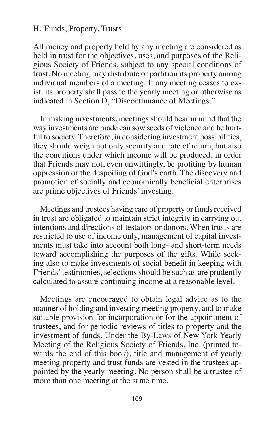#### H. Funds, Property, Trusts

All money and property held by any meeting are considered as held in trust for the objectives, uses, and purposes of the Religious Society of Friends, subject to any special conditions of trust. No meeting may distribute or partition its property among individual members of a meeting. If any meeting ceases to exist, its property shall pass to the yearly meeting or otherwise as indicated in Section D, "Discontinuance of Meetings."

In making investments, meetings should bear in mind that the way investments are made can sow seeds of violence and be hurtful to society. Therefore, in considering investment possibilities, they should weigh not only security and rate of return, but also the conditions under which income will be produced, in order that Friends may not, even unwittingly, be profiting by human oppression or the despoiling of God's earth. The discovery and promotion of socially and economically beneficial enterprises are prime objectives of Friends' investing.

Meetings and trustees having care of property or funds received in trust are obligated to maintain strict integrity in carrying out intentions and directions of testators or donors. When trusts are restricted to use of income only, management of capital investments must take into account both long- and short-term needs toward accomplishing the purposes of the gifts. While seeking also to make investments of social benefit in keeping with Friends' testimonies, selections should be such as are prudently calculated to assure continuing income at a reasonable level.

Meetings are encouraged to obtain legal advice as to the manner of holding and investing meeting property, and to make suitable provision for incorporation or for the appointment of trustees, and for periodic reviews of titles to property and the investment of funds. Under the By-Laws of New York Yearly Meeting of the Religious Society of Friends, Inc. (printed towards the end of this book), title and management of yearly meeting property and trust funds are vested in the trustees appointed by the yearly meeting. No person shall be a trustee of more than one meeting at the same time.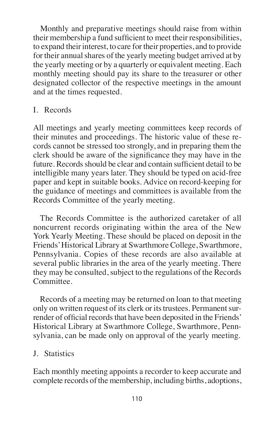Monthly and preparative meetings should raise from within their membership a fund sufficient to meet their responsibilities, to expand their interest, to care for their properties, and to provide for their annual shares of the yearly meeting budget arrived at by the yearly meeting or by a quarterly or equivalent meeting. Each monthly meeting should pay its share to the treasurer or other designated collector of the respective meetings in the amount and at the times requested.

#### I. Records

All meetings and yearly meeting committees keep records of their minutes and proceedings. The historic value of these records cannot be stressed too strongly, and in preparing them the clerk should be aware of the significance they may have in the future. Records should be clear and contain sufficient detail to be intelligible many years later. They should be typed on acid-free paper and kept in suitable books. Advice on record-keeping for the guidance of meetings and committees is available from the Records Committee of the yearly meeting.

The Records Committee is the authorized caretaker of all noncurrent records originating within the area of the New York Yearly Meeting. These should be placed on deposit in the Friends'Historical Library at Swarthmore College, Swarthmore, Pennsylvania. Copies of these records are also available at several public libraries in the area of the yearly meeting. There they may be consulted, subject to the regulations of the Records Committee.

Records of a meeting may be returned on loan to that meeting only on written request of its clerk or its trustees. Permanent surrender of official records that have been deposited in the Friends' Historical Library at Swarthmore College, Swarthmore, Pennsylvania, can be made only on approval of the yearly meeting.

### J. Statistics

Each monthly meeting appoints a recorder to keep accurate and complete records of the membership, including births, adoptions,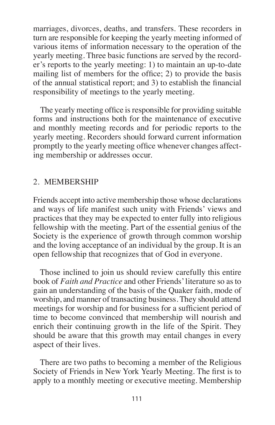marriages, divorces, deaths, and transfers. These recorders in turn are responsible for keeping the yearly meeting informed of various items of information necessary to the operation of the yearly meeting. Three basic functions are served by the recorder's reports to the yearly meeting: 1) to maintain an up-to-date mailing list of members for the office; 2) to provide the basis of the annual statistical report; and 3) to establish the financial responsibility of meetings to the yearly meeting.

The yearly meeting office is responsible for providing suitable forms and instructions both for the maintenance of executive and monthly meeting records and for periodic reports to the yearly meeting. Recorders should forward current information promptly to the yearly meeting office whenever changes affecting membership or addresses occur.

#### 2. MEMBERSHIP

Friends accept into active membership those whose declarations and ways of life manifest such unity with Friends' views and practices that they may be expected to enter fully into religious fellowship with the meeting. Part of the essential genius of the Society is the experience of growth through common worship and the loving acceptance of an individual by the group. It is an open fellowship that recognizes that of God in everyone.

Those inclined to join us should review carefully this entire book of *Faith and Practice* and other Friends'literature so as to gain an understanding of the basis of the Quaker faith, mode of worship, and manner of transacting business. They should attend meetings for worship and for business for a sufficient period of time to become convinced that membership will nourish and enrich their continuing growth in the life of the Spirit. They should be aware that this growth may entail changes in every aspect of their lives.

There are two paths to becoming a member of the Religious Society of Friends in New York Yearly Meeting. The first is to apply to a monthly meeting or executive meeting. Membership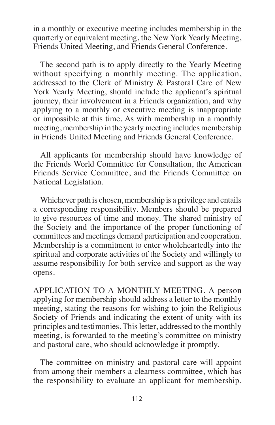in a monthly or executive meeting includes membership in the quarterly or equivalent meeting, the New York Yearly Meeting, Friends United Meeting, and Friends General Conference.

The second path is to apply directly to the Yearly Meeting without specifying a monthly meeting. The application, addressed to the Clerk of Ministry & Pastoral Care of New York Yearly Meeting, should include the applicant's spiritual journey, their involvement in a Friends organization, and why applying to a monthly or executive meeting is inappropriate or impossible at this time. As with membership in a monthly meeting, membership in the yearly meeting includes membership in Friends United Meeting and Friends General Conference.

All applicants for membership should have knowledge of the Friends World Committee for Consultation, the American Friends Service Committee, and the Friends Committee on National Legislation.

Whichever path is chosen, membership is a privilege and entails a corresponding responsibility. Members should be prepared to give resources of time and money. The shared ministry of the Society and the importance of the proper functioning of committees and meetings demand participation and cooperation. Membership is a commitment to enter wholeheartedly into the spiritual and corporate activities of the Society and willingly to assume responsibility for both service and support as the way opens.

APPLICATION TO A MONTHLY MEETING. A person applying for membership should address a letter to the monthly meeting, stating the reasons for wishing to join the Religious Society of Friends and indicating the extent of unity with its principles and testimonies. This letter, addressed to the monthly meeting, is forwarded to the meeting's committee on ministry and pastoral care, who should acknowledge it promptly.

The committee on ministry and pastoral care will appoint from among their members a clearness committee, which has the responsibility to evaluate an applicant for membership.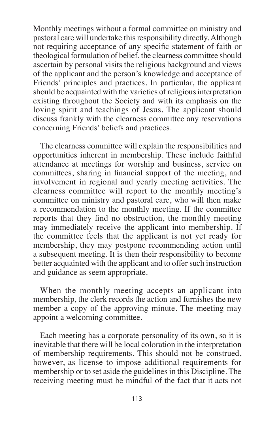Monthly meetings without a formal committee on ministry and pastoral care will undertake this responsibility directly. Although not requiring acceptance of any specific statement of faith or theological formulation of belief, the clearness committee should ascertain by personal visits the religious background and views of the applicant and the person's knowledge and acceptance of Friends' principles and practices. In particular, the applicant should be acquainted with the varieties of religious interpretation existing throughout the Society and with its emphasis on the loving spirit and teachings of Jesus. The applicant should discuss frankly with the clearness committee any reservations concerning Friends' beliefs and practices.

The clearness committee will explain the responsibilities and opportunities inherent in membership. These include faithful attendance at meetings for worship and business, service on committees, sharing in financial support of the meeting, and involvement in regional and yearly meeting activities. The clearness committee will report to the monthly meeting's committee on ministry and pastoral care, who will then make a recommendation to the monthly meeting. If the committee reports that they find no obstruction, the monthly meeting may immediately receive the applicant into membership. If the committee feels that the applicant is not yet ready for membership, they may postpone recommending action until a subsequent meeting. It is then their responsibility to become better acquainted with the applicant and to offer such instruction and guidance as seem appropriate.

When the monthly meeting accepts an applicant into membership, the clerk records the action and furnishes the new member a copy of the approving minute. The meeting may appoint a welcoming committee.

Each meeting has a corporate personality of its own, so it is inevitable that there will be local coloration in the interpretation of membership requirements. This should not be construed, however, as license to impose additional requirements for membership or to set aside the guidelines in this Discipline. The receiving meeting must be mindful of the fact that it acts not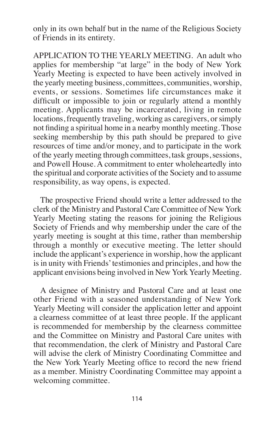only in its own behalf but in the name of the Religious Society of Friends in its entirety.

APPLICATION TO THE YEARLY MEETING. An adult who applies for membership "at large" in the body of New York Yearly Meeting is expected to have been actively involved in the yearly meeting business, committees, communities, worship, events, or sessions. Sometimes life circumstances make it difficult or impossible to join or regularly attend a monthly meeting. Applicants may be incarcerated, living in remote locations, frequently traveling, working as caregivers, or simply not finding a spiritual home in a nearby monthly meeting. Those seeking membership by this path should be prepared to give resources of time and/or money, and to participate in the work of the yearly meeting through committees, task groups,sessions, and Powell House. A commitment to enter wholeheartedly into the spiritual and corporate activities of the Society and to assume responsibility, as way opens, is expected.

The prospective Friend should write a letter addressed to the clerk of the Ministry and Pastoral Care Committee of New York Yearly Meeting stating the reasons for joining the Religious Society of Friends and why membership under the care of the yearly meeting is sought at this time, rather than membership through a monthly or executive meeting. The letter should include the applicant's experience in worship, how the applicant is in unity with Friends' testimonies and principles, and how the applicant envisions being involved in New York Yearly Meeting.

A designee of Ministry and Pastoral Care and at least one other Friend with a seasoned understanding of New York Yearly Meeting will consider the application letter and appoint a clearness committee of at least three people. If the applicant is recommended for membership by the clearness committee and the Committee on Ministry and Pastoral Care unites with that recommendation, the clerk of Ministry and Pastoral Care will advise the clerk of Ministry Coordinating Committee and the New York Yearly Meeting office to record the new friend as a member. Ministry Coordinating Committee may appoint a welcoming committee.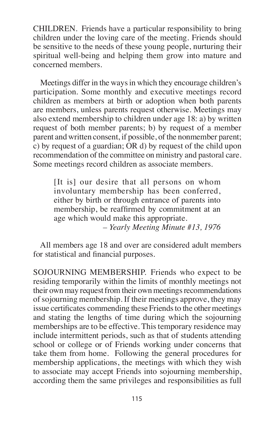CHILDREN. Friends have a particular responsibility to bring children under the loving care of the meeting. Friends should be sensitive to the needs of these young people, nurturing their spiritual well-being and helping them grow into mature and concerned members.

Meetings differ in the ways in which they encourage children's participation. Some monthly and executive meetings record children as members at birth or adoption when both parents are members, unless parents request otherwise. Meetings may also extend membership to children under age 18: a) by written request of both member parents; b) by request of a member parent and written consent, if possible, of the nonmember parent; c) by request of a guardian; OR d) by request of the child upon recommendation of the committee on ministry and pastoral care. Some meetings record children as associate members.

[It is] our desire that all persons on whom involuntary membership has been conferred, either by birth or through entrance of parents into membership, be reaffirmed by commitment at an age which would make this appropriate. *– Yearly Meeting Minute #13, 1976*

All members age 18 and over are considered adult members for statistical and financial purposes.

SOJOURNING MEMBERSHIP. Friends who expect to be residing temporarily within the limits of monthly meetings not their own may request from their own meetings recommendations of sojourning membership. If their meetings approve, they may issue certificates commending these Friends to the other meetings and stating the lengths of time during which the sojourning memberships are to be effective. This temporary residence may include intermittent periods, such as that of students attending school or college or of Friends working under concerns that take them from home. Following the general procedures for membership applications, the meetings with which they wish to associate may accept Friends into sojourning membership, according them the same privileges and responsibilities as full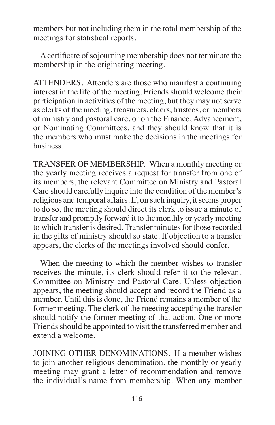members but not including them in the total membership of the meetings for statistical reports.

A certificate of sojourning membership does not terminate the membership in the originating meeting.

ATTENDERS. Attenders are those who manifest a continuing interest in the life of the meeting. Friends should welcome their participation in activities of the meeting, but they may not serve as clerks of the meeting, treasurers, elders, trustees, or members of ministry and pastoral care, or on the Finance, Advancement, or Nominating Committees, and they should know that it is the members who must make the decisions in the meetings for business.

TRANSFER OF MEMBERSHIP. When a monthly meeting or the yearly meeting receives a request for transfer from one of its members, the relevant Committee on Ministry and Pastoral Care should carefully inquire into the condition of the member's religious and temporal affairs. If, on such inquiry, it seems proper to do so, the meeting should direct its clerk to issue a minute of transfer and promptly forward it to the monthly or yearly meeting to which transfer is desired. Transfer minutes for those recorded in the gifts of ministry should so state. If objection to a transfer appears, the clerks of the meetings involved should confer.

When the meeting to which the member wishes to transfer receives the minute, its clerk should refer it to the relevant Committee on Ministry and Pastoral Care. Unless objection appears, the meeting should accept and record the Friend as a member. Until this is done, the Friend remains a member of the former meeting. The clerk of the meeting accepting the transfer should notify the former meeting of that action. One or more Friends should be appointed to visit the transferred member and extend a welcome.

JOINING OTHER DENOMINATIONS. If a member wishes to join another religious denomination, the monthly or yearly meeting may grant a letter of recommendation and remove the individual's name from membership. When any member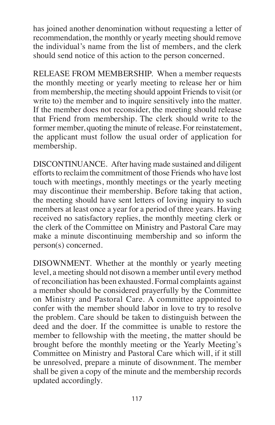has joined another denomination without requesting a letter of recommendation, the monthly or yearly meeting should remove the individual's name from the list of members, and the clerk should send notice of this action to the person concerned.

RELEASE FROM MEMBERSHIP. When a member requests the monthly meeting or yearly meeting to release her or him from membership, the meeting should appoint Friends to visit (or write to) the member and to inquire sensitively into the matter. If the member does not reconsider, the meeting should release that Friend from membership. The clerk should write to the former member, quoting the minute of release. For reinstatement, the applicant must follow the usual order of application for membership.

DISCONTINUANCE. After having made sustained and diligent efforts to reclaim the commitment of those Friends who have lost touch with meetings, monthly meetings or the yearly meeting may discontinue their membership. Before taking that action, the meeting should have sent letters of loving inquiry to such members at least once a year for a period of three years. Having received no satisfactory replies, the monthly meeting clerk or the clerk of the Committee on Ministry and Pastoral Care may make a minute discontinuing membership and so inform the person(s) concerned.

DISOWNMENT. Whether at the monthly or yearly meeting level, a meeting should not disown a member until every method of reconciliation has been exhausted. Formal complaints against a member should be considered prayerfully by the Committee on Ministry and Pastoral Care. A committee appointed to confer with the member should labor in love to try to resolve the problem. Care should be taken to distinguish between the deed and the doer. If the committee is unable to restore the member to fellowship with the meeting, the matter should be brought before the monthly meeting or the Yearly Meeting's Committee on Ministry and Pastoral Care which will, if it still be unresolved, prepare a minute of disownment. The member shall be given a copy of the minute and the membership records updated accordingly.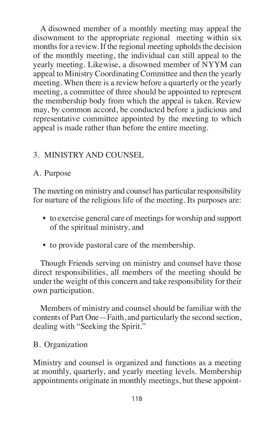A disowned member of a monthly meeting may appeal the disownment to the appropriate regional meeting within six months for a review. If the regional meeting upholds the decision of the monthly meeting, the individual can still appeal to the yearly meeting. Likewise, a disowned member of NYYM can appeal to Ministry Coordinating Committee and then the yearly meeting. When there is a review before a quarterly or the yearly meeting, a committee of three should be appointed to represent the membership body from which the appeal is taken. Review may, by common accord, be conducted before a judicious and representative committee appointed by the meeting to which appeal is made rather than before the entire meeting.

# 3. MINISTRY AND COUNSEL

## A. Purpose

The meeting on ministry and counsel has particular responsibility for nurture of the religious life of the meeting. Its purposes are:

- to exercise general care of meetings for worship and support of the spiritual ministry, and
- to provide pastoral care of the membership.

Though Friends serving on ministry and counsel have those direct responsibilities, all members of the meeting should be under the weight of this concern and take responsibility for their own participation.

Members of ministry and counsel should be familiar with the contents of Part One—Faith, and particularly the second section, dealing with "Seeking the Spirit."

## B. Organization

Ministry and counsel is organized and functions as a meeting at monthly, quarterly, and yearly meeting levels. Membership appointments originate in monthly meetings, but these appoint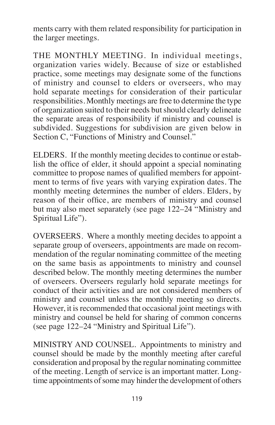ments carry with them related responsibility for participation in the larger meetings.

THE MONTHLY MEETING. In individual meetings, organization varies widely. Because of size or established practice, some meetings may designate some of the functions of ministry and counsel to elders or overseers, who may hold separate meetings for consideration of their particular responsibilities. Monthly meetings are free to determine the type of organization suited to their needs butshould clearly delineate the separate areas of responsibility if ministry and counsel is subdivided. Suggestions for subdivision are given below in Section C, "Functions of Ministry and Counsel."

ELDERS. If the monthly meeting decides to continue or establish the office of elder, it should appoint a special nominating committee to propose names of qualified members for appointment to terms of five years with varying expiration dates. The monthly meeting determines the number of elders. Elders, by reason of their office, are members of ministry and counsel but may also meet separately (see page 122–24 "Ministry and Spiritual Life").

OVERSEERS. Where a monthly meeting decides to appoint a separate group of overseers, appointments are made on recommendation of the regular nominating committee of the meeting on the same basis as appointments to ministry and counsel described below. The monthly meeting determines the number of overseers. Overseers regularly hold separate meetings for conduct of their activities and are not considered members of ministry and counsel unless the monthly meeting so directs. However, it is recommended that occasional joint meetings with ministry and counsel be held for sharing of common concerns (see page 122–24 "Ministry and Spiritual Life").

MINISTRY AND COUNSEL. Appointments to ministry and counsel should be made by the monthly meeting after careful consideration and proposal by the regular nominating committee of the meeting. Length of service is an important matter. Longtime appointments of some may hinder the development of others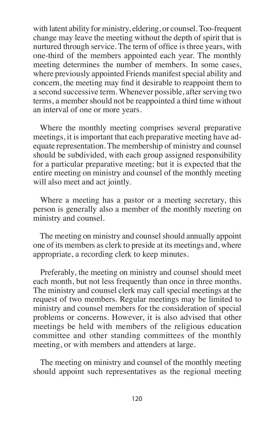with latent ability for ministry, eldering, or counsel. Too-frequent change may leave the meeting without the depth of spirit that is nurtured through service. The term of office is three years, with one-third of the members appointed each year. The monthly meeting determines the number of members. In some cases, where previously appointed Friends manifest special ability and concern, the meeting may find it desirable to reappoint them to a second successive term. Whenever possible, after serving two terms, a member should not be reappointed a third time without an interval of one or more years.

Where the monthly meeting comprises several preparative meetings, it is important that each preparative meeting have adequate representation. The membership of ministry and counsel should be subdivided, with each group assigned responsibility for a particular preparative meeting; but it is expected that the entire meeting on ministry and counsel of the monthly meeting will also meet and act jointly.

Where a meeting has a pastor or a meeting secretary, this person is generally also a member of the monthly meeting on ministry and counsel.

The meeting on ministry and counsel should annually appoint one of its members as clerk to preside at its meetings and, where appropriate, a recording clerk to keep minutes.

Preferably, the meeting on ministry and counsel should meet each month, but not less frequently than once in three months. The ministry and counsel clerk may call special meetings at the request of two members. Regular meetings may be limited to ministry and counsel members for the consideration of special problems or concerns. However, it is also advised that other meetings be held with members of the religious education committee and other standing committees of the monthly meeting, or with members and attenders at large.

The meeting on ministry and counsel of the monthly meeting should appoint such representatives as the regional meeting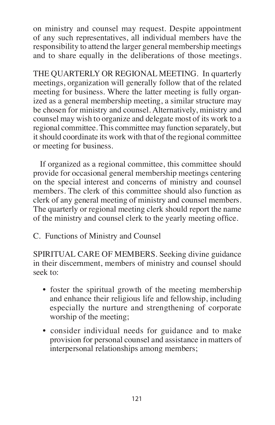on ministry and counsel may request. Despite appointment of any such representatives, all individual members have the responsibility to attend the larger general membership meetings and to share equally in the deliberations of those meetings.

THE QUARTERLY OR REGIONAL MEETING. In quarterly meetings, organization will generally follow that of the related meeting for business. Where the latter meeting is fully organized as a general membership meeting, a similar structure may be chosen for ministry and counsel. Alternatively, ministry and counsel may wish to organize and delegate most of its work to a regional committee.This committee may function separately, but it should coordinate its work with that of the regional committee or meeting for business.

If organized as a regional committee, this committee should provide for occasional general membership meetings centering on the special interest and concerns of ministry and counsel members. The clerk of this committee should also function as clerk of any general meeting of ministry and counsel members. The quarterly or regional meeting clerk should report the name of the ministry and counsel clerk to the yearly meeting office.

C. Functions of Ministry and Counsel

SPIRITUAL CARE OF MEMBERS. Seeking divine guidance in their discernment, members of ministry and counsel should seek to:

- foster the spiritual growth of the meeting membership and enhance their religious life and fellowship, including especially the nurture and strengthening of corporate worship of the meeting;
- consider individual needs for guidance and to make provision for personal counsel and assistance in matters of interpersonal relationships among members;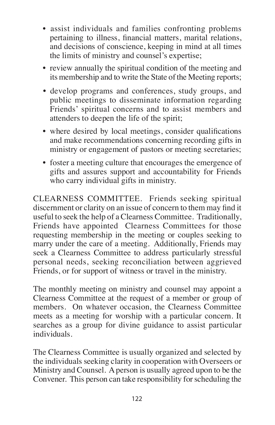- assist individuals and families confronting problems pertaining to illness, financial matters, marital relations, and decisions of conscience, keeping in mind at all times the limits of ministry and counsel's expertise;
- review annually the spiritual condition of the meeting and its membership and to write the State of the Meeting reports;
- develop programs and conferences, study groups, and public meetings to disseminate information regarding Friends' spiritual concerns and to assist members and attenders to deepen the life of the spirit;
- where desired by local meetings, consider qualifications and make recommendations concerning recording gifts in ministry or engagement of pastors or meeting secretaries;
- foster a meeting culture that encourages the emergence of gifts and assures support and accountability for Friends who carry individual gifts in ministry.

CLEARNESS COMMITTEE. Friends seeking spiritual discernment or clarity on an issue of concern to them may find it useful to seek the help of a Clearness Committee. Traditionally, Friends have appointed Clearness Committees for those requesting membership in the meeting or couples seeking to marry under the care of a meeting. Additionally, Friends may seek a Clearness Committee to address particularly stressful personal needs, seeking reconciliation between aggrieved Friends, or for support of witness or travel in the ministry.

The monthly meeting on ministry and counsel may appoint a Clearness Committee at the request of a member or group of members. On whatever occasion, the Clearness Committee meets as a meeting for worship with a particular concern. It searches as a group for divine guidance to assist particular individuals.

The Clearness Committee is usually organized and selected by the individuals seeking clarity in cooperation with Overseers or Ministry and Counsel. Aperson is usually agreed upon to be the Convener. This person can take responsibility for scheduling the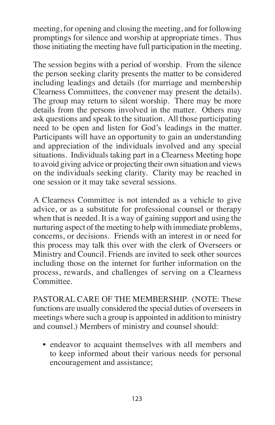meeting, for opening and closing the meeting, and for following promptings for silence and worship at appropriate times. Thus those initiating the meeting have full participation in the meeting.

The session begins with a period of worship. From the silence the person seeking clarity presents the matter to be considered including leadings and details (for marriage and membership Clearness Committees, the convener may present the details). The group may return to silent worship. There may be more details from the persons involved in the matter. Others may ask questions and speak to the situation. All those participating need to be open and listen for God's leadings in the matter. Participants will have an opportunity to gain an understanding and appreciation of the individuals involved and any special situations. Individuals taking part in a Clearness Meeting hope to avoid giving advice or projecting their own situation and views on the individuals seeking clarity. Clarity may be reached in one session or it may take several sessions.

A Clearness Committee is not intended as a vehicle to give advice, or as a substitute for professional counsel or therapy when that is needed. It is a way of gaining support and using the nurturing aspect of the meeting to help with immediate problems, concerns, or decisions. Friends with an interest in or need for this process may talk this over with the clerk of Overseers or Ministry and Council. Friends are invited to seek other sources including those on the internet for further information on the process, rewards, and challenges of serving on a Clearness Committee.

PASTORAL CARE OF THE MEMBERSHIP. (NOTE: These functions are usually considered the special duties of overseersin meetings where such a group is appointed in addition to ministry and counsel.) Members of ministry and counsel should:

• endeavor to acquaint themselves with all members and to keep informed about their various needs for personal encouragement and assistance;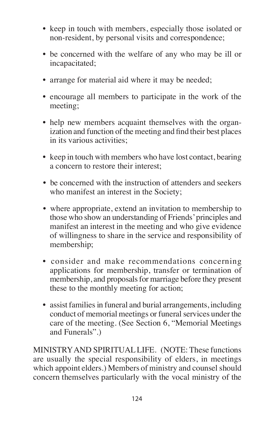- keep in touch with members, especially those isolated or non-resident, by personal visits and correspondence;
- be concerned with the welfare of any who may be ill or incapacitated;
- arrange for material aid where it may be needed;
- encourage all members to participate in the work of the meeting;
- help new members acquaint themselves with the organization and function of the meeting and find their best places in its various activities;
- keep in touch with members who have lost contact, bearing a concern to restore their interest;
- be concerned with the instruction of attenders and seekers who manifest an interest in the Society;
- where appropriate, extend an invitation to membership to those who show an understanding of Friends'principles and manifest an interest in the meeting and who give evidence of willingness to share in the service and responsibility of membership;
- consider and make recommendations concerning applications for membership, transfer or termination of membership, and proposals for marriage before they present these to the monthly meeting for action;
- assist families in funeral and burial arrangements, including conduct of memorial meetings or funeral services under the care of the meeting. (See Section 6, "Memorial Meetings and Funerals".)

MINISTRYAND SPIRITUALLIFE. (NOTE: These functions are usually the special responsibility of elders, in meetings which appoint elders.) Members of ministry and counsel should concern themselves particularly with the vocal ministry of the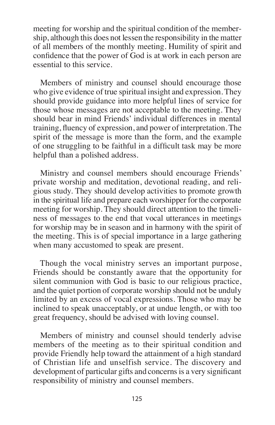meeting for worship and the spiritual condition of the membership, although this does not lessen the responsibility in the matter of all members of the monthly meeting. Humility of spirit and confidence that the power of God is at work in each person are essential to this service.

Members of ministry and counsel should encourage those who give evidence of true spiritual insight and expression. They should provide guidance into more helpful lines of service for those whose messages are not acceptable to the meeting. They should bear in mind Friends' individual differences in mental training, fluency of expression, and power of interpretation. The spirit of the message is more than the form, and the example of one struggling to be faithful in a difficult task may be more helpful than a polished address.

Ministry and counsel members should encourage Friends' private worship and meditation, devotional reading, and religious study. They should develop activities to promote growth in the spiritual life and prepare each worshipper for the corporate meeting for worship. They should direct attention to the timeliness of messages to the end that vocal utterances in meetings for worship may be in season and in harmony with the spirit of the meeting. This is of special importance in a large gathering when many accustomed to speak are present.

Though the vocal ministry serves an important purpose, Friends should be constantly aware that the opportunity for silent communion with God is basic to our religious practice, and the quiet portion of corporate worship should not be unduly limited by an excess of vocal expressions. Those who may be inclined to speak unacceptably, or at undue length, or with too great frequency, should be advised with loving counsel.

Members of ministry and counsel should tenderly advise members of the meeting as to their spiritual condition and provide Friendly help toward the attainment of a high standard of Christian life and unselfish service. The discovery and development of particular gifts and concerns is a very significant responsibility of ministry and counsel members.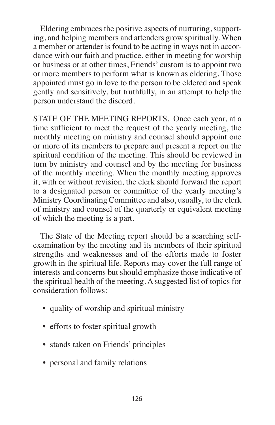Eldering embraces the positive aspects of nurturing, supporting, and helping members and attenders grow spiritually. When a member or attender is found to be acting in ways not in accordance with our faith and practice, either in meeting for worship or business or at other times, Friends' custom is to appoint two or more members to perform what is known as eldering. Those appointed must go in love to the person to be eldered and speak gently and sensitively, but truthfully, in an attempt to help the person understand the discord.

STATE OF THE MEETING REPORTS. Once each year, at a time sufficient to meet the request of the yearly meeting, the monthly meeting on ministry and counsel should appoint one or more of its members to prepare and present a report on the spiritual condition of the meeting. This should be reviewed in turn by ministry and counsel and by the meeting for business of the monthly meeting. When the monthly meeting approves it, with or without revision, the clerk should forward the report to a designated person or committee of the yearly meeting's Ministry Coordinating Committee and also, usually, to the clerk of ministry and counsel of the quarterly or equivalent meeting of which the meeting is a part.

The State of the Meeting report should be a searching selfexamination by the meeting and its members of their spiritual strengths and weaknesses and of the efforts made to foster growth in the spiritual life. Reports may cover the full range of interests and concerns but should emphasize those indicative of the spiritual health of the meeting. A suggested list of topics for consideration follows:

- quality of worship and spiritual ministry
- efforts to foster spiritual growth
- stands taken on Friends' principles
- personal and family relations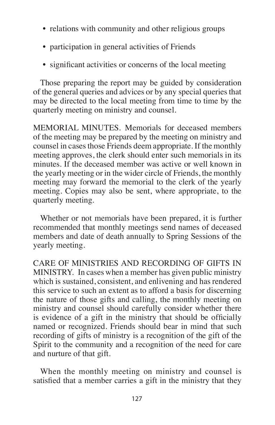- relations with community and other religious groups
- participation in general activities of Friends
- significant activities or concerns of the local meeting

Those preparing the report may be guided by consideration of the general queries and advices or by any special queries that may be directed to the local meeting from time to time by the quarterly meeting on ministry and counsel.

MEMORIAL MINUTES. Memorials for deceased members of the meeting may be prepared by the meeting on ministry and counsel in cases those Friends deem appropriate. If the monthly meeting approves, the clerk should enter such memorials in its minutes. If the deceased member was active or well known in the yearly meeting or in the wider circle of Friends, the monthly meeting may forward the memorial to the clerk of the yearly meeting. Copies may also be sent, where appropriate, to the quarterly meeting.

Whether or not memorials have been prepared, it is further recommended that monthly meetings send names of deceased members and date of death annually to Spring Sessions of the yearly meeting.

CARE OF MINISTRIES AND RECORDING OF GIFTS IN MINISTRY. In cases when a member has given public ministry which is sustained, consistent, and enlivening and has rendered this service to such an extent as to afford a basis for discerning the nature of those gifts and calling, the monthly meeting on ministry and counsel should carefully consider whether there is evidence of a gift in the ministry that should be officially named or recognized. Friends should bear in mind that such recording of gifts of ministry is a recognition of the gift of the Spirit to the community and a recognition of the need for care and nurture of that gift.

When the monthly meeting on ministry and counsel is satisfied that a member carries a gift in the ministry that they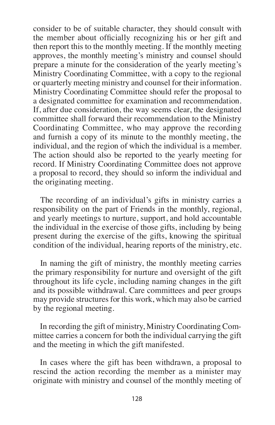consider to be of suitable character, they should consult with the member about officially recognizing his or her gift and then report this to the monthly meeting. If the monthly meeting approves, the monthly meeting's ministry and counsel should prepare a minute for the consideration of the yearly meeting's Ministry Coordinating Committee, with a copy to the regional or quarterly meeting ministry and counsel for their information. Ministry Coordinating Committee should refer the proposal to a designated committee for examination and recommendation. If, after due consideration, the way seems clear, the designated committee shall forward their recommendation to the Ministry Coordinating Committee, who may approve the recording and furnish a copy of its minute to the monthly meeting, the individual, and the region of which the individual is a member. The action should also be reported to the yearly meeting for record. If Ministry Coordinating Committee does not approve a proposal to record, they should so inform the individual and the originating meeting.

The recording of an individual's gifts in ministry carries a responsibility on the part of Friends in the monthly, regional, and yearly meetings to nurture, support, and hold accountable the individual in the exercise of those gifts, including by being present during the exercise of the gifts, knowing the spiritual condition of the individual, hearing reports of the ministry, etc.

In naming the gift of ministry, the monthly meeting carries the primary responsibility for nurture and oversight of the gift throughout its life cycle, including naming changes in the gift and its possible withdrawal. Care committees and peer groups may provide structures for this work, which may also be carried by the regional meeting.

In recording the gift of ministry, Ministry Coordinating Committee carries a concern for both the individual carrying the gift and the meeting in which the gift manifested.

In cases where the gift has been withdrawn, a proposal to rescind the action recording the member as a minister may originate with ministry and counsel of the monthly meeting of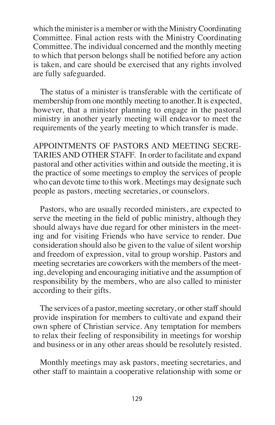which the minister is a member or with the Ministry Coordinating Committee. Final action rests with the Ministry Coordinating Committee. The individual concerned and the monthly meeting to which that person belongs shall be notified before any action is taken, and care should be exercised that any rights involved are fully safeguarded.

The status of a minister is transferable with the certificate of membership from one monthly meeting to another. It is expected, however, that a minister planning to engage in the pastoral ministry in another yearly meeting will endeavor to meet the requirements of the yearly meeting to which transfer is made.

APPOINTMENTS OF PASTORS AND MEETING SECRE-TARIESAND OTHER STAFF. In order to facilitate and expand pastoral and other activities within and outside the meeting, it is the practice of some meetings to employ the services of people who can devote time to this work. Meetings may designate such people as pastors, meeting secretaries, or counselors.

Pastors, who are usually recorded ministers, are expected to serve the meeting in the field of public ministry, although they should always have due regard for other ministers in the meeting and for visiting Friends who have service to render. Due consideration should also be given to the value of silent worship and freedom of expression, vital to group worship. Pastors and meeting secretaries are coworkers with the members of the meeting, developing and encouraging initiative and the assumption of responsibility by the members, who are also called to minister according to their gifts.

The services of a pastor, meeting secretary, or other staff should provide inspiration for members to cultivate and expand their own sphere of Christian service. Any temptation for members to relax their feeling of responsibility in meetings for worship and business or in any other areas should be resolutely resisted.

Monthly meetings may ask pastors, meeting secretaries, and other staff to maintain a cooperative relationship with some or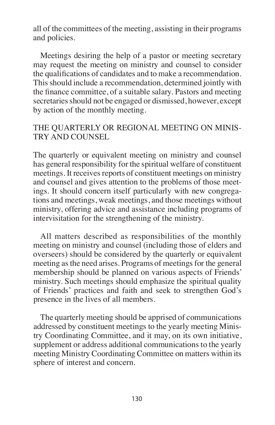all of the committees of the meeting, assisting in their programs and policies.

Meetings desiring the help of a pastor or meeting secretary may request the meeting on ministry and counsel to consider the qualifications of candidates and to make a recommendation. This should include a recommendation, determined jointly with the finance committee, of a suitable salary. Pastors and meeting secretaries should not be engaged or dismissed, however, except by action of the monthly meeting.

#### THE QUARTERLY OR REGIONAL MEETING ON MINIS-TRY AND COUNSEL

The quarterly or equivalent meeting on ministry and counsel has general responsibility for the spiritual welfare of constituent meetings. It receives reports of constituent meetings on ministry and counsel and gives attention to the problems of those meetings. It should concern itself particularly with new congregations and meetings, weak meetings, and those meetings without ministry, offering advice and assistance including programs of intervisitation for the strengthening of the ministry.

All matters described as responsibilities of the monthly meeting on ministry and counsel (including those of elders and overseers) should be considered by the quarterly or equivalent meeting as the need arises. Programs of meetings for the general membership should be planned on various aspects of Friends' ministry. Such meetings should emphasize the spiritual quality of Friends' practices and faith and seek to strengthen God's presence in the lives of all members.

The quarterly meeting should be apprised of communications addressed by constituent meetings to the yearly meeting Ministry Coordinating Committee, and it may, on its own initiative, supplement or address additional communications to the yearly meeting Ministry Coordinating Committee on matters within its sphere of interest and concern.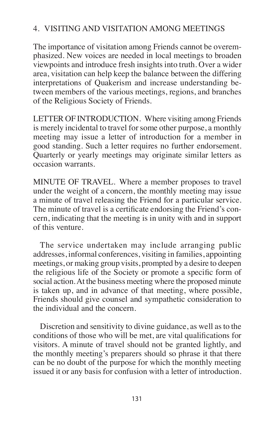## 4. VISITING AND VISITATION AMONG MEETINGS

The importance of visitation among Friends cannot be overemphasized. New voices are needed in local meetings to broaden viewpoints and introduce fresh insights into truth. Over a wider area, visitation can help keep the balance between the differing interpretations of Quakerism and increase understanding between members of the various meetings, regions, and branches of the Religious Society of Friends.

LETTER OF INTRODUCTION. Where visiting among Friends is merely incidental to travel for some other purpose, a monthly meeting may issue a letter of introduction for a member in good standing. Such a letter requires no further endorsement. Quarterly or yearly meetings may originate similar letters as occasion warrants.

MINUTE OF TRAVEL. Where a member proposes to travel under the weight of a concern, the monthly meeting may issue a minute of travel releasing the Friend for a particular service. The minute of travel is a certificate endorsing the Friend's concern, indicating that the meeting is in unity with and in support of this venture.

The service undertaken may include arranging public addresses, informal conferences, visiting in families, appointing meetings, or making group visits, prompted by a desire to deepen the religious life of the Society or promote a specific form of social action.At the business meeting where the proposed minute is taken up, and in advance of that meeting, where possible, Friends should give counsel and sympathetic consideration to the individual and the concern.

Discretion and sensitivity to divine guidance, as well as to the conditions of those who will be met, are vital qualifications for visitors. A minute of travel should not be granted lightly, and the monthly meeting's preparers should so phrase it that there can be no doubt of the purpose for which the monthly meeting issued it or any basis for confusion with a letter of introduction.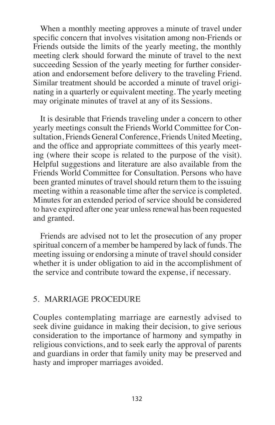When a monthly meeting approves a minute of travel under specific concern that involves visitation among non-Friends or Friends outside the limits of the yearly meeting, the monthly meeting clerk should forward the minute of travel to the next succeeding Session of the yearly meeting for further consideration and endorsement before delivery to the traveling Friend. Similar treatment should be accorded a minute of travel originating in a quarterly or equivalent meeting. The yearly meeting may originate minutes of travel at any of its Sessions.

It is desirable that Friends traveling under a concern to other yearly meetings consult the Friends World Committee for Consultation, Friends General Conference, Friends United Meeting, and the office and appropriate committees of this yearly meeting (where their scope is related to the purpose of the visit). Helpful suggestions and literature are also available from the Friends World Committee for Consultation. Persons who have been granted minutes of travel should return them to the issuing meeting within a reasonable time after the service is completed. Minutes for an extended period of service should be considered to have expired after one year unless renewal has been requested and granted.

Friends are advised not to let the prosecution of any proper spiritual concern of a member be hampered by lack of funds. The meeting issuing or endorsing a minute of travel should consider whether it is under obligation to aid in the accomplishment of the service and contribute toward the expense, if necessary.

### 5. MARRIAGE PROCEDURE

Couples contemplating marriage are earnestly advised to seek divine guidance in making their decision, to give serious consideration to the importance of harmony and sympathy in religious convictions, and to seek early the approval of parents and guardians in order that family unity may be preserved and hasty and improper marriages avoided.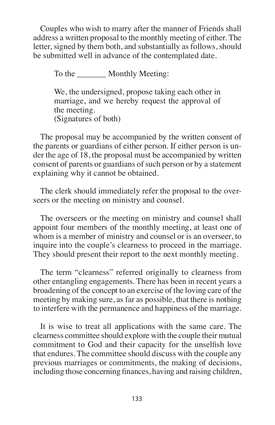Couples who wish to marry after the manner of Friends shall address a written proposal to the monthly meeting of either. The letter, signed by them both, and substantially as follows, should be submitted well in advance of the contemplated date.

To the \_\_\_\_\_\_\_\_\_ Monthly Meeting:

We, the undersigned, propose taking each other in marriage, and we hereby request the approval of the meeting. (Signatures of both)

The proposal may be accompanied by the written consent of the parents or guardians of either person. If either person is under the age of 18, the proposal must be accompanied by written consent of parents or guardians of such person or by a statement explaining why it cannot be obtained.

The clerk should immediately refer the proposal to the overseers or the meeting on ministry and counsel.

The overseers or the meeting on ministry and counsel shall appoint four members of the monthly meeting, at least one of whom is a member of ministry and counsel or is an overseer, to inquire into the couple's clearness to proceed in the marriage. They should present their report to the next monthly meeting.

The term "clearness" referred originally to clearness from other entangling engagements. There has been in recent years a broadening of the concept to an exercise of the loving care of the meeting by making sure, as far as possible, that there is nothing to interfere with the permanence and happiness of the marriage.

It is wise to treat all applications with the same care. The clearness committee should explore with the couple their mutual commitment to God and their capacity for the unselfish love that endures. The committee should discuss with the couple any previous marriages or commitments, the making of decisions, including those concerning finances, having and raising children,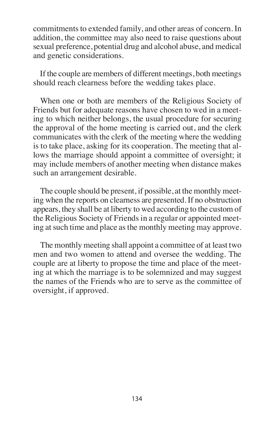commitments to extended family, and other areas of concern. In addition, the committee may also need to raise questions about sexual preference, potential drug and alcohol abuse, and medical and genetic considerations.

If the couple are members of different meetings, both meetings should reach clearness before the wedding takes place.

When one or both are members of the Religious Society of Friends but for adequate reasons have chosen to wed in a meeting to which neither belongs, the usual procedure for securing the approval of the home meeting is carried out, and the clerk communicates with the clerk of the meeting where the wedding is to take place, asking for its cooperation. The meeting that allows the marriage should appoint a committee of oversight; it may include members of another meeting when distance makes such an arrangement desirable.

The couple should be present, if possible, at the monthly meeting when the reports on clearness are presented. If no obstruction appears, they shall be at liberty to wed according to the custom of the Religious Society of Friends in a regular or appointed meeting atsuch time and place asthe monthly meeting may approve.

The monthly meeting shall appoint a committee of at least two men and two women to attend and oversee the wedding. The couple are at liberty to propose the time and place of the meeting at which the marriage is to be solemnized and may suggest the names of the Friends who are to serve as the committee of oversight, if approved.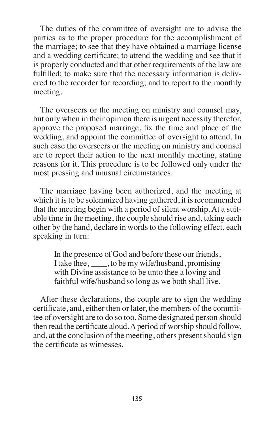The duties of the committee of oversight are to advise the parties as to the proper procedure for the accomplishment of the marriage; to see that they have obtained a marriage license and a wedding certificate; to attend the wedding and see that it is properly conducted and that other requirements of the law are fulfilled; to make sure that the necessary information is delivered to the recorder for recording; and to report to the monthly meeting.

The overseers or the meeting on ministry and counsel may, but only when in their opinion there is urgent necessity therefor, approve the proposed marriage, fix the time and place of the wedding, and appoint the committee of oversight to attend. In such case the overseers or the meeting on ministry and counsel are to report their action to the next monthly meeting, stating reasons for it. This procedure is to be followed only under the most pressing and unusual circumstances.

The marriage having been authorized, and the meeting at which it is to be solemnized having gathered, it is recommended that the meeting begin with a period of silent worship. At a suitable time in the meeting, the couple should rise and, taking each other by the hand, declare in words to the following effect, each speaking in turn:

In the presence of God and before these our friends, I take thee, \_\_\_\_, to be my wife/husband, promising with Divine assistance to be unto thee a loving and faithful wife/husband so long as we both shall live.

After these declarations, the couple are to sign the wedding certificate, and, either then or later, the members of the committee of oversight are to do so too. Some designated person should then read the certificate aloud.Aperiod of worship should follow, and, at the conclusion of the meeting, others present should sign the certificate as witnesses.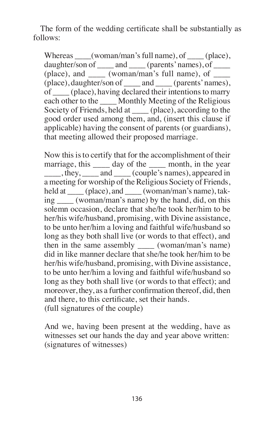The form of the wedding certificate shall be substantially as follows:

Whereas \_\_\_\_(woman/man's full name), of \_\_\_\_(place), daughter/son of \_\_\_\_ and \_\_\_\_ (parents' names), of \_\_\_\_ (place), and  $\qquad$  (woman/man's full name), of  $\qquad$ (place), daughter/son of \_\_\_\_ and \_\_\_\_ (parents'names), of \_\_\_\_ (place), having declared their intentionsto marry each other to the \_\_\_\_ Monthly Meeting of the Religious Society of Friends, held at \_\_\_\_ (place), according to the good order used among them, and, (insert this clause if applicable) having the consent of parents (or guardians), that meeting allowed their proposed marriage.

Now this is to certify that for the accomplishment of their marriage, this \_\_\_\_\_ day of the \_\_\_\_\_ month, in the year \_\_\_\_, they, \_\_\_\_ and \_\_\_\_ (couple's names), appeared in a meeting for worship of the Religious Society of Friends, held at \_\_\_\_ (place), and \_\_\_\_ (woman/man's name), taking (woman/man's name) by the hand, did, on this solemn occasion, declare that she/he took her/him to be her/his wife/husband, promising, with Divine assistance, to be unto her/him a loving and faithful wife/husband so long as they both shall live (or words to that effect), and then in the same assembly \_\_\_\_ (woman/man's name) did in like manner declare that she/he took her/him to be her/his wife/husband, promising, with Divine assistance, to be unto her/him a loving and faithful wife/husband so long as they both shall live (or words to that effect); and moreover, they, as a further confirmation thereof, did, then and there, to this certificate, set their hands. (full signatures of the couple)

And we, having been present at the wedding, have as witnesses set our hands the day and year above written: (signatures of witnesses)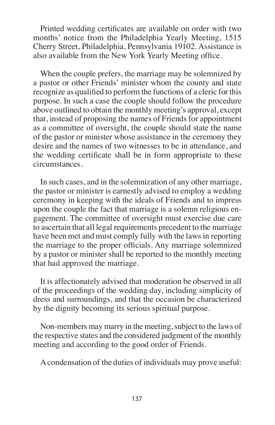Printed wedding certificates are available on order with two months' notice from the Philadelphia Yearly Meeting, 1515 Cherry Street, Philadelphia, Pennsylvania 19102. Assistance is also available from the New York Yearly Meeting office.

When the couple prefers, the marriage may be solemnized by a pastor or other Friends' minister whom the county and state recognize as qualified to perform the functions of a cleric for this purpose. In such a case the couple should follow the procedure above outlined to obtain the monthly meeting's approval, except that, instead of proposing the names of Friends for appointment as a committee of oversight, the couple should state the name of the pastor or minister whose assistance in the ceremony they desire and the names of two witnesses to be in attendance, and the wedding certificate shall be in form appropriate to these circumstances.

In such cases, and in the solemnization of any other marriage, the pastor or minister is earnestly advised to employ a wedding ceremony in keeping with the ideals of Friends and to impress upon the couple the fact that marriage is a solemn religious engagement. The committee of oversight must exercise due care to ascertain that all legal requirements precedent to the marriage have been met and must comply fully with the laws in reporting the marriage to the proper officials. Any marriage solemnized by a pastor or minister shall be reported to the monthly meeting that had approved the marriage.

It is affectionately advised that moderation be observed in all of the proceedings of the wedding day, including simplicity of dress and surroundings, and that the occasion be characterized by the dignity becoming its serious spiritual purpose.

Non-members may marry in the meeting, subject to the laws of the respective states and the considered judgment of the monthly meeting and according to the good order of Friends.

Acondensation of the duties of individuals may prove useful: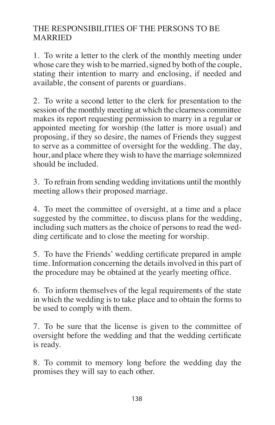## THE RESPONSIBILITIES OF THE PERSONS TO BE MARRIED

1. To write a letter to the clerk of the monthly meeting under whose care they wish to be married, signed by both of the couple, stating their intention to marry and enclosing, if needed and available, the consent of parents or guardians.

2. To write a second letter to the clerk for presentation to the session of the monthly meeting at which the clearness committee makes its report requesting permission to marry in a regular or appointed meeting for worship (the latter is more usual) and proposing, if they so desire, the names of Friends they suggest to serve as a committee of oversight for the wedding. The day, hour, and place where they wish to have the marriage solemnized should be included.

3. To refrain from sending wedding invitations until the monthly meeting allows their proposed marriage.

4. To meet the committee of oversight, at a time and a place suggested by the committee, to discuss plans for the wedding, including such matters as the choice of persons to read the wedding certificate and to close the meeting for worship.

5. To have the Friends' wedding certificate prepared in ample time. Information concerning the details involved in this part of the procedure may be obtained at the yearly meeting office.

6. To inform themselves of the legal requirements of the state in which the wedding is to take place and to obtain the forms to be used to comply with them.

7. To be sure that the license is given to the committee of oversight before the wedding and that the wedding certificate is ready.

8. To commit to memory long before the wedding day the promises they will say to each other.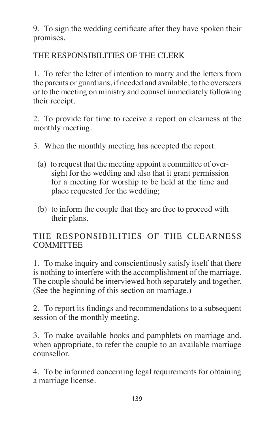9. To sign the wedding certificate after they have spoken their promises.

THE RESPONSIBILITIES OF THE CLERK

1. To refer the letter of intention to marry and the letters from the parents or guardians, if needed and available, to the overseers or to the meeting on ministry and counsel immediately following their receipt.

2. To provide for time to receive a report on clearness at the monthly meeting.

- 3. When the monthly meeting has accepted the report:
	- (a) to request that the meeting appoint a committee of oversight for the wedding and also that it grant permission for a meeting for worship to be held at the time and place requested for the wedding;
	- (b) to inform the couple that they are free to proceed with their plans.

# THE RESPONSIBILITIES OF THE CLEARNESS **COMMITTEE**

1. To make inquiry and conscientiously satisfy itself that there is nothing to interfere with the accomplishment of the marriage. The couple should be interviewed both separately and together. (See the beginning of this section on marriage.)

2. To report its findings and recommendations to a subsequent session of the monthly meeting.

3. To make available books and pamphlets on marriage and, when appropriate, to refer the couple to an available marriage counsellor.

4. To be informed concerning legal requirements for obtaining a marriage license.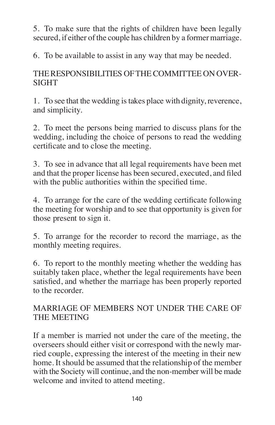5. To make sure that the rights of children have been legally secured, if either of the couple has children by a former marriage.

6. To be available to assist in any way that may be needed.

THERESPONSIBILITIES OFTHECOMMITTEE ON OVER-SIGHT

1. To see that the wedding istakes place with dignity, reverence, and simplicity.

2. To meet the persons being married to discuss plans for the wedding, including the choice of persons to read the wedding certificate and to close the meeting.

3. To see in advance that all legal requirements have been met and that the proper license has been secured, executed, and filed with the public authorities within the specified time.

4. To arrange for the care of the wedding certificate following the meeting for worship and to see that opportunity is given for those present to sign it.

5. To arrange for the recorder to record the marriage, as the monthly meeting requires.

6. To report to the monthly meeting whether the wedding has suitably taken place, whether the legal requirements have been satisfied, and whether the marriage has been properly reported to the recorder.

# MARRIAGE OF MEMBERS NOT UNDER THE CARE OF THE MEETING

If a member is married not under the care of the meeting, the overseers should either visit or correspond with the newly married couple, expressing the interest of the meeting in their new home. It should be assumed that the relationship of the member with the Society will continue, and the non-member will be made welcome and invited to attend meeting.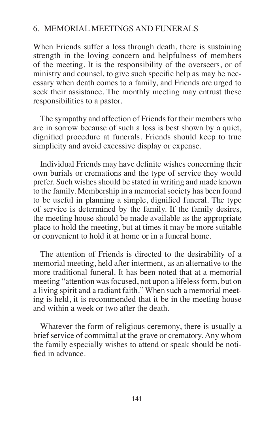### 6. MEMORIAL MEETINGS AND FUNERALS

When Friends suffer a loss through death, there is sustaining strength in the loving concern and helpfulness of members of the meeting. It is the responsibility of the overseers, or of ministry and counsel, to give such specific help as may be necessary when death comes to a family, and Friends are urged to seek their assistance. The monthly meeting may entrust these responsibilities to a pastor.

The sympathy and affection of Friends for their members who are in sorrow because of such a loss is best shown by a quiet, dignified procedure at funerals. Friends should keep to true simplicity and avoid excessive display or expense.

Individual Friends may have definite wishes concerning their own burials or cremations and the type of service they would prefer. Such wishes should be stated in writing and made known to the family. Membership in a memorial society has been found to be useful in planning a simple, dignified funeral. The type of service is determined by the family. If the family desires, the meeting house should be made available as the appropriate place to hold the meeting, but at times it may be more suitable or convenient to hold it at home or in a funeral home.

The attention of Friends is directed to the desirability of a memorial meeting, held after interment, as an alternative to the more traditional funeral. It has been noted that at a memorial meeting "attention was focused, not upon a lifeless form, but on a living spirit and a radiant faith." When such a memorial meeting is held, it is recommended that it be in the meeting house and within a week or two after the death.

Whatever the form of religious ceremony, there is usually a brief service of committal at the grave or crematory. Any whom the family especially wishes to attend or speak should be notified in advance.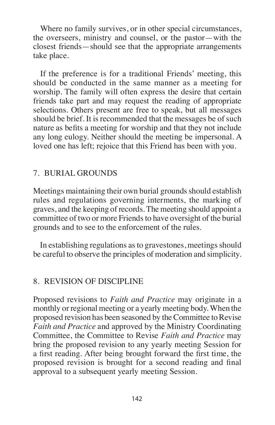Where no family survives, or in other special circumstances, the overseers, ministry and counsel, or the pastor—with the closest friends—should see that the appropriate arrangements take place.

If the preference is for a traditional Friends' meeting, this should be conducted in the same manner as a meeting for worship. The family will often express the desire that certain friends take part and may request the reading of appropriate selections. Others present are free to speak, but all messages should be brief. It is recommended that the messages be of such nature as befits a meeting for worship and that they not include any long eulogy. Neither should the meeting be impersonal. A loved one has left; rejoice that this Friend has been with you.

### 7. BURIAL GROUNDS

Meetings maintaining their own burial grounds should establish rules and regulations governing interments, the marking of graves, and the keeping of records. The meeting should appoint a committee of two or more Friends to have oversight of the burial grounds and to see to the enforcement of the rules.

In establishing regulations as to gravestones, meetings should be careful to observe the principles of moderation and simplicity.

### 8. REVISION OF DISCIPLINE

Proposed revisions to *Faith and Practice* may originate in a monthly or regional meeting or a yearly meeting body. When the proposed revision has been seasoned by the Committee to Revise *Faith and Practice* and approved by the Ministry Coordinating Committee, the Committee to Revise *Faith and Practice* may bring the proposed revision to any yearly meeting Session for a first reading. After being brought forward the first time, the proposed revision is brought for a second reading and final approval to a subsequent yearly meeting Session.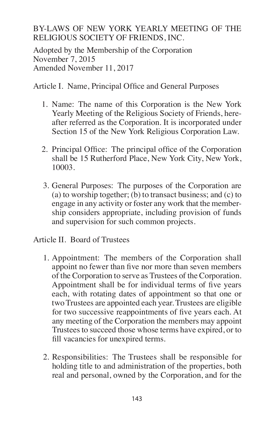### BY-LAWS OF NEW YORK YEARLY MEETING OF THE RELIGIOUS SOCIETY OF FRIENDS, INC.

Adopted by the Membership of the Corporation November 7, 2015 Amended November 11, 2017

Article I. Name, Principal Office and General Purposes

- 1. Name: The name of this Corporation is the New York Yearly Meeting of the Religious Society of Friends, hereafter referred as the Corporation. It is incorporated under Section 15 of the New York Religious Corporation Law.
- 2. Principal Office: The principal office of the Corporation shall be 15 Rutherford Place, New York City, New York, 10003.
- 3. General Purposes: The purposes of the Corporation are (a) to worship together; (b) to transact business; and (c) to engage in any activity or foster any work that the membership considers appropriate, including provision of funds and supervision for such common projects.

Article II. Board of Trustees

- 1. Appointment: The members of the Corporation shall appoint no fewer than five nor more than seven members of the Corporation to serve as Trustees of the Corporation. Appointment shall be for individual terms of five years each, with rotating dates of appointment so that one or two Trustees are appointed each year. Trustees are eligible for two successive reappointments of five years each. At any meeting of the Corporation the members may appoint Trustees to succeed those whose terms have expired, or to fill vacancies for unexpired terms.
- 2. Responsibilities: The Trustees shall be responsible for holding title to and administration of the properties, both real and personal, owned by the Corporation, and for the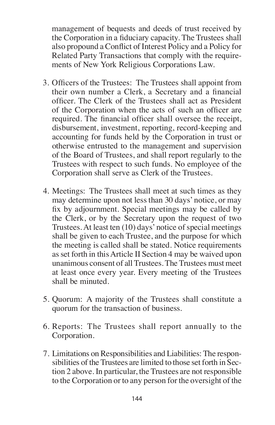management of bequests and deeds of trust received by the Corporation in a fiduciary capacity. The Trustees shall also propound a Conflict of Interest Policy and a Policy for Related Party Transactions that comply with the requirements of New York Religious Corporations Law.

- 3. Officers of the Trustees: The Trustees shall appoint from their own number a Clerk, a Secretary and a financial officer. The Clerk of the Trustees shall act as President of the Corporation when the acts of such an officer are required. The financial officer shall oversee the receipt, disbursement, investment, reporting, record-keeping and accounting for funds held by the Corporation in trust or otherwise entrusted to the management and supervision of the Board of Trustees, and shall report regularly to the Trustees with respect to such funds. No employee of the Corporation shall serve as Clerk of the Trustees.
- 4. Meetings: The Trustees shall meet at such times as they may determine upon not less than 30 days' notice, or may fix by adjournment. Special meetings may be called by the Clerk, or by the Secretary upon the request of two Trustees. At least ten  $(10)$  days' notice of special meetings shall be given to each Trustee, and the purpose for which the meeting is called shall be stated. Notice requirements asset forth in thisArticle II Section 4 may be waived upon unanimous consent of all Trustees. The Trustees must meet at least once every year. Every meeting of the Trustees shall be minuted.
- 5. Quorum: A majority of the Trustees shall constitute a quorum for the transaction of business.
- 6. Reports: The Trustees shall report annually to the Corporation.
- 7. Limitations onResponsibilities and Liabilities:The responsibilities of the Trustees are limited to those set forth in Section 2 above. In particular, the Trustees are not responsible to the Corporation or to any person for the oversight of the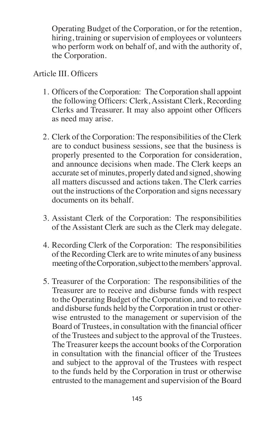Operating Budget of the Corporation, or for the retention, hiring, training or supervision of employees or volunteers who perform work on behalf of, and with the authority of, the Corporation.

#### Article III. Officers

- 1. Officers of the Corporation: The Corporation shall appoint the following Officers: Clerk, Assistant Clerk, Recording Clerks and Treasurer. It may also appoint other Officers as need may arise.
- 2. Clerk of the Corporation: The responsibilities of the Clerk are to conduct business sessions, see that the business is properly presented to the Corporation for consideration, and announce decisions when made. The Clerk keeps an accurate set of minutes, properly dated and signed, showing all matters discussed and actions taken. The Clerk carries out the instructions of the Corporation and signs necessary documents on its behalf.
- 3. Assistant Clerk of the Corporation: The responsibilities of the Assistant Clerk are such as the Clerk may delegate.
- 4. Recording Clerk of the Corporation: The responsibilities of the Recording Clerk are to write minutes of any business meeting of the Corporation, subject to the members' approval.
- 5. Treasurer of the Corporation: The responsibilities of the Treasurer are to receive and disburse funds with respect to the Operating Budget of the Corporation, and to receive and disburse funds held by the Corporation in trust or otherwise entrusted to the management or supervision of the Board of Trustees, in consultation with the financial officer of the Trustees and subject to the approval of the Trustees. The Treasurer keeps the account books of the Corporation in consultation with the financial officer of the Trustees and subject to the approval of the Trustees with respect to the funds held by the Corporation in trust or otherwise entrusted to the management and supervision of the Board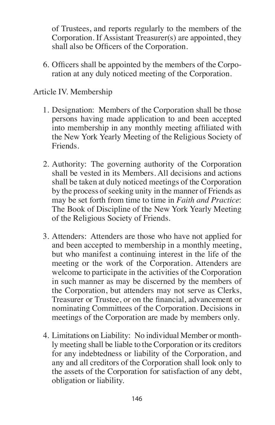of Trustees, and reports regularly to the members of the Corporation. If Assistant Treasurer(s) are appointed, they shall also be Officers of the Corporation.

6. Officers shall be appointed by the members of the Corporation at any duly noticed meeting of the Corporation.

### Article IV. Membership

- 1. Designation: Members of the Corporation shall be those persons having made application to and been accepted into membership in any monthly meeting affiliated with the New York Yearly Meeting of the Religious Society of Friends.
- 2. Authority: The governing authority of the Corporation shall be vested in its Members. All decisions and actions shall be taken at duly noticed meetings of the Corporation by the process of seeking unity in the manner of Friends as may be set forth from time to time in *Faith and Practice*: The Book of Discipline of the New York Yearly Meeting of the Religious Society of Friends.
- 3. Attenders: Attenders are those who have not applied for and been accepted to membership in a monthly meeting, but who manifest a continuing interest in the life of the meeting or the work of the Corporation. Attenders are welcome to participate in the activities of the Corporation in such manner as may be discerned by the members of the Corporation, but attenders may not serve as Clerks, Treasurer or Trustee, or on the financial, advancement or nominating Committees of the Corporation. Decisions in meetings of the Corporation are made by members only.
- 4. Limitations on Liability: No individual Member or monthly meeting shall be liable to the Corporation or its creditors for any indebtedness or liability of the Corporation, and any and all creditors of the Corporation shall look only to the assets of the Corporation for satisfaction of any debt, obligation or liability.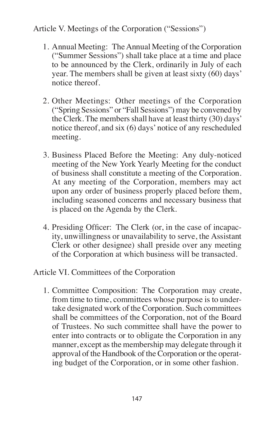# Article V. Meetings of the Corporation ("Sessions")

- 1. Annual Meeting: The Annual Meeting of the Corporation ("Summer Sessions") shall take place at a time and place to be announced by the Clerk, ordinarily in July of each year. The members shall be given at least sixty (60) days' notice thereof.
- 2. Other Meetings: Other meetings of the Corporation ("Spring Sessions" or "Fall Sessions") may be convened by the Clerk. The members shall have at least thirty (30) days' notice thereof, and six (6) days' notice of any rescheduled meeting.
- 3. Business Placed Before the Meeting: Any duly-noticed meeting of the New York Yearly Meeting for the conduct of business shall constitute a meeting of the Corporation. At any meeting of the Corporation, members may act upon any order of business properly placed before them, including seasoned concerns and necessary business that is placed on the Agenda by the Clerk.
- 4. Presiding Officer: The Clerk (or, in the case of incapacity, unwillingness or unavailability to serve, the Assistant Clerk or other designee) shall preside over any meeting of the Corporation at which business will be transacted.

## Article VI. Committees of the Corporation

1. Committee Composition: The Corporation may create, from time to time, committees whose purpose is to undertake designated work of the Corporation. Such committees shall be committees of the Corporation, not of the Board of Trustees. No such committee shall have the power to enter into contracts or to obligate the Corporation in any manner, except as the membership may delegate through it approval of the Handbook of the Corporation or the operating budget of the Corporation, or in some other fashion.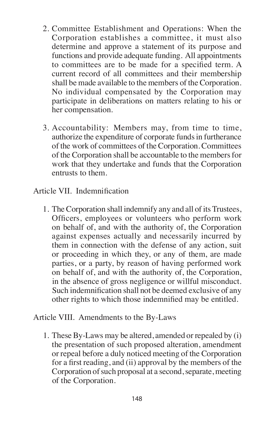- 2. Committee Establishment and Operations: When the Corporation establishes a committee, it must also determine and approve a statement of its purpose and functions and provide adequate funding. All appointments to committees are to be made for a specified term. A current record of all committees and their membership shall be made available to the members of the Corporation. No individual compensated by the Corporation may participate in deliberations on matters relating to his or her compensation.
- 3. Accountability: Members may, from time to time, authorize the expenditure of corporate funds in furtherance of the work of committees of the Corporation. Committees of the Corporation shall be accountable to the members for work that they undertake and funds that the Corporation entrusts to them.

Article VII. Indemnification

1. The Corporation shall indemnify any and all of itsTrustees, Officers, employees or volunteers who perform work on behalf of, and with the authority of, the Corporation against expenses actually and necessarily incurred by them in connection with the defense of any action, suit or proceeding in which they, or any of them, are made parties, or a party, by reason of having performed work on behalf of, and with the authority of, the Corporation, in the absence of gross negligence or willful misconduct. Such indemnification shall not be deemed exclusive of any other rights to which those indemnified may be entitled.

Article VIII. Amendments to the By-Laws

1. These By-Laws may be altered, amended or repealed by (i) the presentation of such proposed alteration, amendment or repeal before a duly noticed meeting of the Corporation for a first reading, and (ii) approval by the members of the Corporation of such proposal at a second, separate, meeting of the Corporation.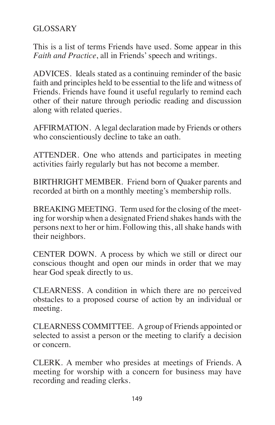# GLOSSARY

This is a list of terms Friends have used. Some appear in this *Faith and Practice*, all in Friends'speech and writings.

ADVICES. Ideals stated as a continuing reminder of the basic faith and principles held to be essential to the life and witness of Friends. Friends have found it useful regularly to remind each other of their nature through periodic reading and discussion along with related queries.

AFFIRMATION. Alegal declaration made by Friends or others who conscientiously decline to take an oath.

ATTENDER. One who attends and participates in meeting activities fairly regularly but has not become a member.

BIRTHRIGHT MEMBER. Friend born of Quaker parents and recorded at birth on a monthly meeting's membership rolls.

BREAKING MEETING. Term used for the closing of the meeting for worship when a designated Friend shakes hands with the persons next to her or him. Following this, all shake hands with their neighbors.

CENTER DOWN. A process by which we still or direct our conscious thought and open our minds in order that we may hear God speak directly to us.

CLEARNESS. A condition in which there are no perceived obstacles to a proposed course of action by an individual or meeting.

CLEARNESS COMMITTEE. Agroup of Friends appointed or selected to assist a person or the meeting to clarify a decision or concern.

CLERK. A member who presides at meetings of Friends. A meeting for worship with a concern for business may have recording and reading clerks.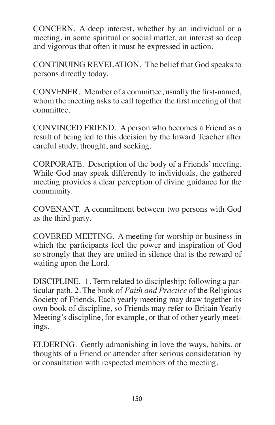CONCERN. A deep interest, whether by an individual or a meeting, in some spiritual or social matter, an interest so deep and vigorous that often it must be expressed in action.

CONTINUING REVELATION. The belief that God speaks to persons directly today.

CONVENER. Member of a committee, usually the first-named, whom the meeting asks to call together the first meeting of that committee.

CONVINCED FRIEND. A person who becomes a Friend as a result of being led to this decision by the Inward Teacher after careful study, thought, and seeking.

CORPORATE. Description of the body of a Friends' meeting. While God may speak differently to individuals, the gathered meeting provides a clear perception of divine guidance for the community.

COVENANT. A commitment between two persons with God as the third party.

COVERED MEETING. A meeting for worship or business in which the participants feel the power and inspiration of God so strongly that they are united in silence that is the reward of waiting upon the Lord.

DISCIPLINE. 1. Term related to discipleship: following a particular path. 2. The book of *Faith and Practice* of the Religious Society of Friends. Each yearly meeting may draw together its own book of discipline, so Friends may refer to Britain Yearly Meeting's discipline, for example, or that of other yearly meetings.

ELDERING. Gently admonishing in love the ways, habits, or thoughts of a Friend or attender after serious consideration by or consultation with respected members of the meeting.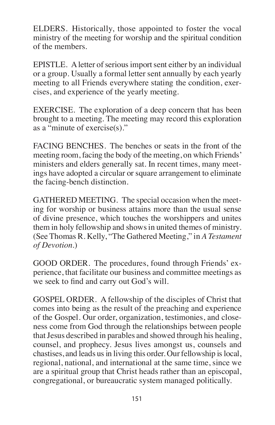ELDERS. Historically, those appointed to foster the vocal ministry of the meeting for worship and the spiritual condition of the members.

EPISTLE. A letter of serious import sent either by an individual or a group. Usually a formal letter sent annually by each yearly meeting to all Friends everywhere stating the condition, exercises, and experience of the yearly meeting.

EXERCISE. The exploration of a deep concern that has been brought to a meeting. The meeting may record this exploration as a "minute of exercise(s)."

FACING BENCHES. The benches or seats in the front of the meeting room, facing the body of the meeting, on which Friends' ministers and elders generally sat. In recent times, many meetings have adopted a circular or square arrangement to eliminate the facing-bench distinction.

GATHERED MEETING. The special occasion when the meeting for worship or business attains more than the usual sense of divine presence, which touches the worshippers and unites them in holy fellowship and shows in united themes of ministry. (See Thomas R. Kelly, "The Gathered Meeting," in *A Testament of Devotion*.)

GOOD ORDER. The procedures, found through Friends' experience, that facilitate our business and committee meetings as we seek to find and carry out God's will.

GOSPEL ORDER. A fellowship of the disciples of Christ that comes into being as the result of the preaching and experience of the Gospel. Our order, organization, testimonies, and closeness come from God through the relationships between people that Jesus described in parables and showed through his healing, counsel, and prophecy. Jesus lives amongst us, counsels and chastises, and leads us in living this order. Our fellowship is local, regional, national, and international at the same time, since we are a spiritual group that Christ heads rather than an episcopal, congregational, or bureaucratic system managed politically.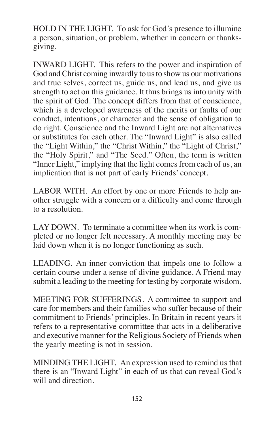HOLD IN THE LIGHT. To ask for God's presence to illumine a person, situation, or problem, whether in concern or thanksgiving.

INWARD LIGHT. This refers to the power and inspiration of God and Christ coming inwardly to us to show us our motivations and true selves, correct us, guide us, and lead us, and give us strength to act on this guidance. It thus brings us into unity with the spirit of God. The concept differs from that of conscience, which is a developed awareness of the merits or faults of our conduct, intentions, or character and the sense of obligation to do right. Conscience and the Inward Light are not alternatives or substitutes for each other. The "Inward Light" is also called the "Light Within," the "Christ Within," the "Light of Christ," the "Holy Spirit," and "The Seed." Often, the term is written "Inner Light," implying that the light comes from each of us, an implication that is not part of early Friends' concept.

LABOR WITH. An effort by one or more Friends to help another struggle with a concern or a difficulty and come through to a resolution.

LAY DOWN. To terminate a committee when its work is completed or no longer felt necessary. A monthly meeting may be laid down when it is no longer functioning as such.

LEADING. An inner conviction that impels one to follow a certain course under a sense of divine guidance. A Friend may submit a leading to the meeting for testing by corporate wisdom.

MEETING FOR SUFFERINGS. A committee to support and care for members and their families who suffer because of their commitment to Friends' principles. In Britain in recent years it refers to a representative committee that acts in a deliberative and executive manner for the Religious Society of Friends when the yearly meeting is not in session.

MINDING THE LIGHT. An expression used to remind us that there is an "Inward Light" in each of us that can reveal God's will and direction.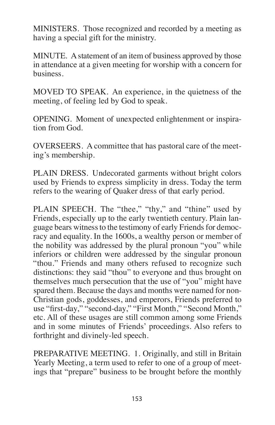MINISTERS. Those recognized and recorded by a meeting as having a special gift for the ministry.

MINUTE. Astatement of an item of business approved by those in attendance at a given meeting for worship with a concern for business.

MOVED TO SPEAK. An experience, in the quietness of the meeting, of feeling led by God to speak.

OPENING. Moment of unexpected enlightenment or inspiration from God.

OVERSEERS. A committee that has pastoral care of the meeting's membership.

PLAIN DRESS. Undecorated garments without bright colors used by Friends to express simplicity in dress. Today the term refers to the wearing of Quaker dress of that early period.

PLAIN SPEECH. The "thee," "thy," and "thine" used by Friends, especially up to the early twentieth century. Plain language bears witness to the testimony of early Friends for democracy and equality. In the 1600s, a wealthy person or member of the nobility was addressed by the plural pronoun "you" while inferiors or children were addressed by the singular pronoun "thou." Friends and many others refused to recognize such distinctions: they said "thou" to everyone and thus brought on themselves much persecution that the use of "you" might have spared them. Because the days and months were named for non-Christian gods, goddesses, and emperors, Friends preferred to use "first-day," "second-day," "First Month," "Second Month," etc. All of these usages are still common among some Friends and in some minutes of Friends' proceedings. Also refers to forthright and divinely-led speech.

PREPARATIVE MEETING. 1. Originally, and still in Britain Yearly Meeting, a term used to refer to one of a group of meetings that "prepare" business to be brought before the monthly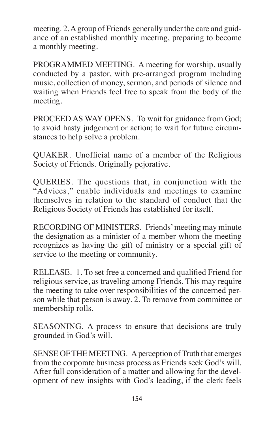meeting. 2.Agroup of Friends generally under the care and guidance of an established monthly meeting, preparing to become a monthly meeting.

PROGRAMMED MEETING. A meeting for worship, usually conducted by a pastor, with pre-arranged program including music, collection of money, sermon, and periods of silence and waiting when Friends feel free to speak from the body of the meeting.

PROCEED AS WAY OPENS. To wait for guidance from God; to avoid hasty judgement or action; to wait for future circumstances to help solve a problem.

QUAKER. Unofficial name of a member of the Religious Society of Friends. Originally pejorative.

QUERIES. The questions that, in conjunction with the "Advices," enable individuals and meetings to examine themselves in relation to the standard of conduct that the Religious Society of Friends has established for itself.

RECORDING OF MINISTERS. Friends'meeting may minute the designation as a minister of a member whom the meeting recognizes as having the gift of ministry or a special gift of service to the meeting or community.

RELEASE. 1. To set free a concerned and qualified Friend for religious service, as traveling among Friends. This may require the meeting to take over responsibilities of the concerned person while that person is away. 2. To remove from committee or membership rolls.

SEASONING. A process to ensure that decisions are truly grounded in God's will.

SENSE OF THE MEETING. A perception of Truth that emerges from the corporate business process as Friends seek God's will. After full consideration of a matter and allowing for the development of new insights with God's leading, if the clerk feels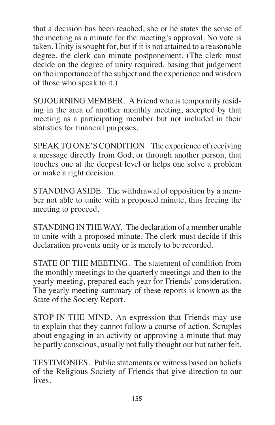that a decision has been reached, she or he states the sense of the meeting as a minute for the meeting's approval. No vote is taken. Unity is sought for, but if it is not attained to a reasonable degree, the clerk can minute postponement. (The clerk must decide on the degree of unity required, basing that judgement on the importance of the subject and the experience and wisdom of those who speak to it.)

SOJOURNING MEMBER. A Friend who is temporarily residing in the area of another monthly meeting, accepted by that meeting as a participating member but not included in their statistics for financial purposes.

SPEAK TO ONE'S CONDITION. The experience of receiving a message directly from God, or through another person, that touches one at the deepest level or helps one solve a problem or make a right decision.

STANDING ASIDE. The withdrawal of opposition by a member not able to unite with a proposed minute, thus freeing the meeting to proceed.

STANDING IN THE WAY. The declaration of a member unable to unite with a proposed minute. The clerk must decide if this declaration prevents unity or is merely to be recorded.

STATE OF THE MEETING. The statement of condition from the monthly meetings to the quarterly meetings and then to the yearly meeting, prepared each year for Friends' consideration. The yearly meeting summary of these reports is known as the State of the Society Report.

STOP IN THE MIND. An expression that Friends may use to explain that they cannot follow a course of action. Scruples about engaging in an activity or approving a minute that may be partly conscious, usually not fully thought out but rather felt.

TESTIMONIES. Public statements or witness based on beliefs of the Religious Society of Friends that give direction to our lives.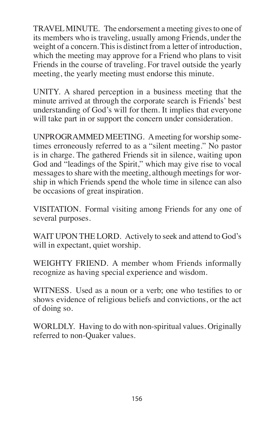TRAVEL MINUTE. The endorsement a meeting gives to one of its members who is traveling, usually among Friends, under the weight of a concern. This is distinct from a letter of introduction, which the meeting may approve for a Friend who plans to visit Friends in the course of traveling. For travel outside the yearly meeting, the yearly meeting must endorse this minute.

UNITY. A shared perception in a business meeting that the minute arrived at through the corporate search is Friends' best understanding of God's will for them. It implies that everyone will take part in or support the concern under consideration.

UNPROGRAMMED MEETING. Ameeting for worship sometimes erroneously referred to as a "silent meeting." No pastor is in charge. The gathered Friends sit in silence, waiting upon God and "leadings of the Spirit," which may give rise to vocal messages to share with the meeting, although meetings for worship in which Friends spend the whole time in silence can also be occasions of great inspiration.

VISITATION. Formal visiting among Friends for any one of several purposes.

WAIT UPON THE LORD. Actively to seek and attend to God's will in expectant, quiet worship.

WEIGHTY FRIEND. A member whom Friends informally recognize as having special experience and wisdom.

WITNESS. Used as a noun or a verb; one who testifies to or shows evidence of religious beliefs and convictions, or the act of doing so.

WORLDLY. Having to do with non-spiritual values. Originally referred to non-Quaker values.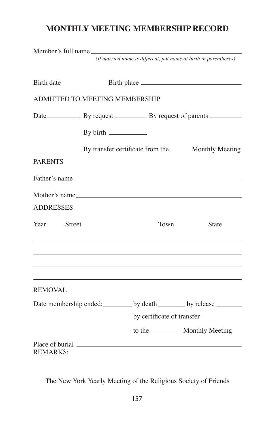## **MONTHLY MEETING MEMBERSHIP RECORD**

|                                    | Member's full name         | (If married name is different, put name at birth in parentheses)      |
|------------------------------------|----------------------------|-----------------------------------------------------------------------|
|                                    |                            |                                                                       |
| ADMITTED TO MEETING MEMBERSHIP     |                            |                                                                       |
|                                    |                            | Date By request By request By request of parents                      |
|                                    |                            |                                                                       |
|                                    |                            | By transfer certificate from the ________ Monthly Meeting             |
| <b>PARENTS</b>                     |                            |                                                                       |
|                                    | Father's name              |                                                                       |
|                                    | Mother's name              |                                                                       |
| <b>ADDRESSES</b>                   |                            |                                                                       |
| Year<br>Street                     | Town                       | State                                                                 |
|                                    |                            |                                                                       |
| <b>REMOVAL</b>                     |                            |                                                                       |
|                                    |                            | Date membership ended: _________ by death ________ by release _______ |
|                                    | by certificate of transfer |                                                                       |
|                                    |                            |                                                                       |
| Place of burial<br><b>REMARKS:</b> |                            |                                                                       |

The New York Yearly Meeting of the Religious Society of Friends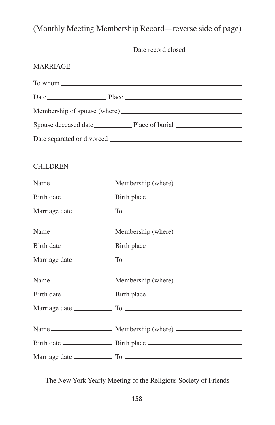(Monthly Meeting Membership Record—reverse side of page)

| <b>MARRIAGE</b> |  |
|-----------------|--|
|                 |  |
|                 |  |
|                 |  |
|                 |  |
|                 |  |
|                 |  |
| <b>CHILDREN</b> |  |
|                 |  |
|                 |  |
|                 |  |
|                 |  |
|                 |  |
|                 |  |
|                 |  |
|                 |  |
|                 |  |
|                 |  |
|                 |  |
|                 |  |

The New York Yearly Meeting of the Religious Society of Friends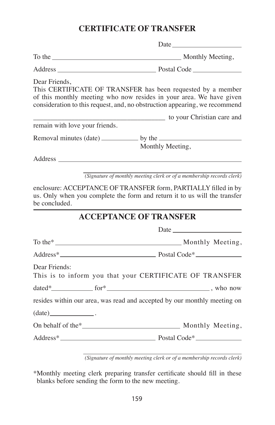### **CERTIFICATE OF TRANSFER**

|                                                                                                                                                                                                                                | Date                                                                                                                                                                                                             |  |  |
|--------------------------------------------------------------------------------------------------------------------------------------------------------------------------------------------------------------------------------|------------------------------------------------------------------------------------------------------------------------------------------------------------------------------------------------------------------|--|--|
|                                                                                                                                                                                                                                |                                                                                                                                                                                                                  |  |  |
|                                                                                                                                                                                                                                |                                                                                                                                                                                                                  |  |  |
| Dear Friends,                                                                                                                                                                                                                  | This CERTIFICATE OF TRANSFER has been requested by a member<br>of this monthly meeting who now resides in your area. We have given<br>consideration to this request, and, no obstruction appearing, we recommend |  |  |
|                                                                                                                                                                                                                                | to your Christian care and                                                                                                                                                                                       |  |  |
| remain with love your friends.                                                                                                                                                                                                 |                                                                                                                                                                                                                  |  |  |
| Removal minutes (date) ______________ by the ___________                                                                                                                                                                       |                                                                                                                                                                                                                  |  |  |
| Address and the state of the state of the state of the state of the state of the state of the state of the state of the state of the state of the state of the state of the state of the state of the state of the state of th | Monthly Meeting,                                                                                                                                                                                                 |  |  |
|                                                                                                                                                                                                                                | $(signature of monthly meeting clerk or of a membership records clerk)$                                                                                                                                          |  |  |
| be concluded.                                                                                                                                                                                                                  | enclosure: ACCEPTANCE OF TRANSFER form, PARTIALLY filled in by<br>us. Only when you complete the form and return it to us will the transfer                                                                      |  |  |
|                                                                                                                                                                                                                                | <b>ACCEPTANCE OF TRANSFER</b>                                                                                                                                                                                    |  |  |
|                                                                                                                                                                                                                                |                                                                                                                                                                                                                  |  |  |
|                                                                                                                                                                                                                                |                                                                                                                                                                                                                  |  |  |
|                                                                                                                                                                                                                                |                                                                                                                                                                                                                  |  |  |
| Dear Friends:                                                                                                                                                                                                                  | This is to inform you that your CERTIFICATE OF TRANSFER                                                                                                                                                          |  |  |
|                                                                                                                                                                                                                                |                                                                                                                                                                                                                  |  |  |
|                                                                                                                                                                                                                                | resides within our area, was read and accepted by our monthly meeting on                                                                                                                                         |  |  |
| $(data)$ .                                                                                                                                                                                                                     |                                                                                                                                                                                                                  |  |  |
|                                                                                                                                                                                                                                |                                                                                                                                                                                                                  |  |  |
|                                                                                                                                                                                                                                |                                                                                                                                                                                                                  |  |  |
|                                                                                                                                                                                                                                |                                                                                                                                                                                                                  |  |  |

*(Signature of monthly meeting clerk or of a membership records clerk)*

\*Monthly meeting clerk preparing transfer certificate should fill in these blanks before sending the form to the new meeting.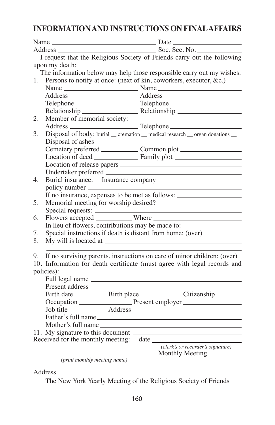### **INFORMATION AND INSTRUCTIONS ON FINAL AFFAIRS**

|                                   | Soc. Sec. No.                                                                     |
|-----------------------------------|-----------------------------------------------------------------------------------|
|                                   | I request that the Religious Society of Friends carry out the following           |
| upon my death:                    |                                                                                   |
|                                   | The information below may help those responsible carry out my wishes:             |
| 1.                                | Persons to notify at once: (next of kin, coworkers, executor, &c.)                |
|                                   |                                                                                   |
|                                   |                                                                                   |
|                                   |                                                                                   |
|                                   |                                                                                   |
| Member of memorial society:<br>2. |                                                                                   |
|                                   |                                                                                   |
| 3.                                | Disposal of body: burial _cremation _ medical research _ organ donations _        |
|                                   |                                                                                   |
|                                   |                                                                                   |
|                                   |                                                                                   |
|                                   |                                                                                   |
|                                   |                                                                                   |
| 4.                                |                                                                                   |
|                                   |                                                                                   |
|                                   | If no insurance, expenses to be met as follows: _________________________________ |
| 5.                                | Memorial meeting for worship desired?                                             |
|                                   |                                                                                   |
| 6.                                |                                                                                   |
|                                   | In lieu of flowers, contributions may be made to: ______________________________  |
| 7.                                | Special instructions if death is distant from home: (over)                        |
| 8.                                |                                                                                   |
|                                   |                                                                                   |
| 9.                                | If no surviving parents, instructions on care of minor children: (over)           |
|                                   | 10. Information for death certificate (must agree with legal records and          |
| policies):                        |                                                                                   |
|                                   |                                                                                   |
|                                   |                                                                                   |
|                                   |                                                                                   |
|                                   | Occupation Present employer                                                       |
|                                   |                                                                                   |
|                                   | Father's full name                                                                |
|                                   | Mother's full name                                                                |
|                                   |                                                                                   |
|                                   | Received for the monthly meeting: date                                            |
|                                   | (clerk's or recorder's signature)                                                 |
|                                   | Monthly Meeting                                                                   |
|                                   | (print monthly meeting name)                                                      |

Address

The New York Yearly Meeting of the Religious Society of Friends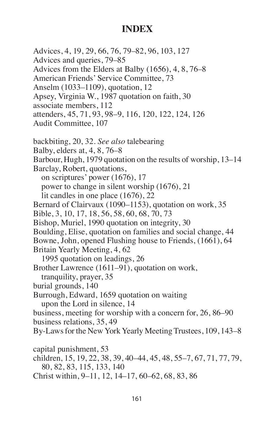# **Index**

Advices, 4, 19, 29, 66, 76, 79–82, 96, 103, 127 Advices and queries, 79–85 Advices from the Elders at Balby (1656), 4, 8, 76–8 American Friends' Service Committee, 73 Anselm (1033–1109), quotation, 12 Apsey, Virginia W., 1987 quotation on faith, 30 associate members, 112 attenders, 45, 71, 93, 98–9, 116, 120, 122, 124, 126 Audit Committee, 107 backbiting, 20, 32. *See also* talebearing Balby, elders at, 4, 8, 76–8 Barbour, Hugh, 1979 quotation on the results of worship, 13–14 Barclay, Robert, quotations, on scriptures' power (1676), 17 power to change in silent worship (1676), 21 lit candles in one place (1676), 22 Bernard of Clairvaux (1090–1153), quotation on work, 35 Bible, 3, 10, 17, 18, 56, 58, 60, 68, 70, 73 Bishop, Muriel, 1990 quotation on integrity, 30 Boulding, Elise, quotation on families and social change, 44 Bowne, John, opened Flushing house to Friends, (1661), 64 Britain Yearly Meeting, 4, 62 1995 quotation on leadings, 26 Brother Lawrence (1611–91), quotation on work, tranquility, prayer, 35 burial grounds, 140 Burrough, Edward, 1659 quotation on waiting upon the Lord in silence, 14 business, meeting for worship with a concern for, 26, 86–90 business relations, 35, 49 By-Laws for the New York Yearly Meeting Trustees, 109, 143–8 capital punishment, 53 children, 15, 19, 22, 38, 39, 40–44, 45, 48, 55–7, 67, 71, 77, 79, 80, 82, 83, 115, 133, 140 Christ within, 9–11, 12, 14–17, 60–62, 68, 83, 86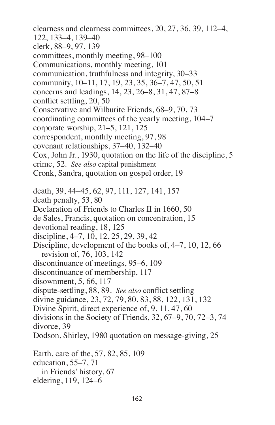clearness and clearness committees, 20, 27, 36, 39, 112–4, 122, 133–4, 139–40 clerk, 88–9, 97, 139 committees, monthly meeting, 98–100 Communications, monthly meeting, 101 communication, truthfulness and integrity, 30–33 community, 10–11, 17, 19, 23, 35, 36–7, 47, 50, 51 concerns and leadings, 14, 23, 26–8, 31, 47, 87–8 conflict settling, 20, 50 Conservative and Wilburite Friends, 68–9, 70, 73 coordinating committees of the yearly meeting, 104–7 corporate worship, 21–5, 121, 125 correspondent, monthly meeting, 97, 98 covenant relationships, 37–40, 132–40 Cox, John Jr., 1930, quotation on the life of the discipline, 5 crime, 52. *See also* capital punishment Cronk, Sandra, quotation on gospel order, 19 death, 39, 44–45, 62, 97, 111, 127, 141, 157 death penalty, 53, 80 Declaration of Friends to Charles II in 1660, 50 de Sales, Francis, quotation on concentration, 15 devotional reading, 18, 125 discipline, 4–7, 10, 12, 25, 29, 39, 42 Discipline, development of the books of, 4–7, 10, 12, 66 revision of, 76, 103, 142 discontinuance of meetings, 95–6, 109 discontinuance of membership, 117 disownment, 5, 66, 117 dispute-settling, 88, 89. *See also* conflict settling divine guidance, 23, 72, 79, 80, 83, 88, 122, 131, 132 Divine Spirit, direct experience of, 9, 11, 47, 60 divisions in the Society of Friends, 32, 67–9, 70, 72–3, 74 divorce, 39 Dodson, Shirley, 1980 quotation on message-giving, 25 Earth, care of the, 57, 82, 85, 109 education, 55–7, 71

in Friends' history, 67 eldering, 119, 124–6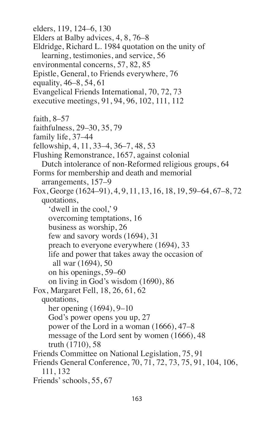elders, 119, 124–6, 130 Elders at Balby advices, 4, 8, 76–8 Eldridge, Richard L. 1984 quotation on the unity of learning, testimonies, and service, 56 environmental concerns, 57, 82, 85 Epistle, General, to Friends everywhere, 76 equality, 46–8, 54, 61 Evangelical Friends International, 70, 72, 73 executive meetings, 91, 94, 96, 102, 111, 112 faith, 8–57 faithfulness, 29–30, 35, 79 family life, 37–44 fellowship, 4, 11, 33–4, 36–7, 48, 53 Flushing Remonstrance, 1657, against colonial Dutch intolerance of non-Reformed religious groups, 64 Forms for membership and death and memorial arrangements, 157–9 Fox, George (1624–91), 4, 9, 11, 13, 16, 18, 19, 59–64, 67–8, 72 quotations, 'dwell in the cool,' 9 overcoming temptations, 16 business as worship, 26 few and savory words (1694), 31 preach to everyone everywhere (1694), 33 life and power that takes away the occasion of     all war (1694), 50 on his openings, 59–60 on living in God's wisdom (1690), 86 Fox, Margaret Fell, 18, 26, 61, 62 quotations, her opening (1694), 9–10 God's power opens you up, 27 power of the Lord in a woman (1666), 47–8 message of the Lord sent by women (1666), 48 truth (1710), 58 Friends Committee on National Legislation, 75, 91 Friends General Conference, 70, 71, 72, 73, 75, 91, 104, 106, 111, 132 Friends'schools, 55, 67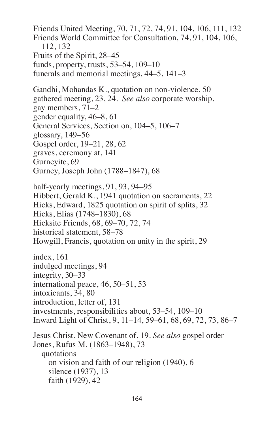Friends United Meeting, 70, 71, 72, 74, 91, 104, 106, 111, 132 Friends World Committee for Consultation, 74, 91, 104, 106, 112, 132 Fruits of the Spirit, 28–45 funds, property, trusts, 53–54, 109–10 funerals and memorial meetings, 44–5, 141–3 Gandhi, Mohandas K., quotation on non-violence, 50 gathered meeting, 23, 24. *See also* corporate worship. gay members, 71–2 gender equality, 46–8, 61 General Services, Section on, 104–5, 106–7 glossary, 149–56 Gospel order, 19–21, 28, 62 graves, ceremony at, 141 Gurneyite, 69 Gurney, Joseph John (1788–1847), 68 half-yearly meetings, 91, 93, 94–95 Hibbert, Gerald K., 1941 quotation on sacraments, 22 Hicks, Edward, 1825 quotation on spirit of splits, 32 Hicks, Elias (1748–1830), 68 Hicksite Friends, 68, 69–70, 72, 74 historical statement, 58–78 Howgill, Francis, quotation on unity in the spirit, 29 index, 161 indulged meetings, 94 integrity, 30–33 international peace, 46, 50–51, 53 intoxicants, 34, 80 introduction, letter of, 131 investments, responsibilities about, 53–54, 109–10 Inward Light of Christ, 9, 11–14, 59–61, 68, 69, 72, 73, 86–7 Jesus Christ, New Covenant of, 19. *See also* gospel order Jones, Rufus M. (1863–1948), 73 quotations on vision and faith of our religion (1940), 6 silence (1937), 13 faith (1929), 42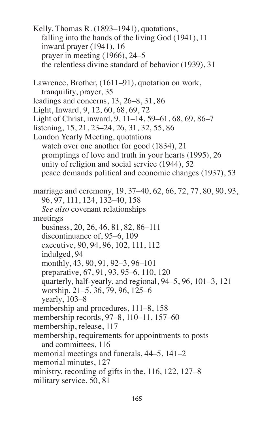Kelly, Thomas R. (1893–1941), quotations, falling into the hands of the living God (1941), 11 inward prayer (1941), 16 prayer in meeting (1966), 24–5 the relentless divine standard of behavior (1939), 31 Lawrence, Brother, (1611–91), quotation on work, tranquility, prayer, 35 leadings and concerns, 13, 26–8, 31, 86 Light, Inward, 9, 12, 60, 68, 69, 72 Light of Christ, inward, 9, 11–14, 59–61, 68, 69, 86–7 listening, 15, 21, 23–24, 26, 31, 32, 55, 86 London Yearly Meeting, quotations watch over one another for good (1834), 21 promptings of love and truth in your hearts (1995), 26 unity of religion and social service (1944), 52 peace demands political and economic changes (1937), 53 marriage and ceremony, 19, 37–40, 62, 66, 72, 77, 80, 90, 93, 96, 97, 111, 124, 132–40, 158 *See also* covenant relationships meetings business, 20, 26, 46, 81, 82, 86–111 discontinuance of, 95–6, 109 executive, 90, 94, 96, 102, 111, 112 indulged, 94 monthly, 43, 90, 91, 92–3, 96–101 preparative, 67, 91, 93, 95–6, 110, 120 quarterly, half-yearly, and regional, 94–5, 96, 101–3, 121 worship, 21–5, 36, 79, 96, 125–6 yearly, 103–8 membership and procedures, 111–8, 158 membership records, 97–8, 110–11, 157–60 membership, release, 117 membership, requirements for appointments to posts and committees, 116 memorial meetings and funerals, 44–5, 141–2 memorial minutes, 127 ministry, recording of gifts in the, 116, 122, 127–8 military service, 50, 81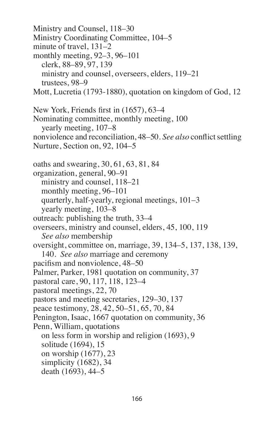Ministry and Counsel, 118–30 Ministry Coordinating Committee, 104–5 minute of travel, 131–2 monthly meeting, 92–3, 96–101 clerk, 88–89, 97, 139 ministry and counsel, overseers, elders, 119–21 trustees, 98–9 Mott, Lucretia (1793-1880), quotation on kingdom of God, 12 New York, Friends first in (1657), 63–4 Nominating committee, monthly meeting, 100 yearly meeting, 107–8 nonviolence and reconciliation, 48–50. *See also* conflict settling Nurture, Section on, 92, 104–5 oaths and swearing, 30, 61, 63, 81, 84 organization, general, 90–91 ministry and counsel, 118–21 monthly meeting, 96–101 quarterly, half-yearly, regional meetings, 101–3 yearly meeting, 103–8 outreach: publishing the truth, 33–4 overseers, ministry and counsel, elders, 45, 100, 119 *See also* membership oversight, committee on, marriage, 39, 134–5, 137, 138, 139, 140. *See also* marriage and ceremony pacifism and nonviolence, 48–50 Palmer, Parker, 1981 quotation on community, 37 pastoral care, 90, 117, 118, 123–4 pastoral meetings, 22, 70 pastors and meeting secretaries, 129–30, 137 peace testimony, 28, 42, 50–51, 65, 70, 84 Penington, Isaac, 1667 quotation on community, 36 Penn, William, quotations on less form in worship and religion (1693), 9 solitude (1694), 15 on worship (1677), 23 simplicity (1682), 34 death (1693), 44–5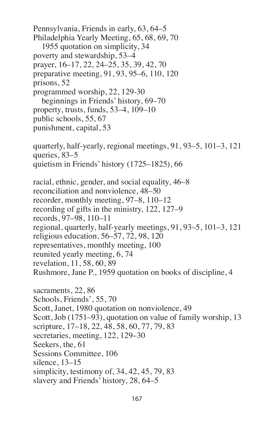Pennsylvania, Friends in early, 63, 64–5 Philadelphia Yearly Meeting, 65, 68, 69, 70 1955 quotation on simplicity, 34 poverty and stewardship, 53–4 prayer, 16–17, 22, 24–25, 35, 39, 42, 70 preparative meeting, 91, 93, 95–6, 110, 120 prisons, 52 programmed worship, 22, 129-30 beginnings in Friends' history, 69–70 property, trusts, funds, 53–4, 109–10 public schools, 55, 67 punishment, capital, 53 quarterly, half-yearly, regional meetings, 91, 93–5, 101–3, 121 queries, 83–5 quietism in Friends' history (1725–1825), 66 racial, ethnic, gender, and social equality, 46–8 reconciliation and nonviolence, 48–50 recorder, monthly meeting, 97–8, 110–12 recording of gifts in the ministry, 122, 127–9 records, 97–98, 110–11 regional, quarterly, half-yearly meetings, 91, 93–5, 101–3, 121 religious education, 56–57, 72, 98, 120 representatives, monthly meeting, 100 reunited yearly meeting, 6, 74 revelation, 11, 58, 60, 89 Rushmore, Jane P., 1959 quotation on books of discipline, 4 sacraments, 22, 86 Schools, Friends', 55, 70 Scott, Janet, 1980 quotation on nonviolence, 49 Scott, Job (1751–93), quotation on value of family worship, 13 scripture, 17–18, 22, 48, 58, 60, 77, 79, 83 secretaries, meeting, 122, 129–30 Seekers, the, 61 Sessions Committee, 106 silence, 13–15 simplicity, testimony of, 34, 42, 45, 79, 83 slavery and Friends' history, 28, 64–5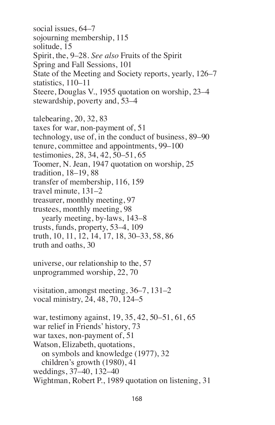social issues, 64–7 sojourning membership, 115 solitude, 15 Spirit, the, 9–28. *See also* Fruits of the Spirit Spring and Fall Sessions, 101 State of the Meeting and Society reports, yearly, 126–7 statistics, 110–11 Steere, Douglas V., 1955 quotation on worship, 23–4 stewardship, poverty and, 53–4

talebearing, 20, 32, 83 taxes for war, non-payment of, 51 technology, use of, in the conduct of business, 89–90 tenure, committee and appointments, 99–100 testimonies, 28, 34, 42, 50–51, 65 Toomer, N. Jean, 1947 quotation on worship, 25 tradition, 18–19, 88 transfer of membership, 116, 159 travel minute, 131–2 treasurer, monthly meeting, 97 trustees, monthly meeting, 98 yearly meeting, by-laws, 143–8 trusts, funds, property, 53–4, 109 truth, 10, 11, 12, 14, 17, 18, 30–33, 58, 86 truth and oaths, 30 universe, our relationship to the, 57 unprogrammed worship, 22, 70 visitation, amongst meeting, 36–7, 131–2 vocal ministry, 24, 48, 70, 124–5 war, testimony against, 19, 35, 42, 50–51, 61, 65 war relief in Friends' history, 73 war taxes, non-payment of, 51 Watson, Elizabeth, quotations, on symbols and knowledge (1977), 32 children's growth (1980), 41 weddings, 37–40, 132–40 Wightman, Robert P., 1989 quotation on listening, 31